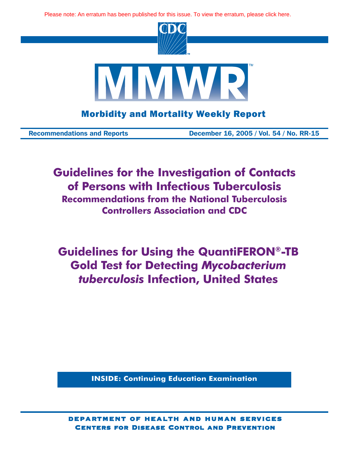

Recommendations and Reports **December 16, 2005 / Vol. 54 / No. RR-15** 

**Guidelines for the Investigation of Contacts of Persons with Infectious Tuberculosis Recommendations from the National Tuberculosis Controllers Association and CDC**

**Guidelines for Using the QuantiFERON®-TB Gold Test for Detecting** *Mycobacterium tuberculosis* **Infection, United States**

**INSIDE: Continuing Education Examination**

department of health and human services Centers for Disease Control and Prevention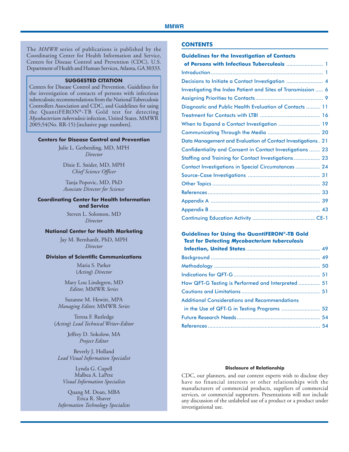#### **MMWR**

<span id="page-1-0"></span>The *MMWR* series of publications is published by the Coordinating Center for Health Information and Service, Centers for Disease Control and Prevention (CDC), U.S. Department of Health and Human Services, Atlanta, GA 30333.

#### **SUGGESTED CITATION**

Centers for Disease Control and Prevention. Guidelines for the investigation of contacts of persons with infectious tuberculosis; recommendations from the National Tuberculosis Controllers Association and CDC, and Guidelines for using the QuantiFERON®-TB Gold test for detecting *Mycobacterium tuberculosis* infection, United States. MMWR 2005;54(No. RR-15):[inclusive page numbers].

#### **Centers for Disease Control and Prevention**

Julie L. Gerberding, MD, MPH *Director*

Dixie E. Snider, MD, MPH *Chief Science Officer*

Tanja Popovic, MD, PhD *Associate Director for Science*

**Coordinating Center for Health Information and Service**

> Steven L. Solomon, MD *Director*

#### **National Center for Health Marketing**

Jay M. Bernhardt, PhD, MPH *Director*

#### **Division of Scientific Communications**

Maria S. Parker (*Acting*) *Director*

Mary Lou Lindegren, MD *Editor,* MMWR *Series*

Suzanne M. Hewitt, MPA *Managing Editor,* MMWR *Series*

Teresa F. Rutledge (*Acting*) *Lead Technical Writer-Editor*

> Jeffrey D. Sokolow, MA *Project Editor*

Beverly J. Holland *Lead Visual Information Specialist*

Lynda G. Cupell Malbea A. LaPete *Visual Information Specialists*

Quang M. Doan, MBA Erica R. Shaver *Information Technology Specialists*

#### **CONTENTS**

#### **Guidelines for the Investigation of Contacts**

| Decisions to Initiate a Contact Investigation  4             |
|--------------------------------------------------------------|
| Investigating the Index Patient and Sites of Transmission  6 |
|                                                              |
| Diagnostic and Public Health Evaluation of Contacts  11      |
|                                                              |
| When to Expand a Contact Investigation  19                   |
|                                                              |
| Data Management and Evaluation of Contact Investigations. 21 |
| Confidentiality and Consent in Contact Investigations  23    |
| Staffing and Training for Contact Investigations 23          |
| Contact Investigations in Special Circumstances  24          |
|                                                              |
|                                                              |
|                                                              |
|                                                              |
|                                                              |
|                                                              |

#### **[Guidelines for Using the QuantiFERON®-TB Gold](#page-1-0) Test for Detecting** *Mycobacterium tuberculosis*

| <u>ical ist belevility hijsemusichight ismetsuladi</u> |  |
|--------------------------------------------------------|--|
|                                                        |  |
|                                                        |  |
|                                                        |  |
|                                                        |  |
| How QFT-G Testing is Performed and Interpreted  51     |  |
|                                                        |  |
| Additional Considerations and Recommendations          |  |
|                                                        |  |
|                                                        |  |
|                                                        |  |
|                                                        |  |

#### **Disclosure of Relationship**

CDC, our planners, and our content experts wish to disclose they have no financial interests or other relationships with the manufacturers of commercial products, suppliers of commercial services, or commercial supporters. Presentations will not include any discussion of the unlabeled use of a product or a product under investigational use.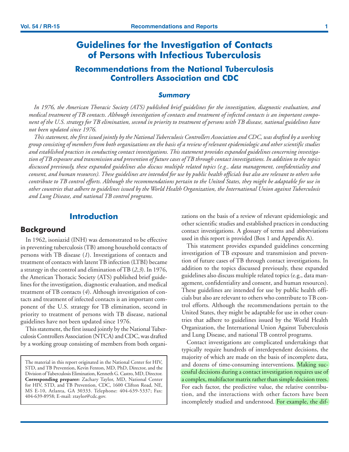# <span id="page-2-0"></span>**Guidelines for the Investigation of Contacts of Persons with Infectious Tuberculosis**

# **Recommendations from the National Tuberculosis Controllers Association and CDC**

### *Summary*

*In 1976, the American Thoracic Society (ATS) published brief guidelines for the investigation, diagnostic evaluation, and medical treatment of TB contacts. Although investigation of contacts and treatment of infected contacts is an important component of the U.S. strategy for TB elimination, second in priority to treatment of persons with TB disease, national guidelines have not been updated since 1976.*

*This statement, the first issued jointly by the National Tuberculosis Controllers Association and CDC, was drafted by a working group consisting of members from both organizations on the basis of a review of relevant epidemiologic and other scientific studies and established practices in conducting contact investigations. This statement provides expanded guidelines concerning investigation of TB exposure and transmission and prevention of future cases of TB through contact investigations. In addition to the topics discussed previously, these expanded guidelines also discuss multiple related topics (e.g., data management, confidentiality and consent, and human resources). These guidelines are intended for use by public health officials but also are relevant to others who contribute to TB control efforts. Although the recommendations pertain to the United States, they might be adaptable for use in other countries that adhere to guidelines issued by the World Health Organization, the International Union against Tuberculosis and Lung Disease, and national TB control programs.*

### **Introduction**

### **Background**

In 1962, isoniazid (INH) was demonstrated to be effective in preventing tuberculosis (TB) among household contacts of persons with TB disease (*1*). Investigations of contacts and treatment of contacts with latent TB infection (LTBI) became a strategy in the control and elimination of TB (*2,3*). In 1976, the American Thoracic Society (ATS) published brief guidelines for the investigation, diagnostic evaluation, and medical treatment of TB contacts (*4*). Although investigation of contacts and treatment of infected contacts is an important component of the U.S. strategy for TB elimination, second in priority to treatment of persons with TB disease, national guidelines have not been updated since 1976.

This statement, the first issued jointly by the National Tuberculosis Controllers Association (NTCA) and CDC, was drafted by a working group consisting of members from both organizations on the basis of a review of relevant epidemiologic and other scientific studies and established practices in conducting contact investigations. A glossary of terms and abbreviations used in this report is provided (Box 1 and Appendix A).

This statement provides expanded guidelines concerning investigation of TB exposure and transmission and prevention of future cases of TB through contact investigations. In addition to the topics discussed previously, these expanded guidelines also discuss multiple related topics (e.g., data management, confidentiality and consent, and human resources). These guidelines are intended for use by public health officials but also are relevant to others who contribute to TB control efforts. Although the recommendations pertain to the United States, they might be adaptable for use in other countries that adhere to guidelines issued by the World Health Organization, the International Union Against Tuberculosis and Lung Disease, and national TB control programs.

Contact investigations are complicated undertakings that typically require hundreds of interdependent decisions, the majority of which are made on the basis of incomplete data, and dozens of time-consuming interventions. Making successful decisions during a contact investigation requires use of a complex, multifactor matrix rather than simple decision trees. For each factor, the predictive value, the relative contribution, and the interactions with other factors have been incompletely studied and understood. For example, the dif-

The material in this report originated in the National Center for HIV, STD, and TB Prevention, Kevin Fenton, MD, PhD, Director, and the Division of Tuberculosis Elimination, Kenneth G. Castro, MD, Director. **Corresponding preparer:** Zachary Taylor, MD, National Center for HIV, STD, and TB Prevention, CDC, 1600 Clifton Road, NE, MS E-10, Atlanta, GA 30333. Telephone: 404-639-5337; Fax: 404-639-8958; E-mail: ztaylor@cdc.gov.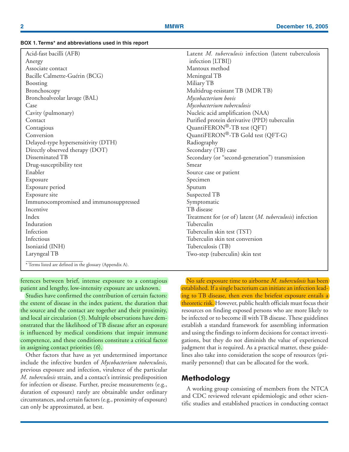|  |  | BOX 1. Terms* and abbreviations used in this report |  |  |  |  |
|--|--|-----------------------------------------------------|--|--|--|--|
|--|--|-----------------------------------------------------|--|--|--|--|

\* Terms listed are defined in the glossary (Appendix A). Acid-fast bacilli (AFB) Anergy Associate contact Bacille Calmette-Guérin (BCG) Boosting Bronchoscopy Bronchoalveolar lavage (BAL) Case Cavity (pulmonary) Contact Contagious Conversion Delayed-type hypersensitivity (DTH) Directly observed therapy (DOT) Disseminated TB Drug-susceptibility test Enabler Exposure Exposure period Exposure site Immunocompromised and immunosuppressed Incentive Index Induration Infection Infectious Isoniazid (INH) Laryngeal TB

ferences between brief, intense exposure to a contagious patient and lengthy, low-intensity exposure are unknown.

Studies have confirmed the contribution of certain factors: the extent of disease in the index patient, the duration that the source and the contact are together and their proximity, and local air circulation (*5*). Multiple observations have demonstrated that the likelihood of TB disease after an exposure is influenced by medical conditions that impair immune competence, and these conditions constitute a critical factor in assigning contact priorities (*6*).

Other factors that have as yet undetermined importance include the infective burden of *Mycobacterium tuberculosis*, previous exposure and infection, virulence of the particular *M. tuberculosis* strain, and a contact's intrinsic predisposition for infection or disease. Further, precise measurements (e.g., duration of exposure) rarely are obtainable under ordinary circumstances, and certain factors (e.g., proximity of exposure) can only be approximated, at best.

Latent *M. tuberculosis* infection (latent tuberculosis infection [LTBI]) Mantoux method Meningeal TB Miliary TB Multidrug-resistant TB (MDR TB) *Mycobacterium bovis Mycobacterium tuberculosis* Nucleic acid amplification (NAA) Purified protein derivative (PPD) tuberculin QuantiFERON®-TB test (QFT) QuantiFERON®-TB Gold test (QFT-G) Radiography Secondary (TB) case Secondary (or "second-generation") transmission Smear Source case or patient Specimen Sputum Suspected TB Symptomatic TB disease Treatment for (or of) latent (*M. tuberculosis*) infection Tuberculin Tuberculin skin test (TST) Tuberculin skin test conversion Tuberculosis (TB) Two-step (tuberculin) skin test

No safe exposure time to airborne *M. tuberculosis* has been established. If a single bacterium can initiate an infection leading to TB disease, then even the briefest exposure entails a theoretic risk. However, public health officials must focus their resources on finding exposed persons who are more likely to be infected or to become ill with TB disease. These guidelines establish a standard framework for assembling information and using the findings to inform decisions for contact investigations, but they do not diminish the value of experienced judgment that is required. As a practical matter, these guidelines also take into consideration the scope of resources (primarily personnel) that can be allocated for the work.

### **Methodology**

A working group consisting of members from the NTCA and CDC reviewed relevant epidemiologic and other scientific studies and established practices in conducting contact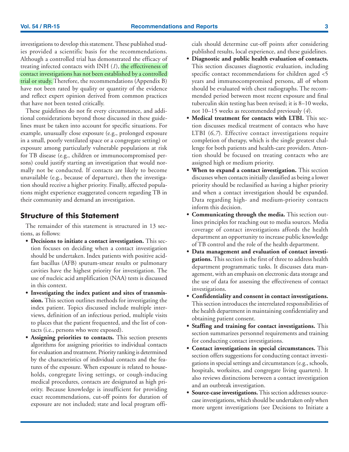investigations to develop this statement. These published studies provided a scientific basis for the recommendations. Although a controlled trial has demonstrated the efficacy of treating infected contacts with INH (*1*), the effectiveness of contact investigations has not been established by a controlled trial or study. Therefore, the recommendations (Appendix B) have not been rated by quality or quantity of the evidence and reflect expert opinion derived from common practices that have not been tested critically.

These guidelines do not fit every circumstance, and additional considerations beyond those discussed in these guidelines must be taken into account for specific situations. For example, unusually close exposure (e.g., prolonged exposure in a small, poorly ventilated space or a congregate setting) or exposure among particularly vulnerable populations at risk for TB disease (e.g., children or immunocompromised persons) could justify starting an investigation that would normally not be conducted. If contacts are likely to become unavailable (e.g., because of departure), then the investigation should receive a higher priority. Finally, affected populations might experience exaggerated concern regarding TB in their community and demand an investigation.

### **Structure of this Statement**

The remainder of this statement is structured in 13 sections, as follows:

- **Decisions to initiate a contact investigation.** This section focuses on deciding when a contact investigation should be undertaken. Index patients with positive acidfast bacillus (AFB) sputum-smear results or pulmonary cavities have the highest priority for investigation. The use of nucleic acid amplification (NAA) tests is discussed in this context.
- **Investigating the index patient and sites of transmission.** This section outlines methods for investigating the index patient. Topics discussed include multiple interviews, definition of an infectious period, multiple visits to places that the patient frequented, and the list of contacts (i.e., persons who were exposed).
- **Assigning priorities to contacts.** This section presents algorithms for assigning priorities to individual contacts for evaluation and treatment. Priority ranking is determined by the characteristics of individual contacts and the features of the exposure. When exposure is related to households, congregate living settings, or cough-inducing medical procedures, contacts are designated as high priority. Because knowledge is insufficient for providing exact recommendations, cut-off points for duration of exposure are not included; state and local program offi-

cials should determine cut-off points after considering published results, local experience, and these guidelines.

- **Diagnostic and public health evaluation of contacts.** This section discusses diagnostic evaluation, including specific contact recommendations for children aged <5 years and immunocompromised persons, all of whom should be evaluated with chest radiographs. The recommended period between most recent exposure and final tuberculin skin testing has been revised; it is 8–10 weeks, not 10–15 weeks as recommended previously (*4*).
- **Medical treatment for contacts with LTBI.** This section discusses medical treatment of contacts who have LTBI (*6,7*). Effective contact investigations require completion of therapy, which is the single greatest challenge for both patients and health-care providers. Attention should be focused on treating contacts who are assigned high or medium priority.
- **When to expand a contact investigation.** This section discusses when contacts initially classified as being a lower priority should be reclassified as having a higher priority and when a contact investigation should be expanded. Data regarding high- and medium-priority contacts inform this decision.
- **Communicating through the media.** This section outlines principles for reaching out to media sources. Media coverage of contact investigations affords the health department an opportunity to increase public knowledge of TB control and the role of the health department.
- **Data management and evaluation of contact investigations.** This section is the first of three to address health department programmatic tasks. It discusses data management, with an emphasis on electronic data storage and the use of data for assessing the effectiveness of contact investigations.
- **Confidentiality and consent in contact investigations.** This section introduces the interrelated responsibilities of the health department in maintaining confidentiality and obtaining patient consent.
- **Staffing and training for contact investigations.** This section summarizes personnel requirements and training for conducting contact investigations.
- **Contact investigations in special circumstances.** This section offers suggestions for conducting contact investigations in special settings and circumstances (e.g., schools, hospitals, worksites, and congregate living quarters). It also reviews distinctions between a contact investigation and an outbreak investigation.
- **Source-case investigations.** This section addresses sourcecase investigations, which should be undertaken only when more urgent investigations (see Decisions to Initiate a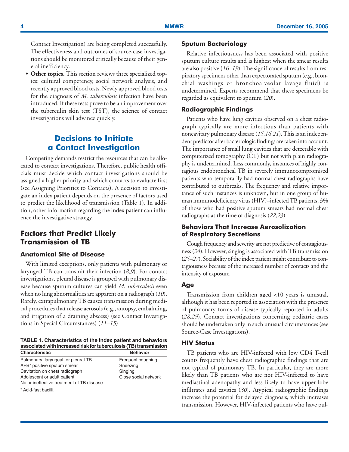<span id="page-5-0"></span>Contact Investigation) are being completed successfully. The effectiveness and outcomes of source-case investigations should be monitored critically because of their general inefficiency.

**• Other topics.** This section reviews three specialized topics: cultural competency, social network analysis, and recently approved blood tests. Newly approved blood tests for the diagnosis of *M. tuberculosis* infection have been introduced. If these tests prove to be an improvement over the tuberculin skin test (TST), the science of contact investigations will advance quickly.

# **Decisions to Initiate a Contact Investigation**

Competing demands restrict the resources that can be allocated to contact investigations. Therefore, public health officials must decide which contact investigations should be assigned a higher priority and which contacts to evaluate first (see Assigning Priorities to Contacts). A decision to investigate an index patient depends on the presence of factors used to predict the likelihood of transmission (Table 1). In addition, other information regarding the index patient can influence the investigative strategy.

# **Factors that Predict Likely Transmission of TB**

### **Anatomical Site of Disease**

With limited exceptions, only patients with pulmonary or laryngeal TB can transmit their infection (*8,9*). For contact investigations, pleural disease is grouped with pulmonary disease because sputum cultures can yield *M. tuberculosis* even when no lung abnormalities are apparent on a radiograph (*10*). Rarely, extrapulmonary TB causes transmission during medical procedures that release aerosols (e.g., autopsy, embalming, and irrigation of a draining abscess) (see Contact Investigations in Special Circumstances) (*11–15*)

#### **TABLE 1. Characteristics of the index patient and behaviors associated with increased risk for tuberculosis (TB) transmission**

| <b>Characteristic</b>                     | <b>Behavior</b>      |
|-------------------------------------------|----------------------|
| Pulmonary, laryngeal, or pleural TB       | Frequent coughing    |
| AFB* positive sputum smear                | Sneezing             |
| Cavitation on chest radiograph            | Singing              |
| Adolescent or adult patient               | Close social network |
| No or ineffective treatment of TB disease |                      |
|                                           |                      |

\* Acid-fast bacilli.

### **Sputum Bacteriology**

Relative infectiousness has been associated with positive sputum culture results and is highest when the smear results are also positive (*16–19*). The significance of results from respiratory specimens other than expectorated sputum (e.g., bronchial washings or bronchoalveolar lavage fluid) is undetermined. Experts recommend that these specimens be regarded as equivalent to sputum (*20*).

### **Radiographic Findings**

Patients who have lung cavities observed on a chest radiograph typically are more infectious than patients with noncavitary pulmonary disease (*15,16,21*). This is an independent predictor after bacteriologic findings are taken into account. The importance of small lung cavities that are detectable with computerized tomography (CT) but not with plain radiography is undetermined. Less commonly, instances of highly contagious endobroncheal TB in severely immunocompromised patients who temporarily had normal chest radiographs have contributed to outbreaks. The frequency and relative importance of such instances is unknown, but in one group of human immunodeficiency virus (HIV)–infected TB patients, 3% of those who had positive sputum smears had normal chest radiographs at the time of diagnosis (*22,23*).

### **Behaviors That Increase Aerosolization of Respiratory Secretions**

Cough frequency and severity are not predictive of contagiousness (*24*). However, singing is associated with TB transmission (*25–27*). Sociability of the index patient might contribute to contagiousness because of the increased number of contacts and the intensity of exposure.

#### **Age**

Transmission from children aged <10 years is unusual, although it has been reported in association with the presence of pulmonary forms of disease typically reported in adults (*28,29*). Contact investigations concerning pediatric cases should be undertaken only in such unusual circumstances (see Source-Case Investigations).

#### **HIV Status**

TB patients who are HIV-infected with low CD4 T-cell counts frequently have chest radiographic findings that are not typical of pulmonary TB. In particular, they are more likely than TB patients who are not HIV-infected to have mediastinal adenopathy and less likely to have upper-lobe infiltrates and cavities (*30*). Atypical radiographic findings increase the potential for delayed diagnosis, which increases transmission. However, HIV-infected patients who have pul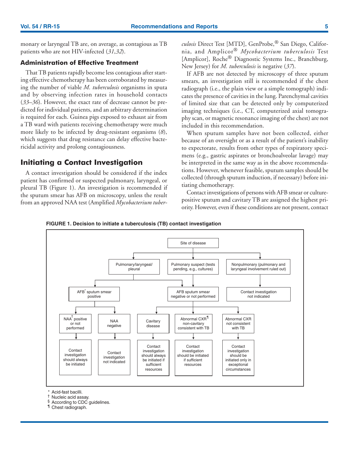monary or laryngeal TB are, on average, as contagious as TB patients who are not HIV-infected (*31,32*).

### **Administration of Effective Treatment**

That TB patients rapidly become less contagious after starting effective chemotherapy has been corroborated by measuring the number of viable *M. tuberculosis* organisms in sputa and by observing infection rates in household contacts (*33–36*). However, the exact rate of decrease cannot be predicted for individual patients, and an arbitrary determination is required for each. Guinea pigs exposed to exhaust air from a TB ward with patients receiving chemotherapy were much more likely to be infected by drug-resistant organisms (*8*), which suggests that drug resistance can delay effective bactericidal activity and prolong contagiousness.

### **Initiating a Contact Investigation**

A contact investigation should be considered if the index patient has confirmed or suspected pulmonary, laryngeal, or pleural TB (Figure 1). An investigation is recommended if the sputum smear has AFB on microscopy, unless the result from an approved NAA test (Amplified *Mycobacterium tuber-*

*culosis* Direct Test [MTD], GenProbe,® San Diego, California, and Amplicor® *Mycobacterium tuberculosis* Test [Amplicor], Roche® Diagnostic Systems Inc., Branchburg, New Jersey) for *M. tuberculosis* is negative (*37*).

If AFB are not detected by microscopy of three sputum smears, an investigation still is recommended if the chest radiograph (i.e., the plain view or a simple tomograph) indicates the presence of cavities in the lung. Parenchymal cavities of limited size that can be detected only by computerized imaging techniques (i.e., CT, computerized axial tomography scan, or magnetic resonance imaging of the chest) are not included in this recommendation.

When sputum samples have not been collected, either because of an oversight or as a result of the patient's inability to expectorate, results from other types of respiratory specimens (e.g., gastric aspirates or bronchoalveolar lavage) may be interpreted in the same way as in the above recommendations. However, whenever feasible, sputum samples should be collected (through sputum induction, if necessary) before initiating chemotherapy.

Contact investigations of persons with AFB smear or culturepositive sputum and cavitary TB are assigned the highest priority. However, even if these conditions are not present, contact





 $*$  Acid-fast bacilli.<br> $\dagger$  Nucleic acid assay.

§ According to CDC guidelines.

¶ Chest radiograph.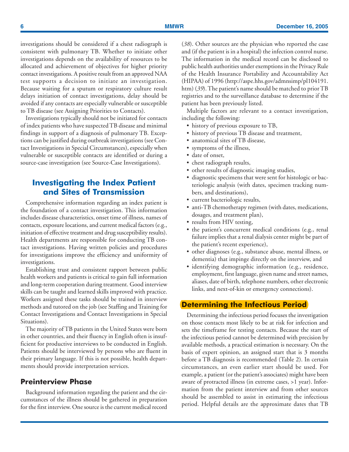<span id="page-7-0"></span>investigations should be considered if a chest radiograph is consistent with pulmonary TB. Whether to initiate other investigations depends on the availability of resources to be allocated and achievement of objectives for higher priority contact investigations. A positive result from an approved NAA test supports a decision to initiate an investigation. Because waiting for a sputum or respiratory culture result delays initiation of contact investigations, delay should be avoided if any contacts are especially vulnerable or susceptible to TB disease (see Assigning Priorities to Contacts).

Investigations typically should not be initiated for contacts of index patients who have suspected TB disease and minimal findings in support of a diagnosis of pulmonary TB. Exceptions can be justified during outbreak investigations (see Contact Investigations in Special Circumstances), especially when vulnerable or susceptible contacts are identified or during a source-case investigation (see Source-Case Investigations).

# **Investigating the Index Patient and Sites of Transmission**

Comprehensive information regarding an index patient is the foundation of a contact investigation. This information includes disease characteristics, onset time of illness, names of contacts, exposure locations, and current medical factors (e.g., initiation of effective treatment and drug susceptibility results). Health departments are responsible for conducting TB contact investigations. Having written policies and procedures for investigations improve the efficiency and uniformity of investigations.

Establishing trust and consistent rapport between public health workers and patients is critical to gain full information and long-term cooperation during treatment. Good interview skills can be taught and learned skills improved with practice. Workers assigned these tasks should be trained in interview methods and tutored on the job (see Staffing and Training for Contact Investigations and Contact Investigations in Special Situations).

The majority of TB patients in the United States were born in other countries, and their fluency in English often is insufficient for productive interviews to be conducted in English. Patients should be interviewed by persons who are fluent in their primary language. If this is not possible, health departments should provide interpretation services.

### **Preinterview Phase**

Background information regarding the patient and the circumstances of the illness should be gathered in preparation for the first interview. One source is the current medical record

(*38*). Other sources are the physician who reported the case and (if the patient is in a hospital) the infection control nurse. The information in the medical record can be disclosed to public health authorities under exemptions in the Privacy Rule of the Health Insurance Portability and Accountability Act (HIPAA) of 1996 [\(http://aspe.hhs.gov/admnsimp/pl104191.](http://aspe.hhs.gov/admnsimp/pl104191.htm) [htm\)](http://aspe.hhs.gov/admnsimp/pl104191.htm) (*39*). The patient's name should be matched to prior TB registries and to the surveillance database to determine if the patient has been previously listed.

Multiple factors are relevant to a contact investigation, including the following:

- history of previous exposure to TB,
- history of previous TB disease and treatment,
- anatomical sites of TB disease,
- symptoms of the illness,
- date of onset,
- chest radiograph results,
- other results of diagnostic imaging studies,
- diagnostic specimens that were sent for histologic or bacteriologic analysis (with dates, specimen tracking numbers, and destinations),
- current bacteriologic results,
- anti-TB chemotherapy regimen (with dates, medications, dosages, and treatment plan),
- results from HIV testing,
- the patient's concurrent medical conditions (e.g., renal failure implies that a renal dialysis center might be part of the patient's recent experience),
- other diagnoses (e.g., substance abuse, mental illness, or dementia) that impinge directly on the interview, and
- identifying demographic information (e.g., residence, employment, first language, given name and street names, aliases, date of birth, telephone numbers, other electronic links, and next-of-kin or emergency connections).

### **Determining the Infectious Period**

Determining the infectious period focuses the investigation on those contacts most likely to be at risk for infection and sets the timeframe for testing contacts. Because the start of the infectious period cannot be determined with precision by available methods, a practical estimation is necessary. On the basis of expert opinion, an assigned start that is 3 months before a TB diagnosis is recommended (Table 2). In certain circumstances, an even earlier start should be used. For example, a patient (or the patient's associates) might have been aware of protracted illness (in extreme cases, >1 year). Information from the patient interview and from other sources should be assembled to assist in estimating the infectious period. Helpful details are the approximate dates that TB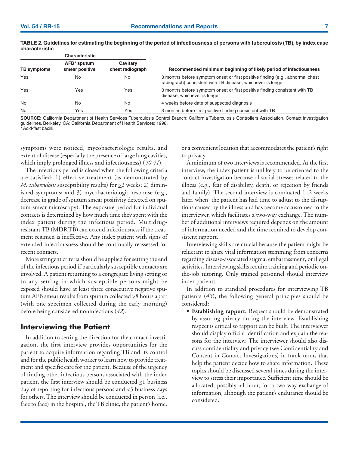|             | <b>Characteristic</b> |                  |                                                                                                                                              |
|-------------|-----------------------|------------------|----------------------------------------------------------------------------------------------------------------------------------------------|
|             | AFB* sputum           | Cavitary         |                                                                                                                                              |
| TB symptoms | smear positive        | chest radiograph | Recommended minimum beginning of likely period of infectiousness                                                                             |
| Yes         | No                    | No               | 3 months before symptom onset or first positive finding (e.g., abnormal chest<br>radiograph) consistent with TB disease, whichever is longer |
| Yes         | Yes                   | Yes              | 3 months before symptom onset or first positive finding consistent with TB<br>disease, whichever is longer                                   |
| <b>No</b>   | No                    | No               | 4 weeks before date of suspected diagnosis                                                                                                   |
| <b>No</b>   | Yes                   | Yes              | 3 months before first positive finding consistent with TB                                                                                    |

**TABLE 2. Guidelines for estimating the beginning of the period of infectiousness of persons with tuberculosis (TB), by index case characteristic**

**SOURCE:** California Department of Health Services Tuberculosis Control Branch; California Tuberculosis Controllers Association. Contact investigation guidelines. Berkeley, CA: California Department of Health Services; 1998. \* Acid-fast bacilli.

symptoms were noticed, mycobacteriologic results, and extent of disease (especially the presence of large lung cavities, which imply prolonged illness and infectiousness) (*40,41*).

The infectious period is closed when the following criteria are satisfied: 1) effective treatment (as demonstrated by *M. tuberculosis* susceptibility results) for  $\geq$  weeks; 2) diminished symptoms; and 3) mycobacteriologic response (e.g., decrease in grade of sputum smear positivity detected on sputum-smear microscopy). The exposure period for individual contacts is determined by how much time they spent with the index patient during the infectious period. Multidrugresistant TB (MDR TB) can extend infectiousness if the treatment regimen is ineffective. Any index patient with signs of extended infectiousness should be continually reassessed for recent contacts.

More stringent criteria should be applied for setting the end of the infectious period if particularly susceptible contacts are involved. A patient returning to a congregate living setting or to any setting in which susceptible persons might be exposed should have at least three consecutive negative sputum AFB smear results from sputum collected  $\geq 8$  hours apart (with one specimen collected during the early morning) before being considered noninfectious (*42*).

### **Interviewing the Patient**

In addition to setting the direction for the contact investigation, the first interview provides opportunities for the patient to acquire information regarding TB and its control and for the public health worker to learn how to provide treatment and specific care for the patient. Because of the urgency of finding other infectious persons associated with the index patient, the first interview should be conducted  $\leq$ 1 business day of reporting for infectious persons and  $\leq$ 3 business days for others. The interview should be conducted in person (i.e., face to face) in the hospital, the TB clinic, the patient's home,

or a convenient location that accommodates the patient's right to privacy.

A minimum of two interviews is recommended. At the first interview, the index patient is unlikely to be oriented to the contact investigation because of social stresses related to the illness (e.g., fear of disability, death, or rejection by friends and family). The second interview is conducted 1–2 weeks later, when the patient has had time to adjust to the disruptions caused by the illness and has become accustomed to the interviewer, which facilitates a two-way exchange. The number of additional interviews required depends on the amount of information needed and the time required to develop consistent rapport.

Interviewing skills are crucial because the patient might be reluctant to share vital information stemming from concerns regarding disease-associated stigma, embarrassment, or illegal activities. Interviewing skills require training and periodic onthe-job tutoring. Only trained personnel should interview index patients.

In addition to standard procedures for interviewing TB patients (*43*), the following general principles should be considered:

**• Establishing rapport.** Respect should be demonstrated by assuring privacy during the interview. Establishing respect is critical so rapport can be built. The interviewer should display official identification and explain the reasons for the interview. The interviewer should also discuss confidentiality and privacy (see Confidentiality and Consent in Contact Investigations) in frank terms that help the patient decide how to share information. These topics should be discussed several times during the interview to stress their importance. Sufficient time should be allocated, possibly >1 hour, for a two-way exchange of information, although the patient's endurance should be considered.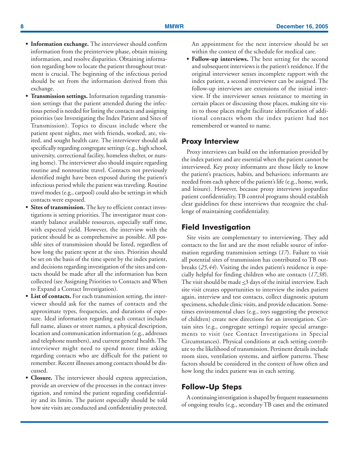- **Information exchange.** The interviewer should confirm information from the preinterview phase, obtain missing information, and resolve disparities. Obtaining information regarding how to locate the patient throughout treatment is crucial. The beginning of the infectious period should be set from the information derived from this exchange.
- **Transmission settings.** Information regarding transmission settings that the patient attended during the infectious period is needed for listing the contacts and assigning priorities (see Investigating the Index Patient and Sites of Transmission). Topics to discuss include where the patient spent nights, met with friends, worked, ate, visited, and sought health care. The interviewer should ask specifically regarding congregate settings (e.g., high school, university, correctional facility, homeless shelter, or nursing home). The interviewer also should inquire regarding routine and nonroutine travel. Contacts not previously identified might have been exposed during the patient's infectious period while the patient was traveling. Routine travel modes (e.g., carpool) could also be settings in which contacts were exposed.
- **Sites of transmission.** The key to efficient contact investigations is setting priorities. The investigator must constantly balance available resources, especially staff time, with expected yield. However, the interview with the patient should be as comprehensive as possible. All possible sites of transmission should be listed, regardless of how long the patient spent at the sites. Priorities should be set on the basis of the time spent by the index patient, and decisions regarding investigation of the sites and contacts should be made after all the information has been collected (see Assigning Priorities to Contacts and When to Expand a Contact Investigation).
- **List of contacts.** For each transmission setting, the interviewer should ask for the names of contacts and the approximate types, frequencies, and durations of exposure. Ideal information regarding each contact includes full name, aliases or street names, a physical description, location and communication information (e.g., addresses and telephone numbers), and current general health. The interviewer might need to spend more time asking regarding contacts who are difficult for the patient to remember. Recent illnesses among contacts should be discussed.
- **Closure.** The interviewer should express appreciation, provide an overview of the processes in the contact investigation, and remind the patient regarding confidentiality and its limits. The patient especially should be told how site visits are conducted and confidentiality protected.

An appointment for the next interview should be set within the context of the schedule for medical care.

**• Follow-up interviews.** The best setting for the second and subsequent interviews is the patient's residence. If the original interviewer senses incomplete rapport with the index patient, a second interviewer can be assigned. The follow-up interviews are extensions of the initial interview. If the interviewer senses resistance to meeting in certain places or discussing those places, making site visits to those places might facilitate identification of additional contacts whom the index patient had not remembered or wanted to name.

### **Proxy Interview**

Proxy interviews can build on the information provided by the index patient and are essential when the patient cannot be interviewed. Key proxy informants are those likely to know the patient's practices, habits, and behaviors; informants are needed from each sphere of the patient's life (e.g., home, work, and leisure). However, because proxy interviews jeopardize patient confidentiality, TB control programs should establish clear guidelines for these interviews that recognize the challenge of maintaining confidentiality.

# **Field Investigation**

Site visits are complementary to interviewing. They add contacts to the list and are the most reliable source of information regarding transmission settings (*17*). Failure to visit all potential sites of transmission has contributed to TB outbreaks (*25,44*). Visiting the index patient's residence is especially helpful for finding children who are contacts (*17,38*). The visit should be made  $\leq$ 3 days of the initial interview. Each site visit creates opportunities to interview the index patient again, interview and test contacts, collect diagnostic sputum specimens, schedule clinic visits, and provide education. Sometimes environmental clues (e.g., toys suggesting the presence of children) create new directions for an investigation. Certain sites (e.g., congregate settings) require special arrangements to visit (see Contact Investigations in Special Circumstances). Physical conditions at each setting contribute to the likelihood of transmission. Pertinent details include room sizes, ventilation systems, and airflow patterns. These factors should be considered in the context of how often and how long the index patient was in each setting.

# **Follow-Up Steps**

A continuing investigation is shaped by frequent reassessments of ongoing results (e.g., secondary TB cases and the estimated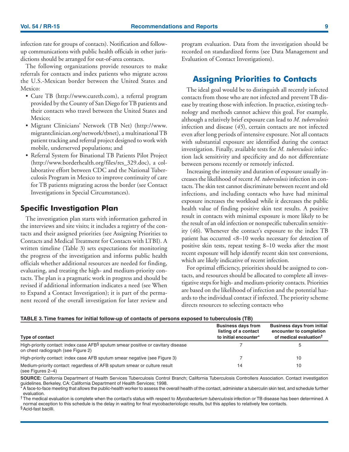<span id="page-10-0"></span>infection rate for groups of contacts). Notification and followup communications with public health officials in other jurisdictions should be arranged for out-of-area contacts.

The following organizations provide resources to make referrals for contacts and index patients who migrate across the U.S.-Mexican border between the United States and Mexico:

- Cure TB (http://www.curetb.com), a referral program provided by the County of San Diego for TB patients and their contacts who travel between the United States and Mexico;
- Migrant Clinicians' Network (TB Net) [\(http://www.](http://www.migrantclinician.org/network/tbnet) [migrantclinician.org/network/tbnet\),](http://www.migrantclinician.org/network/tbnet) a multinational TB patient tracking and referral project designed to work with mobile, underserved populations; and
- Referral System for Binational TB Patients Pilot Project [\(http://www.borderhealth.org/files/res\\_329.doc\),](http://www.borderhealth.org/files/res_329.doc) a collaborative effort between CDC and the National Tuberculosis Program in Mexico to improve continuity of care for TB patients migrating across the border (see Contact Investigations in Special Circumstances).

### **Specific Investigation Plan**

The investigation plan starts with information gathered in the interviews and site visits; it includes a registry of the contacts and their assigned priorities (see Assigning Priorities to Contacts and Medical Treatment for Contacts with LTBI). A written timeline (Table 3) sets expectations for monitoring the progress of the investigation and informs public health officials whether additional resources are needed for finding, evaluating, and treating the high- and medium-priority contacts. The plan is a pragmatic work in progress and should be revised if additional information indicates a need (see When to Expand a Contact Investigation); it is part of the permanent record of the overall investigation for later review and program evaluation. Data from the investigation should be recorded on standardized forms (see Data Management and Evaluation of Contact Investigations).

### **Assigning Priorities to Contacts**

The ideal goal would be to distinguish all recently infected contacts from those who are not infected and prevent TB disease by treating those with infection. In practice, existing technology and methods cannot achieve this goal. For example, although a relatively brief exposure can lead to *M. tuberculosis* infection and disease (*45*), certain contacts are not infected even after long periods of intensive exposure. Not all contacts with substantial exposure are identified during the contact investigation. Finally, available tests for *M. tuberculosis* infection lack sensitivity and specificity and do not differentiate between persons recently or remotely infected.

Increasing the intensity and duration of exposure usually increases the likelihood of recent *M. tuberculosis* infection in contacts. The skin test cannot discriminate between recent and old infections, and including contacts who have had minimal exposure increases the workload while it decreases the public health value of finding positive skin test results. A positive result in contacts with minimal exposure is more likely to be the result of an old infection or nonspecific tuberculin sensitivity (*46*). Whenever the contact's exposure to the index TB patient has occurred <8–10 weeks necessary for detection of positive skin tests, repeat testing 8–10 weeks after the most recent exposure will help identify recent skin test conversions, which are likely indicative of recent infection.

For optimal efficiency, priorities should be assigned to contacts, and resources should be allocated to complete all investigative steps for high- and medium-priority contacts. Priorities are based on the likelihood of infection and the potential hazards to the individual contact if infected. The priority scheme directs resources to selecting contacts who

| TABLE 3. Time frames for initial follow-up of contacts of persons exposed to tuberculosis (TB) |  |  |  |
|------------------------------------------------------------------------------------------------|--|--|--|
|------------------------------------------------------------------------------------------------|--|--|--|

| Type of contact                                                                                                                    | <b>Business days from</b><br>listing of a contact<br>to initial encounter* | <b>Business days from initial</b><br>encounter to completion<br>of medical evaluation <sup>†</sup> |
|------------------------------------------------------------------------------------------------------------------------------------|----------------------------------------------------------------------------|----------------------------------------------------------------------------------------------------|
| High-priority contact: index case AFB <sup>§</sup> sputum smear positive or cavitary disease<br>on chest radiograph (see Figure 2) |                                                                            | 5                                                                                                  |
| High-priority contact: index case AFB sputum smear negative (see Figure 3)                                                         |                                                                            | 10                                                                                                 |
| Medium-priority contact: regardless of AFB sputum smear or culture result<br>(see Figures $2-4$ )                                  | 14                                                                         | 10                                                                                                 |

**SOURCE:** California Department of Health Services Tuberculosis Control Branch; California Tuberculosis Controllers Association. Contact investigation guidelines. Berkeley, CA: California Department of Health Services; 1998.

A face-to-face meeting that allows the public-health worker to assess the overall health of the contact, administer a tuberculin skin test, and schedule further evaluation.

<sup>†</sup>The medical evaluation is complete when the contact's status with respect to Mycobacterium tuberculosis infection or TB disease has been determined. A normal exception to this schedule is the delay in waiting for final mycobacteriologic results, but this applies to relatively few contacts. §Acid-fast bacilli.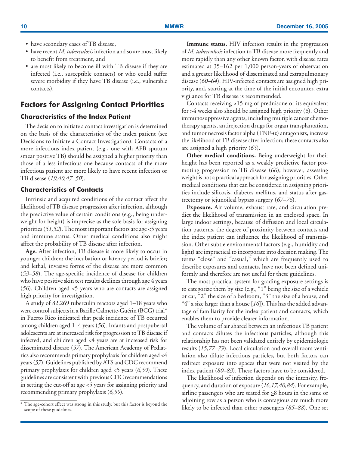- have secondary cases of TB disease,
- have recent *M. tuberculosis* infection and so are most likely to benefit from treatment, and
- are most likely to become ill with TB disease if they are infected (i.e., susceptible contacts) or who could suffer severe morbidity if they have TB disease (i.e., vulnerable contacts).

# **Factors for Assigning Contact Priorities**

### **Characteristics of the Index Patient**

The decision to initiate a contact investigation is determined on the basis of the characteristics of the index patient (see Decisions to Initiate a Contact Investigation). Contacts of a more infectious index patient (e.g., one with AFB sputum smear positive TB) should be assigned a higher priority than those of a less infectious one because contacts of the more infectious patient are more likely to have recent infection or TB disease (*19,40,47–50*).

### **Characteristics of Contacts**

Intrinsic and acquired conditions of the contact affect the likelihood of TB disease progression after infection, although the predictive value of certain conditions (e.g., being underweight for height) is imprecise as the sole basis for assigning priorities (*51,52*). The most important factors are age <5 years and immune status. Other medical conditions also might affect the probability of TB disease after infection.

**Age.** After infection, TB disease is more likely to occur in younger children; the incubation or latency period is briefer; and lethal, invasive forms of the disease are more common (*53–58*). The age-specific incidence of disease for children who have positive skin test results declines through age 4 years (*56*). Children aged <5 years who are contacts are assigned high priority for investigation.

A study of 82,269 tuberculin reactors aged 1–18 years who were control subjects in a Bacille Calmette-Guérin (BCG) trial\* in Puerto Rico indicated that peak incidence of TB occurred among children aged 1–4 years (*56*). Infants and postpubertal adolescents are at increased risk for progression to TB disease if infected, and children aged <4 years are at increased risk for disseminated disease (*57*). The American Academy of Pediatrics also recommends primary prophylaxis for children aged <4 years (*57*). Guidelines published by ATS and CDC recommend primary prophylaxis for children aged <5 years (*6,59*). These guidelines are consistent with previous CDC recommendations in setting the cut-off at age <5 years for assigning priority and recommending primary prophylaxis (*6,59*).

**Immune status.** HIV infection results in the progression of *M. tuberculosis* infection to TB disease more frequently and more rapidly than any other known factor, with disease rates estimated at 35–162 per 1,000 person-years of observation and a greater likelihood of disseminated and extrapulmonary disease (*60–64*). HIV-infected contacts are assigned high priority, and, starting at the time of the initial encounter, extra vigilance for TB disease is recommended.

Contacts receiving >15 mg of prednisone or its equivalent for >4 weeks also should be assigned high priority (*6*). Other immunosuppressive agents, including multiple cancer chemotherapy agents, antirejection drugs for organ transplantation, and tumor necrosis factor alpha (TNF-α) antagonists, increase the likelihood of TB disease after infection; these contacts also are assigned a high priority (*65*).

**Other medical conditions.** Being underweight for their height has been reported as a weakly predictive factor promoting progression to TB disease (*66*); however, assessing weight is not a practical approach for assigning priorities. Other medical conditions that can be considered in assigning priorities include silicosis, diabetes mellitus, and status after gastrectomy or jejunoileal bypass surgery (*67–76*).

**Exposure.** Air volume, exhaust rate, and circulation predict the likelihood of transmission in an enclosed space. In large indoor settings, because of diffusion and local circulation patterns, the degree of proximity between contacts and the index patient can influence the likelihood of transmission. Other subtle environmental factors (e.g., humidity and light) are impractical to incorporate into decision making. The terms "close" and "casual," which are frequently used to describe exposures and contacts, have not been defined uniformly and therefore are not useful for these guidelines.

The most practical system for grading exposure settings is to categorize them by size (e.g., "1" being the size of a vehicle or car, "2" the size of a bedroom, "3" the size of a house, and "4" a size larger than a house [*16*]). This has the added advantage of familiarity for the index patient and contacts, which enables them to provide clearer information.

The volume of air shared between an infectious TB patient and contacts dilutes the infectious particles, although this relationship has not been validated entirely by epidemiologic results (*15,77–79*). Local circulation and overall room ventilation also dilute infectious particles, but both factors can redirect exposure into spaces that were not visited by the index patient (*80–83*). These factors have to be considered.

The likelihood of infection depends on the intensity, frequency, and duration of exposure (*16,17,40,84*). For example, airline passengers who are seated for  $\geq 8$  hours in the same or adjoining row as a person who is contagious are much more The age-cohort effect was strong in this study, but this factor is beyond the<br>scope of these guidelines<br>scope of these guidelines

scope of these guidelines.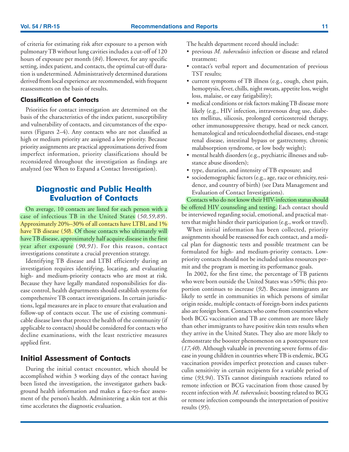<span id="page-12-0"></span>of criteria for estimating risk after exposure to a person with pulmonary TB without lung cavities includes a cut-off of 120 hours of exposure per month (*84*). However, for any specific setting, index patient, and contacts, the optimal cut-off duration is undetermined. Administratively determined durations derived from local experience are recommended, with frequent reassessments on the basis of results.

#### **Classification of Contacts**

Priorities for contact investigation are determined on the basis of the characteristics of the index patient, susceptibility and vulnerability of contacts, and circumstances of the exposures (Figures 2–4). Any contacts who are not classified as high or medium priority are assigned a low priority. Because priority assignments are practical approximations derived from imperfect information, priority classifications should be reconsidered throughout the investigation as findings are analyzed (see When to Expand a Contact Investigation).

# **Diagnostic and Public Health Evaluation of Contacts**

On average, 10 contacts are listed for each person with a case of infectious TB in the United States (*50,59,89*). Approximately 20%–30% of all contacts have LTBI, and 1% have TB disease (*50*). Of those contacts who ultimately will have TB disease, approximately half acquire disease in the first year after exposure (*90,91*). For this reason, contact investigations constitute a crucial prevention strategy.

Identifying TB disease and LTBI efficiently during an investigation requires identifying, locating, and evaluating high- and medium-priority contacts who are most at risk. Because they have legally mandated responsibilities for disease control, health departments should establish systems for comprehensive TB contact investigations. In certain jurisdictions, legal measures are in place to ensure that evaluation and follow-up of contacts occur. The use of existing communicable disease laws that protect the health of the community (if applicable to contacts) should be considered for contacts who decline examinations, with the least restrictive measures applied first.

### **Initial Assessment of Contacts**

During the initial contact encounter, which should be accomplished within 3 working days of the contact having been listed the investigation, the investigator gathers background health information and makes a face-to-face assessment of the person's health. Administering a skin test at this time accelerates the diagnostic evaluation.

The health department record should include:

- previous *M. tuberculosis* infection or disease and related treatment;
- contact's verbal report and documentation of previous TST results;
- current symptoms of TB illness (e.g., cough, chest pain, hemoptysis, fever, chills, night sweats, appetite loss, weight loss, malaise, or easy fatigability);
- medical conditions or risk factors making TB disease more likely (e.g., HIV infection, intravenous drug use, diabetes mellitus, silicosis, prolonged corticosteroid therapy, other immunosuppressive therapy, head or neck cancer, hematological and reticuloendothelial diseases, end-stage renal disease, intestinal bypass or gastrectomy, chronic malabsorption syndrome, or low body weight);
- mental health disorders (e.g., psychiatric illnesses and substance abuse disorders);
- type, duration, and intensity of TB exposure; and
- sociodemographic factors (e.g., age, race or ethnicity, residence, and country of birth) (see Data Management and Evaluation of Contact Investigations).

Contacts who do not know their HIV-infection status should be offered HIV counseling and testing. Each contact should be interviewed regarding social, emotional, and practical matters that might hinder their participation (e.g., work or travel).

When initial information has been collected, priority assignments should be reassessed for each contact, and a medical plan for diagnostic tests and possible treatment can be formulated for high- and medium-priority contacts. Lowpriority contacts should not be included unless resources permit and the program is meeting its performance goals.

In 2002, for the first time, the percentage of TB patients who were born outside the United States was >50%; this proportion continues to increase (*92*). Because immigrants are likely to settle in communities in which persons of similar origin reside, multiple contacts of foreign-born index patients also are foreign born. Contacts who come from countries where both BCG vaccination and TB are common are more likely than other immigrants to have positive skin tests results when they arrive in the United States. They also are more likely to demonstrate the booster phenomenon on a postexposure test (*17,40*). Although valuable in preventing severe forms of disease in young children in countries where TB is endemic, BCG vaccination provides imperfect protection and causes tuberculin sensitivity in certain recipients for a variable period of time (*93,94*). TSTs cannot distinguish reactions related to remote infection or BCG vaccination from those caused by recent infection with *M. tuberculosis*; boosting related to BCG or remote infection compounds the interpretation of positive results (*95*).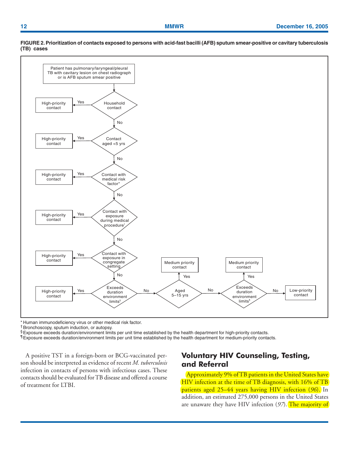

#### **FIGURE 2. Prioritization of contacts exposed to persons with acid-fast bacilli (AFB) sputum smear-positive or cavitary tuberculosis (TB) cases**

\* Human immunodeficiency virus or other medical risk factor.

†Bronchoscopy, sputum induction, or autopsy.

§Exposure exceeds duration/environment limits per unit time established by the health department for high-priority contacts.

¶Exposure exceeds duration/environment limits per unit time established by the health department for medium-priority contacts.

A positive TST in a foreign-born or BCG-vaccinated person should be interpreted as evidence of recent *M. tuberculosis* infection in contacts of persons with infectious cases. These contacts should be evaluated for TB disease and offered a course of treatment for LTBI.

# **Voluntary HIV Counseling, Testing, and Referral**

Approximately 9% of TB patients in the United States have HIV infection at the time of TB diagnosis, with 16% of TB patients aged 25–44 years having HIV infection (*96*). In addition, an estimated 275,000 persons in the United States are unaware they have HIV infection (*97*). The majority of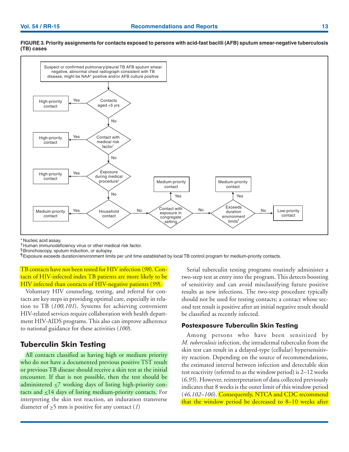

#### **FIGURE 3. Priority assignments for contacts exposed to persons with acid-fast bacilli (AFB) sputum smear-negative tuberculosis (TB) cases**

\* Nucleic acid assay.

†Human immunodeficiency virus or other medical risk factor.

§Bronchoscopy, sputum induction, or autopsy.

¶Exposure exceeds duration/environment limits per unit time established by local TB control program for medium-priority contacts.

TB contacts have not been tested for HIV infection (*98*). Contacts of HIV-infected index TB patients are more likely to be HIV infected than contacts of HIV-negative patients (*99*).

Voluntary HIV counseling, testing, and referral for contacts are key steps in providing optimal care, especially in relation to TB (*100,101*). Systems for achieving convenient HIV-related services require collaboration with health department HIV-AIDS programs. This also can improve adherence to national guidance for these activities (*100*).

# **Tuberculin Skin Testing**

All contacts classified as having high or medium priority who do not have a documented previous positive TST result or previous TB disease should receive a skin test at the initial encounter. If that is not possible, then the test should be administered  $\leq$  working days of listing high-priority contacts and  $\leq$ 14 days of listing medium-priority contacts. For interpreting the skin test reaction, an induration transverse diameter of  $\geq$ 5 mm is positive for any contact (1)

Serial tuberculin testing programs routinely administer a two-step test at entry into the program. This detects boosting of sensitivity and can avoid misclassifying future positive results as new infections. The two-step procedure typically should not be used for testing contacts; a contact whose second test result is positive after an initial negative result should be classified as recently infected.

#### **Postexposure Tuberculin Skin Testing**

Among persons who have been sensitized by *M. tuberculosis* infection, the intradermal tuberculin from the skin test can result in a delayed-type (cellular) hypersensitivity reaction. Depending on the source of recommendations, the estimated interval between infection and detectable skin test reactivity (referred to as the window period) is 2–12 weeks (*6,95*). However, reinterpretation of data collected previously indicates that 8 weeks is the outer limit of this window period (*46,102–106*). Consequently, NTCA and CDC recommend that the window period be decreased to 8–10 weeks after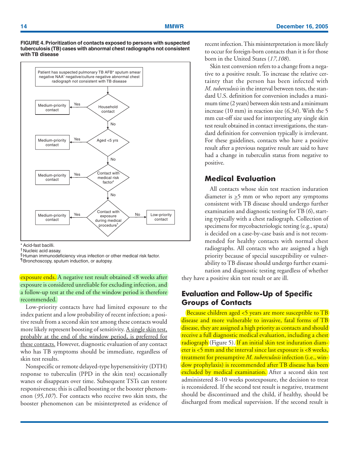**FIGURE 4. Prioritization of contacts exposed to persons with suspected tuberculosis (TB) cases with abnormal chest radiographs not consistent with TB disease**



\* Acid-fast bacilli.

†Nucleic acid assay.

§Human immunodeficiency virus infection or other medical risk factor.

¶Bronchoscopy, sputum induction, or autopsy.

exposure ends. A negative test result obtained <8 weeks after exposure is considered unreliable for excluding infection, and a follow-up test at the end of the window period is therefore recommended.

Low-priority contacts have had limited exposure to the index patient and a low probability of recent infection; a positive result from a second skin test among these contacts would more likely represent boosting of sensitivity. A single skin test, probably at the end of the window period, is preferred for these contacts. However, diagnostic evaluation of any contact who has TB symptoms should be immediate, regardless of skin test results.

Nonspecific or remote delayed-type hypersensitivity (DTH) response to tuberculin (PPD in the skin test) occasionally wanes or disappears over time. Subsequent TSTs can restore responsiveness; this is called boosting or the booster phenomenon (*95,107*). For contacts who receive two skin tests, the booster phenomenon can be misinterpreted as evidence of recent infection. This misinterpretation is more likely to occur for foreign-born contacts than it is for those born in the United States (*17,108*).

Skin test conversion refers to a change from a negative to a positive result. To increase the relative certainty that the person has been infected with *M. tuberculosis* in the interval between tests, the standard U.S. definition for conversion includes a maximum time (2 years) between skin tests and a minimum increase (10 mm) in reaction size (*6,34*). With the 5 mm cut-off size used for interpreting any single skin test result obtained in contact investigations, the standard definition for conversion typically is irrelevant. For these guidelines, contacts who have a positive result after a previous negative result are said to have had a change in tuberculin status from negative to positive.

# **Medical Evaluation**

All contacts whose skin test reaction induration diameter is  $\geq 5$  mm or who report any symptoms consistent with TB disease should undergo further examination and diagnostic testing for TB (*6*), starting typically with a chest radiograph. Collection of specimens for mycobacteriologic testing (e.g., sputa) is decided on a case-by-case basis and is not recommended for healthy contacts with normal chest radiographs. All contacts who are assigned a high priority because of special susceptibility or vulnerability to TB disease should undergo further examination and diagnostic testing regardless of whether

they have a positive skin test result or are ill.

# **Evaluation and Follow-Up of Specific Groups of Contacts**

Because children aged <5 years are more susceptible to TB disease and more vulnerable to invasive, fatal forms of TB disease, they are assigned a high priority as contacts and should receive a full diagnostic medical evaluation, including a chest radiograph (Figure 5). If an initial skin test induration diameter is <5 mm and the interval since last exposure is <8 weeks, treatment for presumptive *M. tuberculosis* infection (i.e., window prophylaxis) is recommended after TB disease has been excluded by medical examination. After a second skin test administered 8–10 weeks postexposure, the decision to treat is reconsidered. If the second test result is negative, treatment should be discontinued and the child, if healthy, should be discharged from medical supervision. If the second result is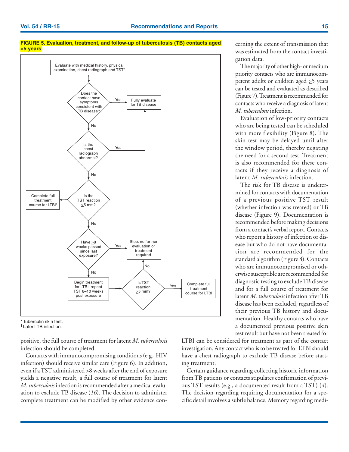

#### **FIGURE 5. Evaluation, treatment, and follow-up of tuberculosis (TB) contacts aged <5 years**

positive, the full course of treatment for latent *M. tuberculosis* infection should be completed.

Contacts with immunocompromising conditions (e.g., HIV infection) should receive similar care (Figure 6). In addition, even if a TST administered  $\geq$ 8 weeks after the end of exposure yields a negative result, a full course of treatment for latent *M. tuberculosis* infection is recommended after a medical evaluation to exclude TB disease (*16*). The decision to administer complete treatment can be modified by other evidence concerning the extent of transmission that was estimated from the contact investigation data.

The majority of other high- or medium priority contacts who are immunocompetent adults or children aged  $\geq$ 5 years can be tested and evaluated as described (Figure 7). Treatment is recommended for contacts who receive a diagnosis of latent *M. tuberculosis* infection.

Evaluation of low-priority contacts who are being tested can be scheduled with more flexibility (Figure 8). The skin test may be delayed until after the window period, thereby negating the need for a second test. Treatment is also recommended for these contacts if they receive a diagnosis of latent *M. tuberculosis* infection.

The risk for TB disease is undetermined for contacts with documentation of a previous positive TST result (whether infection was treated) or TB disease (Figure 9). Documentation is recommended before making decisions from a contact's verbal report. Contacts who report a history of infection or disease but who do not have documentation are recommended for the standard algorithm (Figure 8). Contacts who are immunocompromised or otherwise susceptible are recommended for diagnostic testing to exclude TB disease and for a full course of treatment for latent *M. tuberculosis* infection after TB disease has been excluded, regardless of their previous TB history and documentation. Healthy contacts who have a documented previous positive skin test result but have not been treated for

LTBI can be considered for treatment as part of the contact investigation. Any contact who is to be treated for LTBI should have a chest radiograph to exclude TB disease before starting treatment.

Certain guidance regarding collecting historic information from TB patients or contacts stipulates confirmation of previous TST results (e.g., a documented result from a TST) (*4*). The decision regarding requiring documentation for a specific detail involves a subtle balance. Memory regarding medi-

<sup>\*</sup> Tuberculin skin test. †Latent TB infection.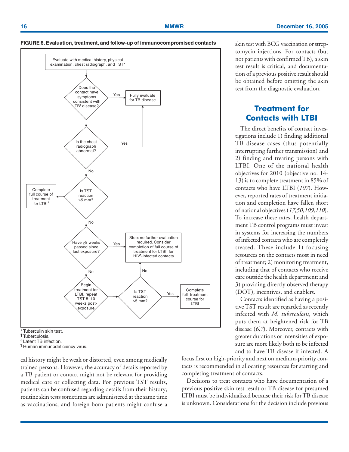

#### <span id="page-17-0"></span>**FIGURE 6. Evaluation, treatment, and follow-up of immunocompromised contacts**

\* Tuberculin skin test.

†Tuberculosis.

§Latent TB infection. ¶Human immunodeficiency virus.

cal history might be weak or distorted, even among medically trained persons. However, the accuracy of details reported by a TB patient or contact might not be relevant for providing medical care or collecting data. For previous TST results, patients can be confused regarding details from their history; routine skin tests sometimes are administered at the same time as vaccinations, and foreign-born patients might confuse a

skin test with BCG vaccination or streptomycin injections. For contacts (but not patients with confirmed TB), a skin test result is critical, and documentation of a previous positive result should be obtained before omitting the skin test from the diagnostic evaluation.

# **Treatment for Contacts with LTBI**

The direct benefits of contact investigations include 1) finding additional TB disease cases (thus potentially interrupting further transmission) and 2) finding and treating persons with LTBI. One of the national health objectives for 2010 (objective no. 14- 13) is to complete treatment in 85% of contacts who have LTBI (*107*). However, reported rates of treatment initiation and completion have fallen short of national objectives (*17,50,109,110*). To increase these rates, health department TB control programs must invest in systems for increasing the numbers of infected contacts who are completely treated. These include 1) focusing resources on the contacts most in need of treatment; 2) monitoring treatment, including that of contacts who receive care outside the health department; and 3) providing directly observed therapy (DOT), incentives, and enablers.

Contacts identified as having a positive TST result are regarded as recently infected with *M. tuberculosis*, which puts them at heightened risk for TB disease (*6,7*). Moreover, contacts with greater durations or intensities of exposure are more likely both to be infected and to have TB disease if infected. A

focus first on high-priority and next on medium-priority contacts is recommended in allocating resources for starting and completing treatment of contacts.

Decisions to treat contacts who have documentation of a previous positive skin test result or TB disease for presumed LTBI must be individualized because their risk for TB disease is unknown. Considerations for the decision include previous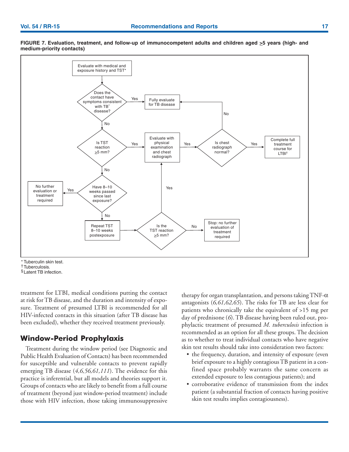

#### **FIGURE 7. Evaluation, treatment, and follow-up of immunocompetent adults and children aged >5 years (high- and medium-priority contacts)**

\* Tuberculin skin test.

†Tuberculosis.

§ Latent TB infection.

treatment for LTBI, medical conditions putting the contact at risk for TB disease, and the duration and intensity of exposure. Treatment of presumed LTBI is recommended for all HIV-infected contacts in this situation (after TB disease has been excluded), whether they received treatment previously.

# **Window-Period Prophylaxis**

Treatment during the window period (see Diagnostic and Public Health Evaluation of Contacts) has been recommended for susceptible and vulnerable contacts to prevent rapidly emerging TB disease (*4,6,56,61,111*). The evidence for this practice is inferential, but all models and theories support it. Groups of contacts who are likely to benefit from a full course of treatment (beyond just window-period treatment) include those with HIV infection, those taking immunosuppressive therapy for organ transplantation, and persons taking  $TNF-\alpha$ antagonists (*6,61,62,65*). The risks for TB are less clear for patients who chronically take the equivalent of >15 mg per day of prednisone (*6*). TB disease having been ruled out, prophylactic treatment of presumed *M. tuberculosis* infection is recommended as an option for all these groups. The decision as to whether to treat individual contacts who have negative skin test results should take into consideration two factors:

- the frequency, duration, and intensity of exposure (even brief exposure to a highly contagious TB patient in a confined space probably warrants the same concern as extended exposure to less contagious patients); and
- corroborative evidence of transmission from the index patient (a substantial fraction of contacts having positive skin test results implies contagiousness).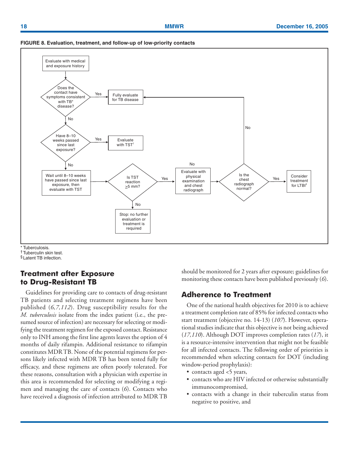

#### **FIGURE 8. Evaluation, treatment, and follow-up of low-priority contacts**

\* Tuberculosis.

†Tuberculin skin test.

§Latent TB infection.

# **Treatment after Exposure to Drug-Resistant TB**

Guidelines for providing care to contacts of drug-resistant TB patients and selecting treatment regimens have been published (*6,7,112*). Drug susceptibility results for the *M. tuberculosis* isolate from the index patient (i.e., the presumed source of infection) are necessary for selecting or modifying the treatment regimen for the exposed contact. Resistance only to INH among the first line agents leaves the option of 4 months of daily rifampin. Additional resistance to rifampin constitutes MDR TB. None of the potential regimens for persons likely infected with MDR TB has been tested fully for efficacy, and these regimens are often poorly tolerated. For these reasons, consultation with a physician with expertise in this area is recommended for selecting or modifying a regimen and managing the care of contacts (*6*). Contacts who have received a diagnosis of infection attributed to MDR TB should be monitored for 2 years after exposure; guidelines for monitoring these contacts have been published previously (*6*).

### **Adherence to Treatment**

One of the national health objectives for 2010 is to achieve a treatment completion rate of 85% for infected contacts who start treatment (objective no. 14-13) (*107*). However, operational studies indicate that this objective is not being achieved (*17,110*). Although DOT improves completion rates (*17*), it is a resource-intensive intervention that might not be feasible for all infected contacts. The following order of priorities is recommended when selecting contacts for DOT (including window-period prophylaxis):

- contacts aged <5 years,
- contacts who are HIV infected or otherwise substantially immunocompromised,
- contacts with a change in their tuberculin status from negative to positive, and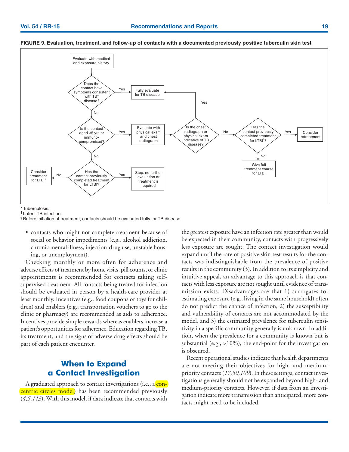

#### <span id="page-20-0"></span>**FIGURE 9. Evaluation, treatment, and follow-up of contacts with a documented previously positive tuberculin skin test**

\* Tuberculosis.

†Latent TB infection.

§Before initiation of treatment, contacts should be evaluated fully for TB disease.

• contacts who might not complete treatment because of social or behavior impediments (e.g., alcohol addiction, chronic mental illness, injection-drug use, unstable housing, or unemployment).

Checking monthly or more often for adherence and adverse effects of treatment by home visits, pill counts, or clinic appointments is recommended for contacts taking selfsupervised treatment. All contacts being treated for infection should be evaluated in person by a health-care provider at least monthly. Incentives (e.g., food coupons or toys for children) and enablers (e.g., transportation vouchers to go to the clinic or pharmacy) are recommended as aids to adherence. Incentives provide simple rewards whereas enablers increase a patient's opportunities for adherence. Education regarding TB, its treatment, and the signs of adverse drug effects should be part of each patient encounter.

# **When to Expand a Contact Investigation**

A graduated approach to contact investigations (i.e., a concentric circles model) has been recommended previously (*4,5,113*). With this model, if data indicate that contacts with

the greatest exposure have an infection rate greater than would be expected in their community, contacts with progressively less exposure are sought. The contact investigation would expand until the rate of positive skin test results for the contacts was indistinguishable from the prevalence of positive results in the community (*5*). In addition to its simplicity and intuitive appeal, an advantage to this approach is that contacts with less exposure are not sought until evidence of transmission exists. Disadvantages are that 1) surrogates for estimating exposure (e.g., living in the same household) often do not predict the chance of infection, 2) the susceptibility and vulnerability of contacts are not accommodated by the model, and 3) the estimated prevalence for tuberculin sensitivity in a specific community generally is unknown. In addition, when the prevalence for a community is known but is substantial (e.g., >10%), the end-point for the investigation is obscured.

Recent operational studies indicate that health departments are not meeting their objectives for high- and mediumpriority contacts (*17,50,109*). In these settings, contact investigations generally should not be expanded beyond high- and medium-priority contacts. However, if data from an investigation indicate more transmission than anticipated, more contacts might need to be included.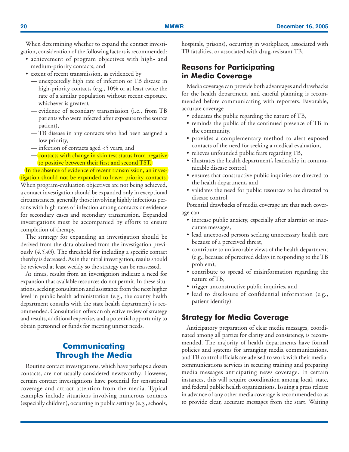<span id="page-21-0"></span>When determining whether to expand the contact investigation, consideration of the following factors is recommended:

- achievement of program objectives with high- and medium-priority contacts; and
- extent of recent transmission, as evidenced by
	- unexpectedly high rate of infection or TB disease in high-priority contacts (e.g., 10% or at least twice the rate of a similar population without recent exposure, whichever is greater),
	- evidence of secondary transmission (i.e., from TB patients who were infected after exposure to the source patient),
	- TB disease in any contacts who had been assigned a low priority,
	- infection of contacts aged <5 years, and
	- contacts with change in skin test status from negative to positive between their first and second TST.

In the absence of evidence of recent transmission, an investigation should not be expanded to lower priority contacts. When program-evaluation objectives are not being achieved, a contact investigation should be expanded only in exceptional circumstances, generally those involving highly infectious persons with high rates of infection among contacts or evidence for secondary cases and secondary transmission. Expanded investigations must be accompanied by efforts to ensure completion of therapy.

The strategy for expanding an investigation should be derived from the data obtained from the investigation previously (*4,5,43*). The threshold for including a specific contact thereby is decreased. As in the initial investigation, results should be reviewed at least weekly so the strategy can be reassessed.

At times, results from an investigation indicate a need for expansion that available resources do not permit. In these situations, seeking consultation and assistance from the next higher level in public health administration (e.g., the county health department consults with the state health department) is recommended. Consultation offers an objective review of strategy and results, additional expertise, and a potential opportunity to obtain personnel or funds for meeting unmet needs.

# **Communicating Through the Media**

Routine contact investigations, which have perhaps a dozen contacts, are not usually considered newsworthy. However, certain contact investigations have potential for sensational coverage and attract attention from the media. Typical examples include situations involving numerous contacts (especially children), occurring in public settings (e.g., schools, hospitals, prisons), occurring in workplaces, associated with TB fatalities, or associated with drug-resistant TB.

# **Reasons for Participating in Media Coverage**

Media coverage can provide both advantages and drawbacks for the health department, and careful planning is recommended before communicating with reporters. Favorable, accurate coverage

- educates the public regarding the nature of TB,
- reminds the public of the continued presence of TB in the community,
- provides a complementary method to alert exposed contacts of the need for seeking a medical evaluation,
- relieves unfounded public fears regarding TB,
- illustrates the health department's leadership in communicable disease control,
- ensures that constructive public inquiries are directed to the health department, and
- validates the need for public resources to be directed to disease control.

Potential drawbacks of media coverage are that such coverage can

- increase public anxiety, especially after alarmist or inaccurate messages,
- lead unexposed persons seeking unnecessary health care because of a perceived threat,
- contribute to unfavorable views of the health department (e.g., because of perceived delays in responding to the TB problem),
- contribute to spread of misinformation regarding the nature of TB,
- trigger unconstructive public inquiries, and
- lead to disclosure of confidential information (e.g., patient identity).

# **Strategy for Media Coverage**

Anticipatory preparation of clear media messages, coordinated among all parties for clarity and consistency, is recommended. The majority of health departments have formal policies and systems for arranging media communications, and TB control officials are advised to work with their mediacommunications services in securing training and preparing media messages anticipating news coverage. In certain instances, this will require coordination among local, state, and federal public health organizations. Issuing a press release in advance of any other media coverage is recommended so as to provide clear, accurate messages from the start. Waiting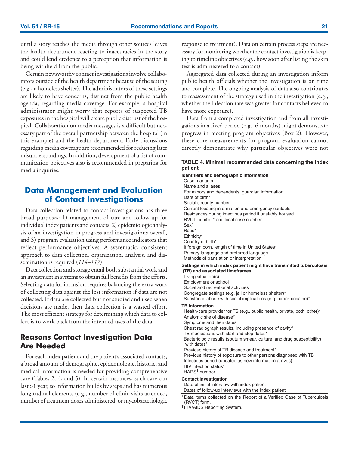<span id="page-22-0"></span>until a story reaches the media through other sources leaves the health department reacting to inaccuracies in the story and could lend credence to a perception that information is being withheld from the public.

Certain newsworthy contact investigations involve collaborators outside of the health department because of the setting (e.g., a homeless shelter). The administrators of these settings are likely to have concerns, distinct from the public health agenda, regarding media coverage. For example, a hospital administrator might worry that reports of suspected TB exposures in the hospital will create public distrust of the hospital. Collaboration on media messages is a difficult but necessary part of the overall partnership between the hospital (in this example) and the health department. Early discussions regarding media coverage are recommended for reducing later misunderstandings. In addition, development of a list of communication objectives also is recommended in preparing for media inquiries.

# **Data Management and Evaluation of Contact Investigations**

Data collection related to contact investigations has three broad purposes: 1) management of care and follow-up for individual index patients and contacts, 2) epidemiologic analysis of an investigation in progress and investigations overall, and 3) program evaluation using performance indicators that reflect performance objectives. A systematic, consistent approach to data collection, organization, analysis, and dissemination is required (*114–117*).

Data collection and storage entail both substantial work and an investment in systems to obtain full benefits from the efforts. Selecting data for inclusion requires balancing the extra work of collecting data against the lost information if data are not collected. If data are collected but not studied and used when decisions are made, then data collection is a wasted effort. The most efficient strategy for determining which data to collect is to work back from the intended uses of the data.

# **Reasons Contact Investigation Data Are Needed**

For each index patient and the patient's associated contacts, a broad amount of demographic, epidemiologic, historic, and medical information is needed for providing comprehensive care (Tables 2, 4, and 5). In certain instances, such care can last >1 year, so information builds by steps and has numerous longitudinal elements (e.g., number of clinic visits attended, number of treatment doses administered, or mycobacteriologic response to treatment). Data on certain process steps are necessary for monitoring whether the contact investigation is keeping to timeline objectives (e.g., how soon after listing the skin test is administered to a contact).

Aggregated data collected during an investigation inform public health officials whether the investigation is on time and complete. The ongoing analysis of data also contributes to reassessment of the strategy used in the investigation (e.g., whether the infection rate was greater for contacts believed to have more exposure).

Data from a completed investigation and from all investigations in a fixed period (e.g., 6 months) might demonstrate progress in meeting program objectives (Box 2). However, these core measurements for program evaluation cannot directly demonstrate why particular objectives were not

#### **TABLE 4. Minimal recommended data concerning the index patient**

**Identifiers and demographic information** Case manager Name and aliases For minors and dependents, guardian information Date of birth\* Social security number Current locating information and emergency contacts Residences during infectious period if unstably housed RVCT number\* and local case number Sex\* Race\* Ethnicity\* Country of birth\* If foreign born, length of time in United States\* Primary language and preferred language Methods of translation or interpretation **Settings in which index patient might have transmitted tuberculosis (TB) and associated timeframes** Living situation(s) Employment or school Social and recreational activities Congregate settings (e.g. jail or homeless shelter)\* Substance abuse with social implications (e.g., crack cocaine)\* **TB information** Health-care provider for TB (e.g., public health, private, both, other)\* Anatomic site of disease<sup>\*</sup> Symptoms and their dates Chest radiograph results, including presence of cavity\* TB medications with start and stop dates\* Bacteriologic results (sputum smear, culture, and drug susceptibility) with dates<sup>\*</sup>

Previous history of TB disease and treatment\*

Previous history of exposure to other persons diagnosed with TB

Infectious period (updated as new information arrives)

HIV infection status\*

HARS† number

#### **Contact investigation**

Date of initial interview with index patient Dates of follow-up interviews with the index patient

\* Data items collected on the Report of a Verified Case of Tuberculosis (RVCT) form.

<sup>†</sup>HIV/AIDS Reporting System.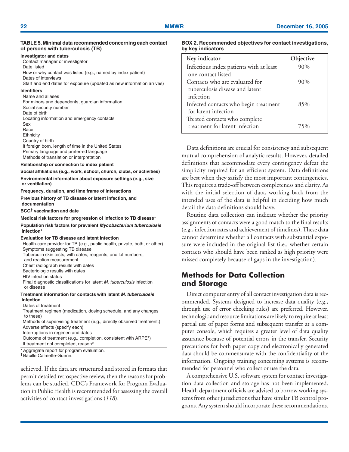#### **TABLE 5. Minimal data recommended concerning each contact of persons with tuberculosis (TB)**

#### **Investigator and dates**

Contact manager or investigator Date listed How or why contact was listed (e.g., named by index patient) Dates of interviews Start and end dates for exposure (updated as new information arrives) **Identifiers** Name and aliases For minors and dependents, guardian information

Social security number Date of birth Locating information and emergency contacts Sex Race **Ethnicity** Country of birth If foreign born, length of time in the United States Primary language and preferred language Methods of translation or interpretation

#### **Relationship or connection to index patient**

**Social affiliations (e.g., work, school, church, clubs, or activities)**

**Environmental information about exposure settings (e.g., size or ventilation)**

#### **Frequency, duration, and time frame of interactions**

**Previous history of TB disease or latent infection, and documentation**

**BCG† vaccination and date**

#### **Medical risk factors for progression of infection to TB disease\***

**Population risk factors for prevalent Mycobacterium tuberculosis infection\***

#### **Evaluation for TB disease and latent infection**

Health-care provider for TB (e.g., public health, private, both, or other) Symptoms suggesting TB disease

Tuberculin skin tests, with dates, reagents, and lot numbers,

and reaction measurement

Chest radiograph results with dates

Bacteriologic results with dates

HIV infection status

Final diagnostic classifications for latent M. tuberculosis infection or disease

#### **Treatment information for contacts with latent M. tuberculosis infection**

Dates of treatment

Treatment regimen (medication, dosing schedule, and any changes to these)

Methods of supervising treatment (e.g., directly observed treatment.) Adverse effects (specify each)

Interruptions in regimen and dates

Outcome of treatment (e.g., completion, consistent with ARPE**\***) If treatment not completed, reason**\***

†Bacille Calmette-Guérin.

achieved. If the data are structured and stored in formats that permit detailed retrospective review, then the reasons for problems can be studied. CDC's Framework for Program Evaluation in Public Health is recommended for assessing the overall activities of contact investigations (*118*).

### **BOX 2. Recommended objectives for contact investigations, by key indicators**

| Key indicator                           | Objective |
|-----------------------------------------|-----------|
| Infectious index patients with at least | 90%       |
| one contact listed                      |           |
| Contacts who are evaluated for          | 90%       |
| tuberculosis disease and latent         |           |
| infection                               |           |
| Infected contacts who begin treatment   | 85%       |
| for latent infection                    |           |
| Treated contacts who complete           |           |
| treatment for latent infection          | 75%       |

Data definitions are crucial for consistency and subsequent mutual comprehension of analytic results. However, detailed definitions that accommodate every contingency defeat the simplicity required for an efficient system. Data definitions are best when they satisfy the most important contingencies. This requires a trade-off between completeness and clarity. As with the initial selection of data, working back from the intended uses of the data is helpful in deciding how much detail the data definitions should have.

Routine data collection can indicate whether the priority assignments of contacts were a good match to the final results (e.g., infection rates and achievement of timelines). These data cannot determine whether all contacts with substantial exposure were included in the original list (i.e., whether certain contacts who should have been ranked as high priority were missed completely because of gaps in the investigation).

# **Methods for Data Collection and Storage**

Direct computer entry of all contact investigation data is recommended. Systems designed to increase data quality (e.g., through use of error checking rules) are preferred. However, technologic and resource limitations are likely to require at least partial use of paper forms and subsequent transfer at a computer console, which requires a greater level of data quality assurance because of potential errors in the transfer. Security precautions for both paper copy and electronically generated data should be commensurate with the confidentiality of the information. Ongoing training concerning systems is recommended for personnel who collect or use the data.

A comprehensive U.S. software system for contact investigation data collection and storage has not been implemented. Health department officials are advised to borrow working systems from other jurisdictions that have similar TB control programs. Any system should incorporate these recommendations.

<sup>\*</sup> Aggregate report for program evaluation.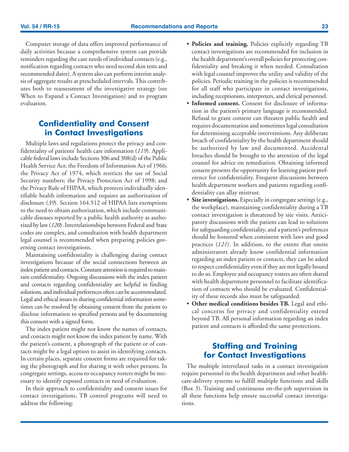<span id="page-24-0"></span>Computer storage of data offers improved performance of daily activities because a comprehensive system can provide reminders regarding the care needs of individual contacts (e.g., notification regarding contacts who need second skin tests and recommended dates). A system also can perform interim analysis of aggregate results at prescheduled intervals. This contributes both to reassessment of the investigative strategy (see When to Expand a Contact Investigation) and to program evaluation.

# **Confidentiality and Consent in Contact Investigations**

Multiple laws and regulations protect the privacy and confidentiality of patients' health care information (*119*). Applicable federal laws include Sections 306 and 308(d) of the Public Health Service Act; the Freedom of Information Act of 1966; the Privacy Act of 1974, which restricts the use of Social Security numbers; the Privacy Protection Act of 1998; and the Privacy Rule of HIPAA, which protects individually identifiable health information and requires an authorization of disclosure (*39*). Section 164.512 of HIPAA lists exemptions to the need to obtain authorization, which include communicable diseases reported by a public health authority as authorized by law (*120*). Interrelationships between Federal and State codes are complex, and consultation with health department legal counsel is recommended when preparing policies governing contact investigations.

Maintaining confidentiality is challenging during contact investigations because of the social connections between an index patient and contacts. Constant attention is required to maintain confidentiality. Ongoing discussions with the index patient and contacts regarding confidentiality are helpful in finding solutions, and individual preferences often can be accommodated. Legal and ethical issues in sharing confidential information sometimes can be resolved by obtaining consent from the patient to disclose information to specified persons and by documenting this consent with a signed form.

The index patient might not know the names of contacts, and contacts might not know the index patient by name. With the patient's consent, a photograph of the patient or of contacts might be a legal option to assist in identifying contacts. In certain places, separate consent forms are required for taking the photograph and for sharing it with other persons. In congregate settings, access to occupancy rosters might be necessary to identify exposed contacts in need of evaluation.

In their approach to confidentiality and consent issues for contact investigations, TB control programs will need to address the following:

- **Policies and training.** Policies explicitly regarding TB contact investigations are recommended for inclusion in the health department's overall policies for protecting confidentiality and breaking it when needed. Consultation with legal counsel improves the utility and validity of the policies. Periodic training in the policies is recommended for all staff who participate in contact investigations, including receptionists, interpreters, and clerical personnel.
- **Informed consent.** Consent for disclosure of information in the patient's primary language is recommended. Refusal to grant consent can threaten public health and requires documentation and sometimes legal consultation for determining acceptable interventions. Any deliberate breach of confidentiality by the health department should be authorized by law and documented. Accidental breaches should be brought to the attention of the legal counsel for advice on remediation. Obtaining informed consent presents the opportunity for learning patient preference for confidentiality. Frequent discussions between health department workers and patients regarding confidentiality can allay mistrust.
- **Site investigations.** Especially in congregate settings (e.g., the workplace), maintaining confidentiality during a TB contact investigation is threatened by site visits. Anticipatory discussions with the patient can lead to solutions for safeguarding confidentiality, and a patient's preferences should be honored when consistent with laws and good practices (*121*). In addition, to the extent that onsite administrators already know confidential information regarding an index patient or contacts, they can be asked to respect confidentiality even if they are not legally bound to do so. Employee and occupancy rosters are often shared with health department personnel to facilitate identification of contacts who should be evaluated. Confidentiality of these records also must be safeguarded.
- **Other medical conditions besides TB.** Legal and ethical concerns for privacy and confidentiality extend beyond TB. All personal information regarding an index patient and contacts is afforded the same protections.

# **Staffing and Training for Contact Investigations**

The multiple interrelated tasks in a contact investigation require personnel in the health department and other healthcare-delivery systems to fulfill multiple functions and skills (Box 3). Training and continuous on-the-job supervision in all these functions help ensure successful contact investigations.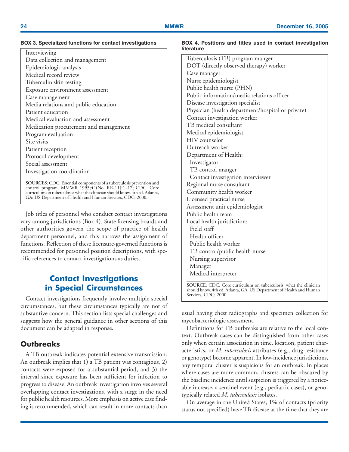#### <span id="page-25-0"></span>**BOX 3. Specialized functions for contact investigations**

| Interviewing                                                                                                                 |
|------------------------------------------------------------------------------------------------------------------------------|
| Data collection and management                                                                                               |
| Epidemiologic analysis                                                                                                       |
| Medical record review                                                                                                        |
| Tuberculin skin testing                                                                                                      |
| Exposure environment assessment                                                                                              |
| Case management                                                                                                              |
| Media relations and public education                                                                                         |
| Patient education                                                                                                            |
| Medical evaluation and assessment                                                                                            |
| Medication procurement and management                                                                                        |
| Program evaluation                                                                                                           |
| Site visits                                                                                                                  |
| Patient reception                                                                                                            |
| Protocol development                                                                                                         |
| Social assessment                                                                                                            |
| Investigation coordination                                                                                                   |
|                                                                                                                              |
| SOURCES: CDC. Essential components of a tuberculosis prevention and<br>control program MMWR 1005.44(No RR 11).1 17. CDC Core |

control program. MMWR 1995;44(No. RR-11):1–17; CDC. Core curriculum on tuberculosis: what the clinician should know. 4th ed. Atlanta, GA: US Department of Health and Human Services, CDC; 2000.

Job titles of personnel who conduct contact investigations vary among jurisdictions (Box 4). State licensing boards and other authorities govern the scope of practice of health department personnel, and this narrows the assignment of functions. Reflection of these licensure-governed functions is recommended for personnel position descriptions, with specific references to contact investigations as duties.

# **Contact Investigations in Special Circumstances**

Contact investigations frequently involve multiple special circumstances, but these circumstances typically are not of substantive concern. This section lists special challenges and suggests how the general guidance in other sections of this document can be adapted in response.

# **Outbreaks**

A TB outbreak indicates potential extensive transmission. An outbreak implies that 1) a TB patient was contagious, 2) contacts were exposed for a substantial period, and 3) the interval since exposure has been sufficient for infection to progress to disease. An outbreak investigation involves several overlapping contact investigations, with a surge in the need for public health resources. More emphasis on active case finding is recommended, which can result in more contacts than

#### **BOX 4. Positions and titles used in contact investigation literature**

| Tuberculosis (TB) program manger                                 |
|------------------------------------------------------------------|
| DOT (directly observed therapy) worker                           |
| Case manager                                                     |
| Nurse epidemiologist                                             |
| Public health nurse (PHN)                                        |
| Public information/media relations officer                       |
| Disease investigation specialist                                 |
| Physician (health department/hospital or private)                |
| Contact investigation worker                                     |
| TB medical consultant                                            |
| Medical epidemiologist                                           |
| HIV counselor                                                    |
| Outreach worker                                                  |
| Department of Health:                                            |
| Investigator                                                     |
| TB control manger                                                |
| Contact investigation interviewer                                |
| Regional nurse consultant                                        |
| Community health worker                                          |
| Licensed practical nurse                                         |
| Assessment unit epidemiologist                                   |
| Public health team                                               |
| Local health jurisdiction:                                       |
| Field staff                                                      |
| Health officer                                                   |
| Public health worker                                             |
| TB control/public health nurse                                   |
| Nursing supervisor                                               |
| Manager                                                          |
| Medical interpreter                                              |
| SOURCE: CDC. Core curriculum on tuberculosis: what the clinician |

should know. 4th ed. Atlanta, GA: US Department of Health and Human Services, CDC; 2000.

usual having chest radiographs and specimen collection for mycobacteriologic assessment.

Definitions for TB outbreaks are relative to the local context. Outbreak cases can be distinguished from other cases only when certain association in time, location, patient characteristics, or *M. tuberculosis* attributes (e.g., drug resistance or genotype) become apparent. In low-incidence jurisdictions, any temporal cluster is suspicious for an outbreak. In places where cases are more common, clusters can be obscured by the baseline incidence until suspicion is triggered by a noticeable increase, a sentinel event (e.g., pediatric cases), or genotypically related *M. tuberculosis* isolates.

On average in the United States, 1% of contacts (priority status not specified) have TB disease at the time that they are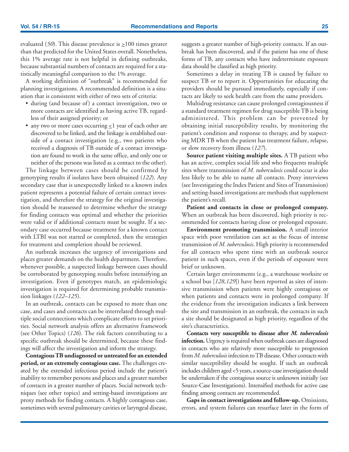evaluated (50). This disease prevalence is  $\geq$ 100 times greater than that predicted for the United States overall. Nonetheless, this 1% average rate is not helpful in defining outbreaks, because substantial numbers of contacts are required for a statistically meaningful comparison to the 1% average.

A working definition of "outbreak" is recommended for planning investigations. A recommended definition is a situation that is consistent with either of two sets of criteria:

- during (and because of) a contact investigation, two or more contacts are identified as having active TB, regardless of their assigned priority; or
- any two or more cases occurring  $\leq$ 1 year of each other are discovered to be linked, and the linkage is established outside of a contact investigation (e.g., two patients who received a diagnosis of TB outside of a contact investigation are found to work in the same office, and only one or neither of the persons was listed as a contact to the other).

The linkage between cases should be confirmed by genotyping results if isolates have been obtained (*122*). Any secondary case that is unexpectedly linked to a known index patient represents a potential failure of certain contact investigation, and therefore the strategy for the original investigation should be reassessed to determine whether the strategy for finding contacts was optimal and whether the priorities were valid or if additional contacts must be sought. If a secondary case occurred because treatment for a known contact with LTBI was not started or completed, then the strategies for treatment and completion should be reviewed.

An outbreak increases the urgency of investigations and places greater demands on the health department. Therefore, whenever possible, a suspected linkage between cases should be corroborated by genotyping results before intensifying an investigation. Even if genotypes match, an epidemiologic investigation is required for determining probable transmission linkages (*122–125*).

In an outbreak, contacts can be exposed to more than one case, and cases and contacts can be interrelated through multiple social connections which complicate efforts to set priorities. Social network analysis offers an alternative framework (see Other Topics) (*126*). The risk factors contributing to a specific outbreak should be determined, because these findings will affect the investigation and inform the strategy.

**Contagious TB undiagnosed or untreated for an extended period, or an extremely contagious case.** The challenges created by the extended infectious period include the patient's inability to remember persons and places and a greater number of contacts in a greater number of places. Social network techniques (see other topics) and setting-based investigations are proxy methods for finding contacts. A highly contagious case, sometimes with several pulmonary cavities or laryngeal disease, suggests a greater number of high-priority contacts. If an outbreak has been discovered, and if the patient has one of these forms of TB, any contacts who have indeterminate exposure data should be classified as high priority.

Sometimes a delay in treating TB is caused by failure to suspect TB or to report it. Opportunities for educating the providers should be pursued immediately, especially if contacts are likely to seek health care from the same providers.

Multidrug resistance can cause prolonged contagiousness if a standard treatment regimen for drug susceptible TB is being administered. This problem can be prevented by obtaining initial susceptibility results, by monitoring the patient's condition and response to therapy, and by suspecting MDR TB when the patient has treatment failure, relapse, or slow recovery from illness (*127*).

**Source patient visiting multiple sites.** A TB patient who has an active, complex social life and who frequents multiple sites where transmission of *M. tuberculosis* could occur is also less likely to be able to name all contacts. Proxy interviews (see Investigating the Index Patient and Sites of Transmission) and setting-based investigations are methods that supplement the patient's recall.

**Patient and contacts in close or prolonged company.** When an outbreak has been discovered, high priority is recommended for contacts having close or prolonged exposure.

**Environment promoting transmission.** A small interior space with poor ventilation can act as the focus of intense transmission of *M. tuberculosis*. High priority is recommended for all contacts who spent time with an outbreak source patient in such spaces, even if the periods of exposure were brief or unknown.

Certain larger environments (e.g., a warehouse worksite or a school bus [*128,129*]) have been reported as sites of intensive transmission when patients were highly contagious or when patients and contacts were in prolonged company. If the evidence from the investigation indicates a link between the site and transmission in an outbreak, the contacts in such a site should be designated as high priority, regardless of the site's characteristics.

**Contacts very susceptible to disease after** *M. tuberculosis* **infection.** Urgency is required when outbreak cases are diagnosed in contacts who are relatively more susceptible to progression from *M. tuberculosis* infection to TB disease. Other contacts with similar susceptibility should be sought. If such an outbreak includes children aged <5 years, a source-case investigation should be undertaken if the contagious source is unknown initially (see Source-Case Investigations). Intensified methods for active case finding among contacts are recommended.

**Gaps in contact investigations and follow-up.** Omissions, errors, and system failures can resurface later in the form of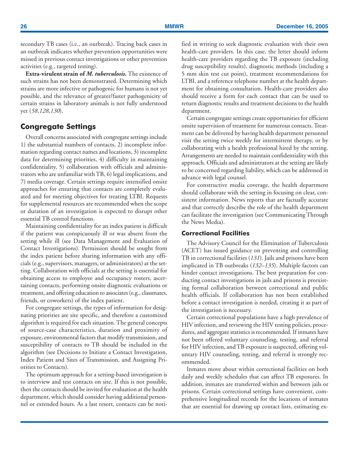secondary TB cases (i.e., an outbreak). Tracing back cases in an outbreak indicates whether prevention opportunities were missed in previous contact investigations or other prevention activities (e.g., targeted testing).

**Extra-virulent strain of** *M. tuberculosis***.** The existence of such strains has not been demonstrated. Determining which strains are more infective or pathogenic for humans is not yet possible, and the relevance of greater/faster pathogenicity of certain strains in laboratory animals is not fully understood yet (*58,128,130*).

### **Congregate Settings**

Overall concerns associated with congregate settings include 1) the substantial numbers of contacts, 2) incomplete information regarding contact names and locations, 3) incomplete data for determining priorities, 4) difficulty in maintaining confidentiality, 5) collaboration with officials and administrators who are unfamiliar with TB, 6) legal implications, and 7) media coverage. Certain settings require intensified onsite approaches for ensuring that contacts are completely evaluated and for meeting objectives for treating LTBI. Requests for supplemental resources are recommended when the scope or duration of an investigation is expected to disrupt other essential TB control functions.

Maintaining confidentiality for an index patient is difficult if the patient was conspicuously ill or was absent from the setting while ill (see Data Management and Evaluation of Contact Investigations). Permission should be sought from the index patient before sharing information with any officials (e.g., supervisors, managers, or administrators) at the setting. Collaboration with officials at the setting is essential for obtaining access to employee and occupancy rosters, ascertaining contacts, performing onsite diagnostic evaluations or treatment, and offering education to associates (e.g., classmates, friends, or coworkers) of the index patient.

For congregate settings, the types of information for designating priorities are site specific, and therefore a customized algorithm is required for each situation. The general concepts of source-case characteristics, duration and proximity of exposure, environmental factors that modify transmission, and susceptibility of contacts to TB should be included in the algorithm (see Decisions to Initiate a Contact Investigation, Index Patient and Sites of Transmission, and Assigning Priorities to Contacts).

The optimum approach for a setting-based investigation is to interview and test contacts on site. If this is not possible, then the contacts should be invited for evaluation at the health department, which should consider having additional personnel or extended hours. As a last resort, contacts can be notified in writing to seek diagnostic evaluation with their own health-care providers. In this case, the letter should inform health-care providers regarding the TB exposure (including drug susceptibility results), diagnostic methods (including a 5 mm skin test cut point), treatment recommendations for LTBI, and a reference telephone number at the health department for obtaining consultation. Health-care providers also should receive a form for each contact that can be used to return diagnostic results and treatment decisions to the health department.

Certain congregate settings create opportunities for efficient onsite supervision of treatment for numerous contacts. Treatment can be delivered by having health department personnel visit the setting twice weekly for intermittent therapy, or by collaborating with a health professional hired by the setting. Arrangements are needed to maintain confidentiality with this approach. Officials and administrators at the setting are likely to be concerned regarding liability, which can be addressed in advance with legal counsel.

For constructive media coverage, the health department should collaborate with the setting in focusing on clear, consistent information. News reports that are factually accurate and that correctly describe the role of the health department can facilitate the investigation (see Communicating Through the News Media).

### **Correctional Facilities**

The Advisory Council for the Elimination of Tuberculosis (ACET) has issued guidance on preventing and controlling TB in correctional facilities (*131*). Jails and prisons have been implicated in TB outbreaks (*132–135*). Multiple factors can hinder contact investigations. The best preparation for conducting contact investigations in jails and prisons is preexisting formal collaboration between correctional and public health officials. If collaboration has not been established before a contact investigation is needed, creating it as part of the investigation is necessary.

Certain correctional populations have a high prevalence of HIV infection, and reviewing the HIV testing policies, procedures, and aggregate statistics is recommended. If inmates have not been offered voluntary counseling, testing, and referral for HIV infection, and TB exposure is suspected, offering voluntary HIV counseling, testing, and referral is strongly recommended.

Inmates move about within correctional facilities on both daily and weekly schedules that can affect TB exposures. In addition, inmates are transferred within and between jails or prisons. Certain correctional settings have convenient, comprehensive longitudinal records for the locations of inmates that are essential for drawing up contact lists, estimating ex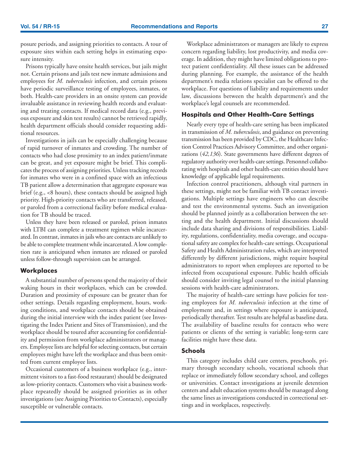posure periods, and assigning priorities to contacts. A tour of exposure sites within each setting helps in estimating exposure intensity.

Prisons typically have onsite health services, but jails might not. Certain prisons and jails test new inmate admissions and employees for *M. tuberculosis* infection, and certain prisons have periodic surveillance testing of employees, inmates, or both. Health-care providers in an onsite system can provide invaluable assistance in reviewing health records and evaluating and treating contacts. If medical record data (e.g., previous exposure and skin test results) cannot be retrieved rapidly, health department officials should consider requesting additional resources.

Investigations in jails can be especially challenging because of rapid turnover of inmates and crowding. The number of contacts who had close proximity to an index patient/inmate can be great, and yet exposure might be brief. This complicates the process of assigning priorities. Unless tracking records for inmates who were in a confined space with an infectious TB patient allow a determination that aggregate exposure was brief (e.g., <8 hours), these contacts should be assigned high priority. High-priority contacts who are transferred, released, or paroled from a correctional facility before medical evaluation for TB should be traced.

Unless they have been released or paroled, prison inmates with LTBI can complete a treatment regimen while incarcerated. In contrast, inmates in jails who are contacts are unlikely to be able to complete treatment while incarcerated. A low completion rate is anticipated when inmates are released or paroled unless follow-through supervision can be arranged.

#### **Workplaces**

A substantial number of persons spend the majority of their waking hours in their workplaces, which can be crowded. Duration and proximity of exposure can be greater than for other settings. Details regarding employment, hours, working conditions, and workplace contacts should be obtained during the initial interview with the index patient (see Investigating the Index Patient and Sites of Transmission), and the workplace should be toured after accounting for confidentiality and permission from workplace administrators or managers. Employee lists are helpful for selecting contacts, but certain employees might have left the workplace and thus been omitted from current employee lists.

Occasional customers of a business workplace (e.g., intermittent visitors to a fast-food restaurant) should be designated as low-priority contacts. Customers who visit a business workplace repeatedly should be assigned priorities as in other investigations (see Assigning Priorities to Contacts), especially susceptible or vulnerable contacts.

Workplace administrators or managers are likely to express concern regarding liability, lost productivity, and media coverage. In addition, they might have limited obligations to protect patient confidentiality. All these issues can be addressed during planning. For example, the assistance of the health department's media relations specialist can be offered to the workplace. For questions of liability and requirements under law, discussions between the health department's and the workplace's legal counsels are recommended.

#### **Hospitals and Other Health-Care Settings**

Nearly every type of health-care setting has been implicated in transmission of *M. tuberculosis*, and guidance on preventing transmission has been provided by CDC, the Healthcare Infection Control Practices Advisory Committee, and other organizations (*42,136*). State governments have different degrees of regulatory authority over health-care settings. Personnel collaborating with hospitals and other health-care entities should have knowledge of applicable legal requirements.

Infection control practitioners, although vital partners in these settings, might not be familiar with TB contact investigations. Multiple settings have engineers who can describe and test the environmental systems. Such an investigation should be planned jointly as a collaboration between the setting and the health department. Initial discussions should include data sharing and divisions of responsibilities. Liability, regulations, confidentiality, media coverage, and occupational safety are complex for health-care settings. Occupational Safety and Health Administration rules, which are interpreted differently by different jurisdictions, might require hospital administrators to report when employees are reported to be infected from occupational exposure. Public health officials should consider inviting legal counsel to the initial planning sessions with health-care administrators.

The majority of health-care settings have policies for testing employees for *M. tuberculosis* infection at the time of employment and, in settings where exposure is anticipated, periodically thereafter. Test results are helpful as baseline data. The availability of baseline results for contacts who were patients or clients of the setting is variable; long-term care facilities might have these data.

#### **Schools**

This category includes child care centers, preschools, primary through secondary schools, vocational schools that replace or immediately follow secondary school, and colleges or universities. Contact investigations at juvenile detention centers and adult education systems should be managed along the same lines as investigations conducted in correctional settings and in workplaces, respectively.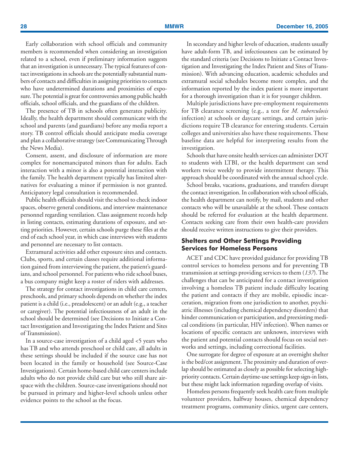Early collaboration with school officials and community members is recommended when considering an investigation related to a school, even if preliminary information suggests that an investigation is unnecessary. The typical features of contact investigations in schools are the potentially substantial numbers of contacts and difficulties in assigning priorities to contacts who have undetermined durations and proximities of exposure. The potential is great for controversies among public health officials, school officials, and the guardians of the children.

The presence of TB in schools often generates publicity. Ideally, the health department should communicate with the school and parents (and guardians) before any media report a story. TB control officials should anticipate media coverage and plan a collaborative strategy (see Communicating Through the News Media).

Consent, assent, and disclosure of information are more complex for nonemancipated minors than for adults. Each interaction with a minor is also a potential interaction with the family. The health department typically has limited alternatives for evaluating a minor if permission is not granted. Anticipatory legal consultation is recommended.

Public health officials should visit the school to check indoor spaces, observe general conditions, and interview maintenance personnel regarding ventilation. Class assignment records help in listing contacts, estimating durations of exposure, and setting priorities. However, certain schools purge these files at the end of each school year, in which case interviews with students and personnel are necessary to list contacts.

Extramural activities add other exposure sites and contacts. Clubs, sports, and certain classes require additional information gained from interviewing the patient, the patient's guardians, and school personnel. For patients who ride school buses, a bus company might keep a roster of riders with addresses.

The strategy for contact investigations in child care centers, preschools, and primary schools depends on whether the index patient is a child (i.e., preadolescent) or an adult (e.g., a teacher or caregiver). The potential infectiousness of an adult in the school should be determined (see Decisions to Initiate a Contact Investigation and Investigating the Index Patient and Sites of Transmission).

In a source-case investigation of a child aged <5 years who has TB and who attends preschool or child care, all adults in these settings should be included if the source case has not been located in the family or household (see Source-Case Investigations). Certain home-based child care centers include adults who do not provide child care but who still share airspace with the children. Source-case investigations should not be pursued in primary and higher-level schools unless other evidence points to the school as the focus.

In secondary and higher levels of education, students usually have adult-form TB, and infectiousness can be estimated by the standard criteria (see Decisions to Initiate a Contact Investigation and Investigating the Index Patient and Sites of Transmission). With advancing education, academic schedules and extramural social schedules become more complex, and the information reported by the index patient is more important for a thorough investigation than it is for younger children.

Multiple jurisdictions have pre-employment requirements for TB clearance screening (e.g., a test for *M. tuberculosis* infection) at schools or daycare settings, and certain jurisdictions require TB clearance for entering students. Certain colleges and universities also have these requirements. These baseline data are helpful for interpreting results from the investigation.

Schools that have onsite health services can administer DOT to students with LTBI, or the health department can send workers twice weekly to provide intermittent therapy. This approach should be coordinated with the annual school cycle.

School breaks, vacations, graduations, and transfers disrupt the contact investigation. In collaboration with school officials, the health department can notify, by mail, students and other contacts who will be unavailable at the school. These contacts should be referred for evaluation at the health department. Contacts seeking care from their own health-care providers should receive written instructions to give their providers.

### **Shelters and Other Settings Providing Services for Homeless Persons**

ACET and CDC have provided guidance for providing TB control services to homeless persons and for preventing TB transmission at settings providing services to them (*137*). The challenges that can be anticipated for a contact investigation involving a homeless TB patient include difficulty locating the patient and contacts if they are mobile, episodic incarceration, migration from one jurisdiction to another, psychiatric illnesses (including chemical dependency disorders) that hinder communication or participation, and preexisting medical conditions (in particular, HIV infection). When names or locations of specific contacts are unknown, interviews with the patient and potential contacts should focus on social networks and settings, including correctional facilities.

One surrogate for degree of exposure at an overnight shelter is the bed/cot assignment. The proximity and duration of overlap should be estimated as closely as possible for selecting highpriority contacts. Certain daytime-use settings keep sign-in lists, but these might lack information regarding overlap of visits.

Homeless persons frequently seek health care from multiple volunteer providers, halfway houses, chemical dependency treatment programs, community clinics, urgent care centers,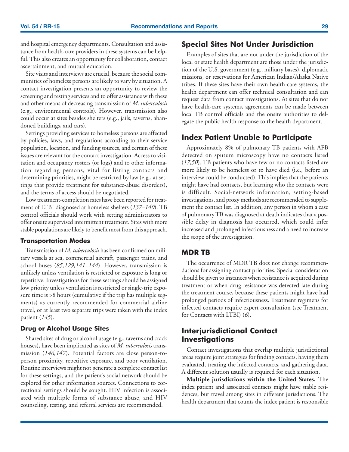and hospital emergency departments. Consultation and assistance from health-care providers in these systems can be helpful. This also creates an opportunity for collaboration, contact ascertainment, and mutual education.

Site visits and interviews are crucial, because the social communities of homeless persons are likely to vary by situation. A contact investigation presents an opportunity to review the screening and testing services and to offer assistance with these and other means of decreasing transmission of *M. tuberculosis* (e.g., environmental controls). However, transmission also could occur at sites besides shelters (e.g., jails, taverns, abandoned buildings, and cars).

Settings providing services to homeless persons are affected by policies, laws, and regulations according to their service population, location, and funding sources, and certain of these issues are relevant for the contact investigation. Access to visitation and occupancy rosters (or logs) and to other information regarding persons, vital for listing contacts and determining priorities, might be restricted by law (e.g., at settings that provide treatment for substance-abuse disorders), and the terms of access should be negotiated.

Low treatment-completion rates have been reported for treatment of LTBI diagnosed at homeless shelters (*137–140*). TB control officials should work with setting administrators to offer onsite supervised intermittent treatment. Sites with more stable populations are likely to benefit most from this approach.

#### **Transportation Modes**

Transmission of *M. tuberculosis* has been confirmed on military vessels at sea, commercial aircraft, passenger trains, and school buses (*85,129,141–144*). However, transmission is unlikely unless ventilation is restricted or exposure is long or repetitive. Investigations for these settings should be assigned low priority unless ventilation is restricted or single-trip exposure time is >8 hours (cumulative if the trip has multiple segments) as currently recommended for commercial airline travel, or at least two separate trips were taken with the index patient (*145*).

#### **Drug or Alcohol Usage Sites**

Shared sites of drug or alcohol usage (e.g., taverns and crack houses), have been implicated as sites of *M. tuberculosis* transmission (*146,147*). Potential factors are close person-toperson proximity, repetitive exposure, and poor ventilation. Routine interviews might not generate a complete contact list for these settings, and the patient's social network should be explored for other information sources. Connections to correctional settings should be sought. HIV infection is associated with multiple forms of substance abuse, and HIV counseling, testing, and referral services are recommended.

### **Special Sites Not Under Jurisdiction**

Examples of sites that are not under the jurisdiction of the local or state health department are those under the jurisdiction of the U.S. government (e.g., military bases), diplomatic missions, or reservations for American Indian/Alaska Native tribes. If these sites have their own health-care systems, the health department can offer technical consultation and can request data from contact investigations. At sites that do not have health-care systems, agreements can be made between local TB control officials and the onsite authorities to delegate the public health response to the health department.

### **Index Patient Unable to Participate**

Approximately 8% of pulmonary TB patients with AFB detected on sputum microscopy have no contacts listed (*17,50*). TB patients who have few or no contacts listed are more likely to be homeless or to have died (i.e., before an interview could be conducted). This implies that the patients might have had contacts, but learning who the contacts were is difficult. Social-network information, setting-based investigations, and proxy methods are recommended to supplement the contact list. In addition, any person in whom a case of pulmonary TB was diagnosed at death indicates that a possible delay in diagnosis has occurred, which could infer increased and prolonged infectiousness and a need to increase the scope of the investigation.

### **MDR TB**

The occurrence of MDR TB does not change recommendations for assigning contact priorities. Special consideration should be given to instances when resistance is acquired during treatment or when drug resistance was detected late during the treatment course, because these patients might have had prolonged periods of infectiousness. Treatment regimens for infected contacts require expert consultation (see Treatment for Contacts with LTBI) (*6*).

### **Interjurisdictional Contact Investigations**

Contact investigations that overlap multiple jurisdictional areas require joint strategies for finding contacts, having them evaluated, treating the infected contacts, and gathering data. A different solution usually is required for each situation.

**Multiple jurisdictions within the United States.** The index patient and associated contacts might have stable residences, but travel among sites in different jurisdictions. The health department that counts the index patient is responsible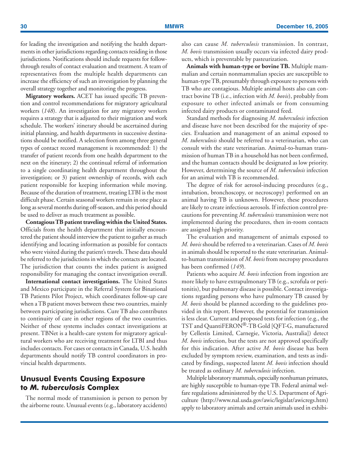for leading the investigation and notifying the health departments in other jurisdictions regarding contacts residing in those jurisdictions. Notifications should include requests for followthrough results of contact evaluation and treatment. A team of representatives from the multiple health departments can increase the efficiency of such an investigation by planning the overall strategy together and monitoring the progress.

**Migratory workers.** ACET has issued specific TB prevention and control recommendations for migratory agricultural workers (*148*). An investigation for any migratory workers requires a strategy that is adjusted to their migration and work schedule. The workers' itinerary should be ascertained during initial planning, and health departments in successive destinations should be notified. A selection from among three general types of contact record management is recommended: 1) the transfer of patient records from one health department to the next on the itinerary; 2) the continual referral of information to a single coordinating health department throughout the investigation; or 3) patient ownership of records, with each patient responsible for keeping information while moving. Because of the duration of treatment, treating LTBI is the most difficult phase. Certain seasonal workers remain in one place as long as several months during off-season, and this period should be used to deliver as much treatment as possible.

**Contagious TB patient traveling within the United States.** Officials from the health department that initially encountered the patient should interview the patient to gather as much identifying and locating information as possible for contacts who were visited during the patient's travels. These data should be referred to the jurisdictions in which the contacts are located. The jurisdiction that counts the index patient is assigned responsibility for managing the contact investigation overall.

**International contact investigations.** The United States and Mexico participate in the Referral System for Binational TB Patients Pilot Project, which coordinates follow-up care when a TB patient moves between these two countries, mainly between participating jurisdictions. Cure TB also contributes to continuity of care in other regions of the two countries. Neither of these systems includes contact investigations at present. TBNet is a health-care system for migratory agricultural workers who are receiving treatment for LTBI and thus includes contacts. For cases or contacts in Canada, U.S. health departments should notify TB control coordinators in provincial health departments.

### **Unusual Events Causing Exposure to** *M. tuberculosis* **Complex**

The normal mode of transmission is person to person by the airborne route. Unusual events (e.g., laboratory accidents) also can cause *M. tuberculosis* transmission. In contrast, *M. bovis* transmission usually occurs via infected dairy products, which is preventable by pasteurization.

**Animals with human-type or bovine TB.** Multiple mammalian and certain nonmammalian species are susceptible to human-type TB, presumably through exposure to persons with TB who are contagious. Multiple animal hosts also can contract bovine TB (i.e., infection with *M. bovis*), probably from exposure to other infected animals or from consuming infected dairy products or contaminated feed.

Standard methods for diagnosing *M. tuberculosis* infection and disease have not been described for the majority of species. Evaluation and management of an animal exposed to *M. tuberculosis* should be referred to a veterinarian, who can consult with the state veterinarian. Animal-to-human transmission of human TB in a household has not been confirmed, and the human contacts should be designated as low priority. However, determining the source of *M. tuberculosis* infection for an animal with TB is recommended.

The degree of risk for aerosol-inducing procedures (e.g., intubation, bronchoscopy, or necroscopy) performed on an animal having TB is unknown. However, these procedures are likely to create infectious aerosols. If infection control precautions for preventing *M. tuberculosis* transmission were not implemented during the procedures, then in-room contacts are assigned high priority.

The evaluation and management of animals exposed to *M. bovis* should be referred to a veterinarian. Cases of *M. bovis* in animals should be reported to the state veterinarian. Animalto-human transmission of *M. bovis* from necropsy procedures has been confirmed (*149*).

Patients who acquire *M. bovis* infection from ingestion are more likely to have extrapulmonary TB (e.g., scrofula or peritonitis), but pulmonary disease is possible. Contact investigations regarding persons who have pulmonary TB caused by *M. bovis* should be planned according to the guidelines provided in this report. However, the potential for transmission is less clear. Current and proposed tests for infection (e.g., the TST and QuantiFERON®-TB Gold [QFT-G, manufactured by Cellestis Limited, Carnegie, Victoria, Australia]) detect *M. bovis* infection, but the tests are not approved specifically for this indication. After active *M. bovis* disease has been excluded by symptom review, examination, and tests as indicated by findings, suspected latent *M. bovis* infection should be treated as ordinary *M. tuberculosis* infection.

Multiple laboratory mammals, especially nonhuman primates, are highly susceptible to human-type TB. Federal animal welfare regulations administered by the U.S. Department of Agriculture [\(http://www.nal.usda.gov/awic/legislat/awicregs.htm\)](http://www.nal.usda.gov/awic/legislat/awicregs.htm) apply to laboratory animals and certain animals used in exhibi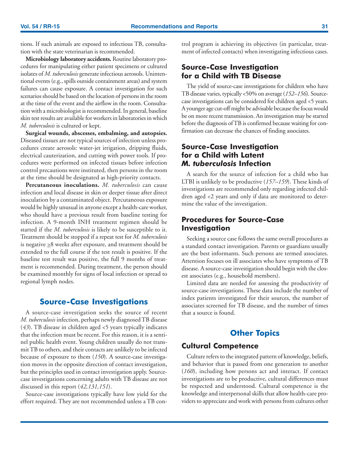<span id="page-32-0"></span>tions. If such animals are exposed to infectious TB, consultation with the state veterinarian is recommended.

**Microbiology laboratory accidents.** Routine laboratory procedures for manipulating either patient specimens or cultured isolates of *M. tuberculosis* generate infectious aerosols. Unintentional events (e.g., spills outside containment areas) and system failures can cause exposure. A contact investigation for such scenarios should be based on the location of persons in the room at the time of the event and the airflow in the room. Consultation with a microbiologist is recommended. In general, baseline skin test results are available for workers in laboratories in which *M. tuberculosis* is cultured or kept.

**Surgical wounds, abscesses, embalming, and autopsies.** Diseased tissues are not typical sources of infection unless procedures create aerosols: water-jet irrigation, dripping fluids, electrical cauterization, and cutting with power tools. If procedures were performed on infected tissues before infection control precautions were instituted, then persons in the room at the time should be designated as high-priority contacts.

**Percutaneous inoculations.** *M. tuberculosis* can cause infection and local disease in skin or deeper tissue after direct inoculation by a contaminated object. Percutaneous exposure would be highly unusual in anyone except a health-care worker, who should have a previous result from baseline testing for infection. A 9-month INH treatment regimen should be started if the *M. tuberculosis* is likely to be susceptible to it. Treatment should be stopped if a repeat test for *M. tuberculosis* is negative  $\geq$ 8 weeks after exposure, and treatment should be extended to the full course if the test result is positive. If the baseline test result was positive, the full 9 months of treatment is recommended. During treatment, the person should be examined monthly for signs of local infection or spread to regional lymph nodes.

### **Source-Case Investigations**

A source-case investigation seeks the source of recent *M. tuberculosis* infection, perhaps newly diagnosed TB disease (*43*). TB disease in children aged <5 years typically indicates that the infection must be recent. For this reason, it is a sentinel public health event. Young children usually do not transmit TB to others, and their contacts are unlikely to be infected because of exposure to them (*150*). A source-case investigation moves in the opposite direction of contact investigation, but the principles used in contact investigation apply. Sourcecase investigations concerning adults with TB disease are not discussed in this report (*42,131,151*).

Source-case investigations typically have low yield for the effort required. They are not recommended unless a TB control program is achieving its objectives (in particular, treatment of infected contacts) when investigating infectious cases.

# **Source-Case Investigation for a Child with TB Disease**

The yield of source-case investigations for children who have TB disease varies, typically <50% on average (*152–156*). Sourcecase investigations can be considered for children aged <5 years. A younger age cut-off might be advisable because the focus would be on more recent transmission. An investigation may be started before the diagnosis of TB is confirmed because waiting for confirmation can decrease the chances of finding associates.

# **Source-Case Investigation for a Child with Latent** *M. tuberculosis* **Infection**

A search for the source of infection for a child who has LTBI is unlikely to be productive (*157–159*). These kinds of investigations are recommended only regarding infected children aged <2 years and only if data are monitored to determine the value of the investigation.

# **Procedures for Source-Case Investigation**

Seeking a source case follows the same overall procedures as a standard contact investigation. Parents or guardians usually are the best informants. Such persons are termed associates. Attention focuses on ill associates who have symptoms of TB disease. A source-case investigation should begin with the closest associates (e.g., household members).

Limited data are needed for assessing the productivity of source-case investigations. These data include the number of index patients investigated for their sources, the number of associates screened for TB disease, and the number of times that a source is found.

# **Other Topics**

### **Cultural Competence**

Culture refers to the integrated pattern of knowledge, beliefs, and behavior that is passed from one generation to another (*160*), including how persons act and interact. If contact investigations are to be productive, cultural differences must be respected and understood. Cultural competence is the knowledge and interpersonal skills that allow health-care providers to appreciate and work with persons from cultures other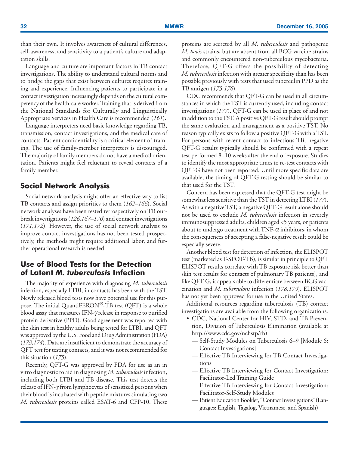<span id="page-33-0"></span>than their own. It involves awareness of cultural differences, self-awareness, and sensitivity to a patient's culture and adaptation skills.

Language and culture are important factors in TB contact investigations. The ability to understand cultural norms and to bridge the gaps that exist between cultures requires training and experience. Influencing patients to participate in a contact investigation increasingly depends on the cultural competency of the health-care worker. Training that is derived from the National Standards for Culturally and Linguistically Appropriate Services in Health Care is recommended (*161*).

Language interpreters need basic knowledge regarding TB, transmission, contact investigations, and the medical care of contacts. Patient confidentiality is a critical element of training. The use of family-member interpreters is discouraged. The majority of family members do not have a medical orientation. Patients might feel reluctant to reveal contacts of a family member.

### **Social Network Analysis**

Social network analysis might offer an effective way to list TB contacts and assign priorities to them (*162–166*). Social network analyses have been tested retrospectively on TB outbreak investigations (*126,167–170*) and contact investigations (*171,172*). However, the use of social network analysis to improve contact investigations has not been tested prospectively, the methods might require additional labor, and further operational research is needed.

# **Use of Blood Tests for the Detection of Latent** *M. tuberculosis* **Infection**

The majority of experience with diagnosing *M. tuberculosis* infection, especially LTBI, in contacts has been with the TST. Newly released blood tests now have potential use for this purpose. The initial QuantiFERON®-TB test (QFT) is a whole blood assay that measures IFN- $\gamma$  release in response to purified protein derivative (PPD). Good agreement was reported with the skin test in healthy adults being tested for LTBI, and QFT was approved by the U.S. Food and Drug Administration (FDA) (*173,174*). Data are insufficient to demonstrate the accuracy of QFT test for testing contacts, and it was not recommended for this situation (*175*).

Recently, QFT-G was approved by FDA for use as an in vitro diagnostic to aid in diagnosing *M. tuberculosis* infection, including both LTBI and TB disease. This test detects the release of IFN-γ from lymphocytes of sensitized persons when their blood is incubated with peptide mixtures simulating two *M. tuberculosis* proteins called ESAT-6 and CFP-10. These proteins are secreted by all *M. tuberculosis* and pathogenic *M. bovis* strains, but are absent from all BCG vaccine strains and commonly encountered non-tuberculous mycobacteria. Therefore, QFT-G offers the possibility of detecting *M. tuberculosis* infection with greater specificity than has been possible previously with tests that used tuberculin PPD as the TB antigen (*175,176*).

CDC recommends that QFT-G can be used in all circumstances in which the TST is currently used, including contact investigations (*177*). QFT-G can be used in place of and not in addition to the TST. A positive QFT-G result should prompt the same evaluation and management as a positive TST. No reason typically exists to follow a positive QFT-G with a TST. For persons with recent contact to infectious TB, negative QFT-G results typically should be confirmed with a repeat test performed 8–10 weeks after the end of exposure. Studies to identify the most appropriate times to re-test contacts with QFT-G have not been reported. Until more specific data are available, the timing of QFT-G testing should be similar to that used for the TST.

Concern has been expressed that the QFT-G test might be somewhat less sensitive than the TST in detecting LTBI (*177*). As with a negative TST, a negative QFT-G result alone should not be used to exclude *M. tuberculosis* infection in severely immunosuppressed adults, children aged <5 years, or patients about to undergo treatment with  $TNF-\alpha$  inhibitors, in whom the consequences of accepting a false-negative result could be especially severe.

Another blood test for detection of infection, the ELISPOT test (marketed as T-SPOT-TB), is similar in principle to QFT ELISPOT results correlate with TB exposure risk better than skin test results for contacts of pulmonary TB patients), and like QFT-G, it appears able to differentiate between BCG vaccination and *M. tuberculosis* infection (*178,179*). ELISPOT has not yet been approved for use in the United States.

Additional resources regarding tuberculosis (TB) contact investigations are available from the following organizations:

- CDC, National Center for HIV, STD, and TB Prevention, Division of Tuberculosis Elimination (available at [http://www.cdc.gov/nchstp/tb\)](http://www.cdc.gov/nchstp/tb)
	- Self-Study Modules on Tuberculosis 6–9 [Module 6: Contact Investigations]
	- Effective TB Interviewing for TB Contact Investigations
	- Effective TB Interviewing for Contact Investigation: Facilitator-Led Training Guide
	- Effective TB Interviewing for Contact Investigation: Facilitator-Self-Study Modules
	- Patient Education Booklet, "Contact Investigations" (Languages: English, Tagalog, Vietnamese, and Spanish)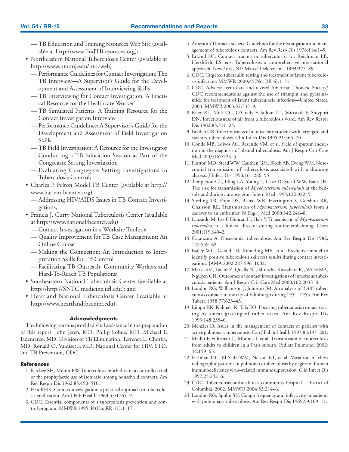- <span id="page-34-0"></span>— TB Education and Training resources Web Site (available a[t http://www.findTBresources.org\);](http://www.findTBresources.org)
- Northeastern National Tuberculosis Center (available at [http://www.umdnj.edu/ntbcweb\)](http://www.umdnj.edu/ntbcweb)
	- Performance Guidelines for Contact Investigation: The TB Interview—A Supervisor's Guide for the Development and Assessment of Interviewing Skills
	- TB Interviewing for Contact Investigation: A Practical Resource for the Healthcare Worker
	- TB Simulated Patients: A Training Resource for the Contact Investigation Interview
	- Performance Guidelines: A Supervisor's Guide for the Development and Assessment of Field Investigation Skills
	- TB Field Investigation: A Resource for the Investigator
	- Conducting a TB-Education Session as Part of the Congregate Setting Investigation
	- Evaluating Congregate Setting Investigations in Tuberculosis Control;
- Charles P. Felton Model TB Center (available at [http://](http://www.harlemtbcenter.org) [www.harlemtbcenter.org\)](http://www.harlemtbcenter.org)
	- Addressing HIV/AI[DS](http://www.harlemtbcenter.org) Issues in TB Contact Investigations;
- Francis J. Curry National Tuberculosis Center (available at [http://www.nationaltbcenter.edu\)](http://www.nationaltbcenter.edu)
	- Contact Investigation in a Worksite Toolbox
	- Quality Improvement for TB Case Management: An Online Course
	- Making the Connection: An Introduction to Interpretation Skills for TB Control
	- Facilitating TB Outreach: Community Workers and Hard-To-Reach TB Populations;
- Southeastern National Tuberculosis Center (available at [http://http://SNTC.medicine.ufl.edu\); and](http://SNTC.medicine.ufl.edu)
- Heartland National Tuberculosis Center (available at http://www.heartlandtbcenter.edu).

#### **Acknowledgments**

The following persons provided vital assistance in the preparation of this report: John Jereb, MD, Philip Lobue, MD, Michael F. Iademarco, MD, Division of TB Elimination; Terrence L. Chorba, MD, Ronald O. Valdiserri, MD, National Center for HIV, STD, and TB Prevention, CDC.

#### **References**

- 1. Ferebee SH, Mount FW. Tuberculosis morbidity in a controlled trial of the prophylactic use of isoniazid among household contacts. Am Rev Respir Dis 1962;85:490–510.
- 2. Hsu KHK. Contact investigation: a practical approach to tuberculosis eradication. Am J Pub Health 1963;53:1761–9.
- 3. CDC. Essential components of a tuberculosis prevention and control program. MMWR 1995;44(No. RR-11):1–17.
- 4. American Thoracic Society. Guidelines for the investigation and management of tuberculosis contacts. Am Rev Resp Dis 1976;114:1–5.
- 5. Etkind SC. Contact tracing in tuberculosis. In: Reichman LB, Hershfield ES, eds. Tuberculosis: a comprehensive international approach. New York, NY: Marcel Dekker, Inc; 1993:275–89.
- 6. CDC. Targeted tuberculin testing and treatment of latent tuberculosis infection. MMWR 2000;49(No. RR-6):1–51.
- 7. CDC. Adverse event data and revised American Thoracic Society/ CDC recommendations against the use of rifampin and pyrazinamide for treatment of latent tuberculosis infection—United States, 2003. MMWR 2003;52:735–9.
- 8. Riley RL, Mills CC, O'Grady F, Sultan LU, Wittstadt F, Shivpuri DN. Infectiousness of air from a tuberculosis ward. Am Rev Respir Dis 1962;85:511–25.
- 9. Braden CR. Infectiousness of a university student with laryngeal and cavitary tuberculosis. Clin Infect Dis 1995;21:565–70.
- 10. Conde MB, Loivos AC, Rezende VM, et al. Yield of sputum induction in the diagnosis of pleural tuberculosis. Am J Respir Crit Care Med 2003;167:723–5.
- 11. Hutton MD, Stead WW, Cauthen GM, Bloch AB, Ewing WM. Nosocomial transmission of tuberculosis associated with a draining abscess. J Infect Dis 1990;161:286–95.
- 12. Templeton GL, Illing LA, Young L, Cave D, Stead WW, Bates JH. The risk for transmission of *Mycobacterium tuberculosis* at the bedside and during autopsy. Ann Intern Med 1995;122:922–5.
- 13. Sterling TR, Pope DS, Bishai WR, Harrington S, Gershon RR, Chaisson RE. Transmission of *Mycobacterium tuberculosis* from a cadaver to an embalmer. N Engl J Med 2000;342:246–8.
- 14. Lauzardo M, Lee P, Duncan H, Hale Y. Transmission of *Mycobacterium tuberculosis* to a funeral director during routine embalming. Chest 2001;119:640–2.
- 15. Catanzaro A. Nosocomial tuberculosis. Am Rev Respir Dis 1982; 125:559–62.
- 16. Bailey WC, Gerald LB, Kimerling ME, et al. Predictive model to identify positive tuberculosis skin test results during contact investigations. JAMA 2002;287:996–1002.
- 17. Marks SM, Taylor Z, Qualls NL, Shrestha-Kuwahara RJ, Wilce MA, Nguyen CH. Outcomes of contact investigations of infectious tuberculosis patients. Am J Respir Crit Care Med 2000;162:2033–8.
- 18. Loudon RG, Williamson J, Johnson JM. An analysis of 3,485 tuberculosis contacts in the city of Edinburgh during 1954–1955. Am Rev Tuberc 1958;77:623–43.
- 19. Liippo KK, Kulmala K, Tala EO. Focusing tuberculosis contact tracing by smear grading of index cases. Am Rev Respir Dis 1993;148:235–6.
- 20. Menzies D. Issues in the management of contacts of patients with active pulmonary tuberculosis. Can J Public Health 1997;88:197–201.
- 21. Madhi F, Fuhrman C, Monnet I, et al. Transmission of tuberculosis from adults to children in a Paris suburb. Pediatr Pulmonol 2002; 34:159–63.
- 22. Perlman DC, El-Sadr WM, Nelson ET, et al. Variation of chest radiographic patterns in pulmonary tuberculosis by degree of human immunodeficiency virus–related immunosuppression. Clin Infect Dis 1997;25:242–6.
- 23. CDC. Tuberculosis outbreak in a community hospital—District of Columbia, 2002. MMWR 2004;53:214–6.
- 24. Loudon RG, Spohn SK. Cough frequency and infectivity in patients with pulmonary tuberculosis. Am Rev Respir Dis 1969;99:109–11.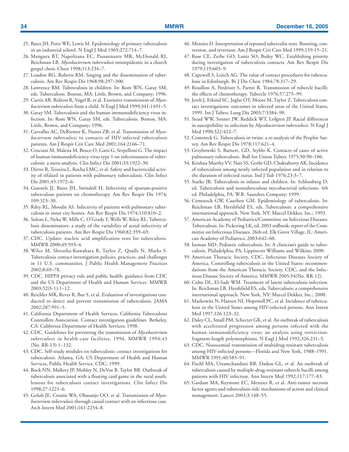- 25. Bates JH, Potts WE, Lewis M. Epidemiology of primary tuberculosis in an industrial school. N Engl J Med 1965;272:714–7.
- 26. Mangura BT, Napolitana EC, Passannante MR, McDonald RJ, Reichman LB. *Mycobacterium tuberculosis* miniepidemic in a church gospel choir. Chest 1998;113:234–7.
- 27. Loudon RG, Roberts RM. Singing and the dissemination of tuberculosis. Am Rev Respir Dis 1968;98:297–300.
- 28. Lawrence RM. Tuberculosis in children. In: Rom WN, Garay SM, eds. Tuberculosis. Boston, MA: Little, Brown, and Company; 1996.
- 29. Curtis AB, Ridzon R, Vogel R, et al. Extensive transmission of *Mycobacterium tuberculosis* from a child. N Engl J Med 1999;341:1491–5.
- 30. Garay SM. Tuberculosis and the human immunodeficiency virus infection. In: Rom WN, Garay SM, eds. Tuberculosis. Boston, MA: Little, Brown, and Company; 1996.
- 31. Carvalho AC, DeRiemer K, Nunes ZB, et al. Transmission of *Mycobacterium tuberculosis* to contacts of HIV-infected tuberculosis patients. Am J Respir Crit Care Med 2001;164:2166–71.
- 32. Cruciani M, Malena M, Bosco O, Gatti G, Serpelloni G. The impact of human immunodeficiency virus type 1 on infectiousness of tuberculosis: a meta-analysis. Clin Infect Dis 2001;33:1922–30.
- 33. Dietze R, Teixeira L, Rocha LMC, et al. Safety and bactericidal activity of rifalazil in patients with pulmonary tuberculosis. Clin Infect Dis 2001;45:1972–6.
- 34. Gunnels JJ, Bates JH, Swindoll H. Infectivity of sputum-positive tuberculous patients on chemotherapy. Am Rev Respir Dis 1974; 109:323–30.
- 35. Riley RL, Moodie AS. Infectivity of patients with pulmonary tuberculosis in inner city homes. Am Rev Respir Dis 1974;110:810–2.
- 36. Sultan L, Nyka W, Mills C, O'Grady F, Wells W, Riley RL. Tuberculosis disseminators: a study of the variability of aerial infectivity of tuberculosis patients. Am Rev Respir Dis 1960;82:359–69.
- 37. CDC. Update: nucleic acid amplification tests for tuberculosis. MMWR 2000;49:593–4.
- 38. Wilce M, Shrestha-Kuwahara R, Taylor Z, Qualls N, Marks S. Tuberculosis contact investigation policies, practices, and challenges in 11 U.S. communities. J Public Health Management Practices 2002;8:69–78.
- 39. CDC. HIPPA privacy rule and public health: guidance from CDC and the US Department of Health and Human Services. MMWR 2003;52(S-1):1–12.
- 40. Reichler MR, Reves R, Bur S, et al. Evaluation of investigations conducted to detect and prevent transmission of tuberculosis. JAMA 2002;287:991–5.
- 41. California Department of Health Services, California Tuberculosis Controllers Association. Contact investigation guidelines. Berkeley, CA: California Department of Health Services; 1998.
- 42. CDC. Guidelines for preventing the transmission of *Mycobacterium tuberculosis* in health-care facilities, 1994. MMWR 1994;43 (No. RR-13):1–132.
- 43. CDC. Self-study modules on tuberculosis: contact investigations for tuberculosis. Atlanta, GA; US Department of Health and Human Services, Public Health Service, CDC; 1999.
- 44. Bock NN, Mallory JP, Mobley N, DeVoe B, Taylor BB. Outbreak of tuberculosis associated with a floating card game in the rural south: lessons for tuberculosis contact investigations. Clin Infect Dis 1998;27:1221–6.
- 45. Golub JE, Cronin WA, Obasanjo OO, et al. Transmission of *Mycobacterium tuberculosis* through casual contact with an infectious case. Arch Intern Med 2001;161:2254–8.
- 46. Menzies D. Interpretation of repeated tuberculin tests. Boosting, conversion, and reversion. Am J Respir Crit Care Med 1999;159:15–21.
- 47. Rose CE, Zerbe GO, Lantz SO, Bailey WC. Establishing priority during investigation of tuberculosis contacts. Am Rev Respir Dis 1979;119:603–9.
- 48. Capewell S, Leitch AG. The value of contact procedures for tuberculosis in Edinburgh. Br J Dis Chest 1984;78:317–29.
- 49. Rouillon A, Perdrizet S, Parrot R. Transmission of tubercle bacilli: the effects of chemotherapy. Tubercle 1976;57:275–99.
- 50. Jereb J, Etkind SC, Joglar OT, Moore M, Taylor Z. Tuberculosis contact investigations: outcomes in selected areas of the United States, 1999. Int J Tuberc Lung Dis 2003;7:S384–90.
- 51. Stead WW, Senner JW, Reddick WT, Lofgren JP. Racial differences in susceptibility to infection by *Mycobacterium tuberculosis*. N Engl J Med 1990;322:422–7.
- 52. Comstock G. Tuberculosis in twins: a re-analysis of the Prophit Survey. Am Rev Respir Dis 1978;117:621–4.
- 53. Grzybowski S, Barnett, GD, Styblo K. Contacts of cases of active pulmonary tuberculosis. Bull Int Union Tuberc 1975;50:90–106.
- 54. Krishna Murthy VV, Nair SS, Gothi GD, Chakraborty AK. Incidence of tuberculosis among newly infected population and in relation to the duration of infected status. Ind J Tub 1976;23:3–7.
- 55. Starke JR. Tuberculosis in infants and children. In: Schlossberg D, ed. Tuberculosis and nontuberculous mycobacterial infections. 4th ed. Philadelphia, PA: W.B. Saunders Company; 1999.
- 56. Comstock GW, Cauthen GM. Epidemiology of tuberculosis. In: Reichman LB, Hershfield ES, eds. Tuberculosis: a comprehensive international approach. New York, NY: Marcel Dekker, Inc.; 1993.
- 57. American Academy of Pediatrics/Committee on Infectious Diseases. Tuberculosis. In: Pickering LK, ed. 2003 redbook: report of the Committee on Infectious Diseases. 26th ed. Elk Grove Village, IL: American Academy of Pediatrics; 2003:642–60.
- 58. Iseman MD. Pediatric tuberculosis. In: A clinician's guide to tuberculosis. Philadelphia, PA: Lippincott Williams and Wilkins; 2000.
- 59. American Thoracic Society, CDC, Infectious Diseases Society of America. Controlling tuberculosis in the United States: recommendations from the American Thoracic Society, CDC, and the Infectious Disease Society of America. MMWR 2005;54(No. RR-12).
- 60. Cohn DL, El-Sadr WM. Treatment of latent tuberculosis infection. In: Reichman LB, Hershfield ES, eds. Tuberculosis: a comprehensive international approach. New York, NY: Marcel Dekker, Inc.; 2000.
- 61. Markowitz N, Hansen NI, Hopewell PC, et al. Incidence of tuberculosis in the United States among HIV-infected persons. Ann Intern Med 1997;126:123–32.
- 62. Daley CL, Small PM, Schecter GK, et al. An outbreak of tuberculosis with accelerated progression among persons infected with the human immunodeficiency virus: an analysis using restrictionfragment-length polymorphisms. N Engl J Med 1992;326:231–5.
- 63. CDC. Nosocomial transmission of multidrug-resistant tuberculosis among HIV-infected persons—Florida and New York, 1988–1991. MMWR 1991;40:585–91.
- 64. Fischl MA, Uttamchandani RB, Daikos GL, et al. An outbreak of tuberculosis caused by multiple-drug-resistant tubercle bacilli among patients with HIV infection. Ann Intern Med 1992;117:177–83.
- 65. Gardam MA, Keystone EC, Menzies R, et al. Anti-tumor necrosis factor agents and tuberculosis risk: mechanisms of action and clinical management. Lancet 2003;3:148–55.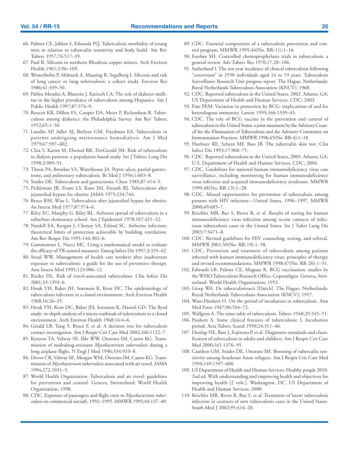- 66. Palmer CE, Jablon S, Edwards PQ. Tuberculosis morbidity of young men in relation to tuberculin sensitivity and body build. Am Rev Tuberc 1957;76:517–39.
- 67. Paul R. Silicosis in northern Rhodesia copper miners. Arch Environ Health 1961;2:96–109.
- 68. Westerholm P, Ahlmark A, Maasing R, Segelberg I. Silicosis and risk of lung cancer or lung tuberculosis: a cohort study. Environ Res 1986;41:339–50.
- 69. Pablos Mendez A, Blustein J, Knirsch CA. The role of diabetes mellitus in the higher prevalence of tuberculosis among Hispanics. Am J Public Health 1997;87:574–9.
- 70. Boucot KR, Dillon ES, Cooper DA, Meier P, Richardson R. Tuberculosis among diabetics: the Philadelphia Survey. Am Rev Tuberc 1952;65:1–50.
- 71. Lundin AP, Adler AJ, Berlyne GM, Friedman EA. Tuberculosis in patients undergoing maintenance hemodialysis. Am J Med 1979;67:597–602.
- 72. Chia S, Karim M, Elwood RK, FitzGerald JM. Risk of tuberculosis in dialysis patients: a population-based study. Int J Tuberc Lung Dis 1998;2:989–91.
- 73. Thorn PA, Brookes VS, Waterhouse JA. Peptic ulcer, partial gastrectomy, and pulmonary tuberculosis. Br Med J 1956;1:603–8.
- 74. Snider DE. Tuberculosis and gastrectomy. Chest 1985;87:414–5.
- 75. Pickleman JR, Evans LS, Kane JM, Freeark RJ. Tuberculosis after jejunoileal bypass for obesity. JAMA 1975;234:744.
- 76. Bruce RM, Wise L. Tuberculosis after jejunoileal bypass for obesity. An Intern Med 1977;87:574–6.
- 77. Riley EC, Murphy G, Riley RL. Airborne spread of tuberculosis in a suburban elementary school. Am J Epidemiol 1978;107:421–32.
- 78. Nardell EA, Keegan J, Cheney SA, Etkind SC. Airborne infection: theoretical limits of protection achievable by building ventilation. Am Rev Respir Dis 1991;144:302–6.
- 79. Gammaitoni L, Nucci MC. Using a mathematical model to evaluate the efficacy of TB control measures. Emerg Infect Dis 1997;3:335–42.
- 80. Stead WW. Management of health care workers after inadvertent exposure to tuberculosis: a guide for the use of preventive therapy. Ann Intern Med 1995;123:906–12.
- 81. Rieder HL. Risk of travel-associated tuberculosis. Clin Infect Dis 2001;33:1393–6.
- 82. Houk VH, Baker JH, Sorensen K, Kent DC. The epidemiology of tuberculosis infection in a closed environment. Arch Environ Health 1968;16:26–35.
- 83. Houk VH, Kent DC, Baker JH, Sorensen K, Hanzel GD. The Byrd study: in-depth analysis of a micro-outbreak of tuberculosis in a closed environment. Arch Environ Health 1968;16:4–6.
- 84. Gerald LB, Tang S, Bruce F, et al. A decision tree for tuberculosis contact investigation. Am J Respir Crit Care Med 2002;166:1122–7.
- 85. Kenyon TA, Valway SE, Ihle WW, Onorato IM, Castro KG. Transmission of multidrug-resistant *Mycobacterium tuberculosis* during a long airplane flight. N Engl J Med 1996;334:933–8.
- 86. Driver CR, Valway SE, Morgan WM, Onorato IM, Castro KG. Transmission of *Mycobacterium tuberculosis* associated with air travel. JAMA 1994;272:1031–5.
- 87. World Health Organization. Tuberculosis and air travel: guidelines for prevention and control. Geneva, Switzerland: World Health Organization; 1998.
- 88. CDC. Exposure of passengers and flight crew to *Mycobacterium tuberculosis* on commercial aircraft, 1992–1995. MMWR 1995;44:137–40.
- 89. CDC. Essential components of a tuberculosis prevention and control program. MMWR 1995;44(No. RR-11):1–16.
- 90. Ferebee SH. Controlled chemoprophylaxis trials in tuberculosis: a general review. Adv Tuberc Res 1970;17:28–106.
- 91. Sutherland I. The ten-year incidence of clinical tuberculosis following "conversion" in 2550 individuals aged 14 to 19 years. Tuberculosis Surveillance Research Unit progress report. The Hague, Netherlands: Royal Netherlands Tuberculosis Association (KNCV); 1968.
- 92. CDC. Reported tuberculosis in the United States, 2002. Atlanta, GA: US Department of Health and Human Services, CDC; 2003.
- 93. Fine PEM. Variation in protection by BCG: implications of and for heterologous immunity. Lancet 1995;346:1339–45.
- 94. CDC. The role of BCG vaccine in the prevention and control of tuberculosis in the United States: a joint statement by the Advisory Council for the Elimination of Tuberculosis and the Advisory Committee on Immunization Practices. MMWR 1996;45(No. RR-4):1–18.
- 95. Huebner RE, Schein MF, Bass JB. The tuberculin skin test. Clin Infect Dis 1993;17:968–75.
- 96. CDC. Reported tuberculosis in the United States, 2003. Atlanta, GA: U.S. Department of Health and Human Services, CDC; 2004.
- 97. CDC. Guidelines for national human immunodeficiency virus case surveillance, including monitoring for human immunodeficiency virus infection and acquired immunodeficiency syndrome. MMWR 1999;48(No. RR-13):1–28.
- 98. CDC. Missed opportunities for prevention of tuberculosis among persons with HIV infection—United States, 1996–1997. MMWR 2000;49:685–7.
- 99. Reichler MR, Bur S, Reves R, et al. Results of testing for human immunodeficiency virus infection among recent contacts of infectious tuberculosis cases in the United States. Int J Tuber Lung Dis 2003;7:S471–8.
- 100. CDC. Revised guidelines for HIV counseling, testing, and referral. MMWR 2001;50(No. RR-19):1–58.
- 101. CDC. Prevention and treatment of tuberculosis among patients infected with human immunodeficiency virus: principles of therapy and revised recommendations. MMWR 1998;47(No. RR-20):1–51.
- 102. Edwards LB, Palmer CE, Magnus K. BCG vaccination: studies by the WHO Tuberculosis Research Office, Copenahgen. Geneva, Switzerland: World Health Organization; 1953.
- 103. Griep WA. De tuberculinreacti [Dutch]. The Hague, Netherlands: Royal Netherlands Tuberculosis Association (KNCV); 1957.
- 104. Wasz-Hockert O. On the period of incubation in tuberculosis. Ann Med Fenn 1947;96:764–72.
- 105. Wallgren A. The time-table of tuberculosis. Tuberc 1948;29:245–51.
- 106. Poulsen A. Some clinical features of tuberculosis: I. Incubation period. Acta Tuberc Scand 1950;24:311–46.
- 107. Dunlap NE, Bass J, Fujiwara P, et al. Diagnostic standards and classification of tuberculosis in adults and children. Am J Respir Crit Care Med 2000;161:1376–95.
- 108. Cauthen GM, Snider DE, Onorato IM. Boosting of tuberculin sensitivity among Southeast Asian refugees. Am J Respir Crit Care Med 1994;149:1597–600.
- 109. US Department of Health and Human Services. Healthy people 2010. 2nd ed. With understanding and improving health and objectives for improving health [2 vols.]. Washington, DC, US Department of Health and Human Services; 2000.
- 110. Reichler MR, Reves R, Bur S, et al. Treatment of latent tuberculosis infection in contacts of new tuberculosis cases in the United States. South Med J 2002;95:414–20.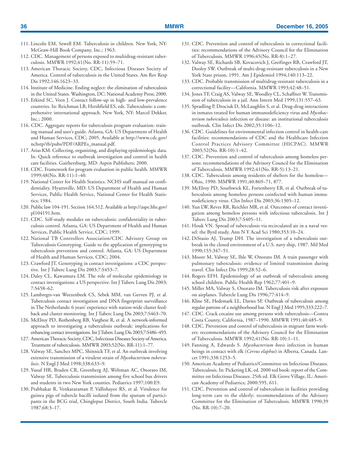- 111. Lincoln EM, Sewell EM. Tuberculosis in children. New York, NY: McGraw-Hill Book Company, Inc.; 1963.
- 112. CDC. Management of persons exposed to multidrug-resistant tuberculosis. MMWR 1992;41(No. RR-11):59–71.
- 113. American Thoracic Society, CDC, Infectious Diseases Society of America. Control of tuberculosis in the United States. Am Rev Resp Dis 1992;146:1623–33.
- 114. Institute of Medicine. Ending neglect: the elimination of tuberculosis in the United States. Washington, DC: National Academy Press; 2000.
- 115. Etkind SC, Veen J. Contact follow-up in high- and low-prevalence countries. In: Reichman LB, Hershfield ES, eds. Tuberculosis: a comprehensive international approach. New York, NY: Marcel Dekker, Inc.; 2000.
- 116. CDC. Aggregate reports for tuberculosis program evaluation: training manual and user's guide. Atlanta, GA: US Department of Health and Human Services, CDC; 2005. Available at [http://www.cdc.gov/](http://www.cdc.gov/nchstp/tb/pubs/PDF/ARPEs_manual.pdf) [nchstp/tb/pubs/PDF/ARPEs\\_manual.pdf.](http://www.cdc.gov/nchstp/tb/pubs/PDF/ARPEs_manual.pdf)
- 117. Arias KM. Collecting, organizing, and displaying epidemiologic data. In: Quick reference to outbreak investigation and control in health care facilities. Gaithersburg, MD: Aspen Publishers; 2000.
- 118. CDC. Framework for program evaluation in public health. MMWR 1999;48(No. RR-11):1–40.
- 119. National Center for Health Statistics. NCHS staff manual on confidentiality. Hyattsville, MD: US Department of Health and Human Services, Public Health Service, National Center for Health Statistics; 1984.
- 120. Public law 104-191. Section 164.512. Available at http://aspe.hhs.gov/ pl104191.htm.
- 121. CDC. Self-study modules on tuberculosis: confidentiality in tuberculosis control. Atlanta, GA: US Department of Health and Human Services, Public Health Service, CDC; 1999.
- 122. National TB Controllers Association/CDC Advisory Group on Tuberculosis Genotyping. Guide to the application of genotyping to tuberculosis prevention and control. Atlanta, GA: US Department of Health and Human Services, CDC; 2004.
- 123. Crawford JT. Genotyping in contact investigations: a CDC perspective. Int J Tuberc Lung Dis 2003;7:S453–7.
- 124. Daley CL, Kawamura LM. The role of molecular epidemiology in contact investigations: a US perspective. Int J Tuberc Lung Dis 2003; 7:S458–62.
- 125. Lambregts-van Weezenbeek CS, Sebek MM, van Gerven PJ, et al. Tuberculosis contact investigation and DNA fingerprint surveillance in The Netherlands: 6 years' experience with nation-wide cluster feedback and cluster monitoring. Int J Tuberc Lung Dis 2003;7:S463–70.
- 126. McElroy PD, Rothenberg RB, Varghese R, et al. A network-informed approach to investigating a tuberculosis outbreak: implications for enhancing contact investigations. Int J Tuberc Lung Dis 2003;7:S486–493.
- 127. American Thoracic Society, CDC, Infectious Diseases Society of America. Treatment of tuberculosis. MMWR 2003;52(No. RR-11):1–77.
- 128. Valway SE, Sanchez MPC, Shinnick TF, et al. An outbreak involving extensive transmission of a virulent strain of *Mycobacterium tuberculosis*. N Engl J Med 1998;338:633–9.
- 129. Yusuf HR, Braden CR, Greenberg AJ, Weltman AC, Onorato IM, Valway SE. Tuberculosis transmission among five school bus drivers and students in two New York counties. Pediatrics 1997;100:E9.
- 130. Prabhakar R, Venkataraman P, Vallishayee RS, et al. Virulence for guinea pigs of tubercle bacilli isolated from the sputum of participants in the BCG trial, Chingleput District, South India. Tubercle 1987;68:3–17.
- 131. CDC. Prevention and control of tuberculosis in correctional facilities: recommendations of the Advisory Council for the Elimination of Tuberculosis. MMWR 1996;45(No. RR-8):1–27.
- 132. Valway SE, Richards SB, Kovacovich J, Greifinger RB, Crawford JT, Dooley SW. Outbreak of multi-drug-resistant tuberculosis in a New York State prison, 1991. Am J Epidemiol 1994;140:113–22.
- 133. CDC. Probable transmission of multidrug-resistant tuberculosis in a correctional facility—California. MMWR 1993;42:48–51.
- 134. Jones TF, Craig AS, Valway SE, Woodley CL, Schaffner W. Transmission of tuberculosis in a jail. Ann Intern Med 1999;131:557–63.
- 135. Spradling P, Drociuk D, McLaughlin S, et al. Drug-drug interactions in inmates treated for human immunodeficiency virus and *Mycobacterium tuberculosis* infection or disease: an institutional tuberculosis outbreak. Clin Infect Dis 2002;35:1106–12.
- 136. CDC. Guidelines for environmental infection control in health-care facilities: recommendations of CDC and the Healthcare Infection Control Practices Advisory Committee (HICPAC). MMWR 2003;52(No. RR-10):1–42.
- 137. CDC. Prevention and control of tuberculosis among homeless persons: recommendations of the Advisory Council for the Elimination of Tuberculosis. MMWR 1992;41(No. RR-5):13–21.
- 138. CDC. Tuberculosis among residents of shelters for the homeless— Ohio, 1990. MMWR 1991;40:869–71, 877.
- 139. McElroy PD, Southwick KL, Fortenberry ER, et al. Outbreak of tuberculosis among homeless persons coinfected with human immunodeficiency virus. Clin Infect Dis 2003;36:1305–12.
- 140. Yun LW, Reves RR, Reichler MR, et al. Outcomes of contact investigation among homeless persons with infectious tuberculosis. Int J Tuberc Lung Dis 2003;7:S405–11.
- 141. Houk VN. Spread of tuberculosis via recirculated air in a naval vessel: the Byrd study. Ann N Y Acad Sci 1980;353:10–24.
- 142. DiStasio AJ, Trump DH. The investigation of a tuberculosis outbreak in the closed environment of a U.S. navy ship, 1987. Mil Med 1990;155:347–51.
- 143. Moore M, Valway SE, Ihle W, Onorato IM. A train passenger with pulmonary tuberculosis: evidence of limited transmission during travel. Clin Infect Dis 1999;28:52–6.
- 144. Rogers EFH. Epidemiology of an outbreak of tuberculosis among school children. Public Health Rep 1962;77:401–9.
- 145. Miller MA, Valway S, Onorato IM. Tuberculosis risk after exposure on airplanes. Tubercle Lung Dis 1996;77:414–9.
- 146. Kline SE, Hedemark LL, Davies SF. Outbreak of tuberculosis among regular patrons of a neighborhood bar. N Engl J Med 1995;333:222–7.
- 147. CDC. Crack cocaine use among persons with tuberculosis—Contra Costa County, California, 1987–1990. MMWR 1991;40:485–9.
- 148. CDC. Prevention and control of tuberculosis in migrant farm workers: recommendations of the Advisory Council for the Elimination of Tuberculosis. MMWR 1992;41(No. RR-10):1–11.
- 149. Fanning A, Edwards S. *Mycobacterium bovis* infection in human beings in contact with elk (*Cervus elaphus*) in Alberta, Canada. Lancet 1991;338:1253–5.
- 150. American Academy of Pediatrics/Committee on Infectious Diseases. Tuberculosis. In: Pickering LK, ed. 2000 red book: report of the Committee on Infectious Diseases. 25th ed. Elk Grove Village, IL: American Academy of Pediatrics; 2000:595, 611.
- 151. CDC. Prevention and control of tuberculosis in facilities providing long-term care to the elderly: recommendations of the Advisory Committee for the Elimination of Tuberculosis. MMWR 1990;39 (No. RR-10):7–20.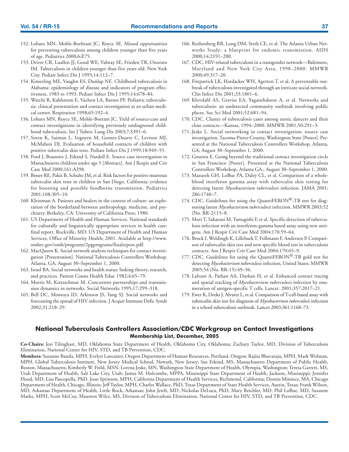- 152. Lobato MN, Mohle-Boehtani JC, Royce SE. Missed opportunities for preventing tuberculosis among children younger than five years of age. Pediatrics 2000;6:E75.
- 153. Driver CR, Luallen JJ, Good WE, Valway SE, Frieden TR, Onorato IM. Tuberculosis in children younger than five years old: New York City. Pediatr Infect Dis J 1995;14:112–7.
- 154. Kimerling ME, Vaughn ES, Dunlap NE. Childhood tuberculosis in Alabama: epidemiology of disease and indicators of program effectiveness, 1983 to 1993. Pediatr Infect Dis J 1995;14:678–84.
- 155. Watchi R, Kahlstrom E, Vachon LA, Barnes PF. Pediatric tuberculosis: clinical presentation and contact investigation at an urban medical center. Respiration 1998;65:192–4.
- 156. Lobato MN, Royce SE, Mohle-Boetani JC. Yield of source-case and contact investigations in identifying previously undiagnosed childhood tuberculosis. Int J Tuberc Lung Dis 2003;7:S391–6.
- 157. Soren K, Saiman L, Irigoyen M, Gomez-Duarte C, Levison MJ, McMahon DJ. Evaluation of household contacts of children with positive tuberculin skin tests. Pediatr Infect Dis J 1999;18:949–55.
- 158. Ford J, Boutotte J, Etkind S, Nardell E. Source case investigation in Massachusetts children under age 5 [Abstract]. Am J Respir and Crit Care Med 2000;161:A298.
- 159. Besser RE, Pakiz B, Schulte JM, et al. Risk factors for positive mantoux tuberculin skin tests in children in San Diego, California: evidence for boosting and possible foodborne transmission. Pediatrics 2001;108:305–10.
- 160. Kleinman A. Patients and healers in the context of culture: an exploration of the borderland between anthropology, medicine, and psychiatry. Berkeley, CA: University of California Press; 1980.
- 161. US Department of Health and Human Services. National standards for culturally and linguistically appropriate services in health care: final report. Rockville, MD: US Department of Health and Human Services, Office of Minority Health; 2001. Available a[t http://www.](http://www.omhrc.gov/omh/programs/2pgprograms/finalreport.pdf) [omhrc.gov/omh/programs/2pgprograms/finalreport.pdf.](http://www.omhrc.gov/omh/programs/2pgprograms/finalreport.pdf)
- 162. MacQueen K. Social network analysis techniques for contact investigation [Presentation]. National Tuberculosis Controllers Workshop. Atlanta, GA; August 30–September 1, 2000.
- 163. Israel BA. Social networks and health status: linking theory, research, and practices. Patient Couns Health Educ 1982;4:65–79.
- 164. Morris M, Kretzschmar M. Concurrent partnerships and transmission dynamics in networks. Social Networks 1995;17:299–318.
- 165. Bell DC, Montoya ID, Atkinson JS, Yang SJ. Social networks and forecasting the spread of HIV infection. J Acquir Immune Defic Syndr 2002;31:218–29.
- 166. Rothenberg RB, Long DM, Sterk CE, et al. The Atlanta Urban Networks Study: a blueprint for endemic transmission. AIDS 2000;14:2191–200.
- 167. CDC. HIV-related tuberculosis in a transgender network—Baltimore, Maryland and New York City Area, 1998–2000. MMWR 2000;49:317–20.
- 168. Fitzpatrick LK, Hardacker WH, Agerton T, et al. A preventable outbreak of tuberculosis investigated through an intricate social network. Clin Infect Dis 2001;33:1801–6.
- 169. Klovdahl AS, Graviss EA, Yaganehdoost A, et al. Networks and tuberculosis: an undetected community outbreak involving public places. Soc Sci Med 2001;52:681–94.
- 170. CDC. Cluster of tuberculosis cases among exotic dancers and their close contacts—Kansas, 1994–2000. MMWR 2001;50:291–3.
- 171. Jeske L. Social networking in contact investigation: source case investigation, Tacoma-Pierce County, Washington State [Poster]. Presented at the National Tuberculosis Controllers Workshop, Atlanta, GA; August 30–September 1, 2000.
- 172. Gournis E. Going beyond the traditional contact investigation circle in San Francisco [Poster]. Presented at the National Tuberculosis Controllers Workshop, Atlanta GA.; August 30–September 1, 2000.
- 173. Mazurek GH, LoBue PA, Daley CL, et al. Comparison of a wholeblood interferon gamma assay with tuberculin skin testing for detecting latent *Mycobacterium tuberculosis* infection. JAMA 2001; 286:1740–7.
- 174. CDC. Guidelines for using the QuantiFERON®-TB test for diagnosing latent *Mycobacterium tuberculosis* infection. MMWR 2003;52 (No. RR-2):15–8.
- 175. Mori T, Sakatani M, Yamagishi F, et al. Specific detection of tuberculosis infection with an interferon-gamma based assay using new antigens. Am J Respir Crit Care Med 2004;170:59–64.
- 176. Brock I, Weldingh K, Lillebaek T, Follmann F, Andersen P. Comparison of tuberculin skin test and new specific blood test in tuberculosis contacts. Am J Respir Crit Care Med 2004;170:65–9.
- 177. CDC. Guidelines for using the QuantiFERON®-TB gold test for detecting *Mycobacterium tuberculosis* infection, United States. MMWR 2005;54 (No. RR-15):49–56.
- 178. Lalvani A, Pathan AA, Durkan H, et al. Enhanced contact tracing and spatial tracking of *Mycobacterium tuberculosis* infection by enumeration of antigen-specific T cells. Lancet. 2001;357:2017–21.
- 179. Ewer K, Deeks J, Alvarez L, et al. Comparison of T-cell-based assay with tuberculin skin test for diagnosis of *Mycobacterium tuberculosis* infection in a school tuberculosis outbreak. Lancet 2003;361:1168–73.

### **National Tuberculosis Controllers Association/CDC Workgroup on Contact Investigations Membership List, December, 2005**

**Co-Chairs:** Jon Tilinghast, MD, Oklahoma State Department of Health, Oklahoma City, Oklahoma; Zachary Taylor, MD, Division of Tuberculosis Elimination, National Center for HIV, STD, and TB Prevention, CDC.

**Members:** Suzanne Banda, MPH, Evelyn Lancaster, Oregon Department of Human Resources, Portland, Oregon; Rajita Bhavaraju, MPH, Mark Wolman, MPH, Global Tuberculosis Institute, New Jersey Medical School, Newark, New Jersey; Sue Etkind, MS, Massachusetts Department of Public Health, Boston, Massachusetts; Kimberly W. Field, MSN, Lorena Jeske, MN, Washington State Department of Health, Olympia, Washington; Teresa Garrett, MS, Utah Department of Health, Salt Lake City, Utah; James M. Holcombe, MPPA, Mississippi State Department of Health, Jackson, Mississippi; Jennifer Flood, MD, Lisa Pascopella, PhD, Joan Sprinson, MPH, California Department of Health Services, Richmond, California; Dennis Minnice, MA, Chicago Department of Health, Chicago, Illinois; Jeff Taylor, MPH, Charles Wallace, PhD, Texas Department of State Health Services, Austin, Texas; Frank Wilson, MD, Arkansas Department of Health, Little Rock, Arkansas; John Jereb, MD, Nickolas DeLuca, PhD, Mary Reichler, MD, Phil LoBue, MD, Suzanne Marks, MPH, Scott McCoy, Maureen Wilce, MS, Division of Tuberculosis Elimination, National Center for HIV, STD, and TB Prevention, CDC.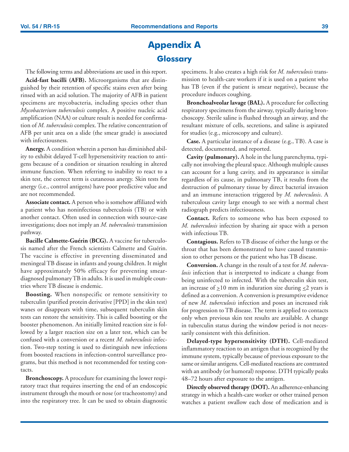# **Appendix A Glossary**

<span id="page-40-0"></span>The following terms and abbreviations are used in this report.

**Acid-fast bacilli (AFB).** Microorganisms that are distinguished by their retention of specific stains even after being rinsed with an acid solution. The majority of AFB in patient specimens are mycobacteria, including species other than *Mycobacterium tuberculosis* complex. A positive nucleic acid amplification (NAA) or culture result is needed for confirmation of *M. tuberculosis* complex. The relative concentration of AFB per unit area on a slide (the smear grade) is associated with infectiousness.

**Anergy.** A condition wherein a person has diminished ability to exhibit delayed T-cell hypersensitivity reaction to antigens because of a condition or situation resulting in altered immune function. When referring to inability to react to a skin test, the correct term is cutaneous anergy. Skin tests for anergy (i.e., control antigens) have poor predictive value and are not recommended.

**Associate contact.** A person who is somehow affiliated with a patient who has noninfectious tuberculosis (TB) or with another contact. Often used in connection with source-case investigations; does not imply an *M. tuberculosis* transmission pathway.

**Bacille Calmette-Guérin (BCG).** A vaccine for tuberculosis named after the French scientists Calmette and Guérin. The vaccine is effective in preventing disseminated and meningeal TB disease in infants and young children. It might have approximately 50% efficacy for preventing smeardiagnosed pulmonary TB in adults. It is used in multiple countries where TB disease is endemic.

**Boosting.** When nonspecific or remote sensitivity to tuberculin (purified protein derivative [PPD] in the skin test) wanes or disappears with time, subsequent tuberculin skin tests can restore the sensitivity. This is called boosting or the booster phenomenon. An initially limited reaction size is followed by a larger reaction size on a later test, which can be confused with a conversion or a recent *M. tuberculosis* infection. Two-step testing is used to distinguish new infections from boosted reactions in infection-control surveillance programs, but this method is not recommended for testing contacts.

**Bronchoscopy.** A procedure for examining the lower respiratory tract that requires inserting the end of an endoscopic instrument through the mouth or nose (or tracheostomy) and into the respiratory tree. It can be used to obtain diagnostic specimens. It also creates a high risk for *M. tuberculosis* transmission to health-care workers if it is used on a patient who has TB (even if the patient is smear negative), because the procedure induces coughing.

**Bronchoalveolar lavage (BAL).** A procedure for collecting respiratory specimens from the airway, typically during bronchoscopy. Sterile saline is flushed through an airway, and the resultant mixture of cells, secretions, and saline is aspirated for studies (e.g., microscopy and culture).

**Case.** A particular instance of a disease (e.g., TB). A case is detected, documented, and reported.

**Cavity (pulmonary).** A hole in the lung parenchyma, typically not involving the pleural space. Although multiple causes can account for a lung cavity, and its appearance is similar regardless of its cause, in pulmonary TB, it results from the destruction of pulmonary tissue by direct bacterial invasion and an immune interaction triggered by *M. tuberculosis*. A tuberculous cavity large enough to see with a normal chest radiograph predicts infectiousness.

**Contact.** Refers to someone who has been exposed to *M. tuberculosis* infection by sharing air space with a person with infectious TB.

**Contagious.** Refers to TB disease of either the lungs or the throat that has been demonstrated to have caused transmission to other persons or the patient who has TB disease.

**Conversion.** A change in the result of a test for *M. tuberculosis* infection that is interpreted to indicate a change from being uninfected to infected. With the tuberculin skin test, an increase of  $\geq 10$  mm in induration size during  $\leq 2$  years is defined as a conversion. A conversion is presumptive evidence of new *M. tuberculosis* infection and poses an increased risk for progression to TB disease. The term is applied to contacts only when previous skin test results are available. A change in tuberculin status during the window period is not necessarily consistent with this definition.

**Delayed-type hypersensitivity (DTH).** Cell-mediated inflammatory reaction to an antigen that is recognized by the immune system, typically because of previous exposure to the same or similar antigens. Cell-mediated reactions are contrasted with an antibody (or humoral) response. DTH typically peaks 48–72 hours after exposure to the antigen.

**Directly observed therapy (DOT).** An adherence-enhancing strategy in which a health-care worker or other trained person watches a patient swallow each dose of medication and is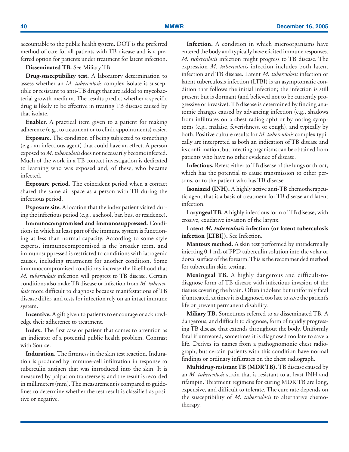accountable to the public health system. DOT is the preferred method of care for all patients with TB disease and is a preferred option for patients under treatment for latent infection.

**Disseminated TB.** See Miliary TB.

**Drug-susceptibility test.** A laboratory determination to assess whether an *M. tuberculosis* complex isolate is susceptible or resistant to anti-TB drugs that are added to mycobacterial growth medium. The results predict whether a specific drug is likely to be effective in treating TB disease caused by that isolate.

**Enabler.** A practical item given to a patient for making adherence (e.g., to treatment or to clinic appointments) easier.

**Exposure.** The condition of being subjected to something (e.g., an infectious agent) that could have an effect. A person exposed to *M. tuberculosis* does not necessarily become infected. Much of the work in a TB contact investigation is dedicated to learning who was exposed and, of these, who became infected.

**Exposure period.** The coincident period when a contact shared the same air space as a person with TB during the infectious period.

**Exposure site.** A location that the index patient visited during the infectious period (e.g., a school, bar, bus, or residence).

**Immunocompromised and immunosuppressed.** Conditions in which at least part of the immune system is functioning at less than normal capacity. According to some style experts, immunocompromised is the broader term, and immunosuppressed is restricted to conditions with iatrogenic causes, including treatments for another condition. Some immunocompromised conditions increase the likelihood that *M. tuberculosis* infection will progress to TB disease. Certain conditions also make TB disease or infection from *M. tuberculosis* more difficult to diagnose because manifestations of TB disease differ, and tests for infection rely on an intact immune system.

**Incentive.** A gift given to patients to encourage or acknowledge their adherence to treatment.

**Index.** The first case or patient that comes to attention as an indicator of a potential public health problem. Contrast with Source.

**Induration.** The firmness in the skin test reaction. Induration is produced by immune-cell infiltration in response to tuberculin antigen that was introduced into the skin. It is measured by palpation transversely, and the result is recorded in millimeters (mm). The measurement is compared to guidelines to determine whether the test result is classified as positive or negative.

**Infection.** A condition in which microorganisms have entered the body and typically have elicited immune responses. *M. tuberculosis* infection might progress to TB disease. The expression *M. tuberculosis* infection includes both latent infection and TB disease. Latent *M. tuberculosis* infection or latent tuberculosis infection (LTBI) is an asymptomatic condition that follows the initial infection; the infection is still present but is dormant (and believed not to be currently progressive or invasive). TB disease is determined by finding anatomic changes caused by advancing infection (e.g., shadows from infiltrates on a chest radiograph) or by noting symptoms (e.g., malaise, feverishness, or cough), and typically by both. Positive culture results for *M. tuberculosis* complex typically are interpreted as both an indication of TB disease and its confirmation, but infecting organisms can be obtained from patients who have no other evidence of disease.

**Infectious.** Refers either to TB disease of the lungs or throat, which has the potential to cause transmission to other persons, or to the patient who has TB disease.

**Isoniazid (INH).** A highly active anti-TB chemotherapeutic agent that is a basis of treatment for TB disease and latent infection.

**Laryngeal TB.** A highly infectious form of TB disease, with erosive, exudative invasion of the larynx.

**Latent** *M. tuberculosis* **infection (or latent tuberculosis infection [LTBI]).** See Infection.

**Mantoux method.** A skin test performed by intradermally injecting 0.1 mL of PPD tuberculin solution into the volar or dorsal surface of the forearm. This is the recommended method for tuberculin skin testing.

**Meningeal TB.** A highly dangerous and difficult-todiagnose form of TB disease with infectious invasion of the tissues covering the brain. Often indolent but uniformly fatal if untreated, at times it is diagnosed too late to save the patient's life or prevent permanent disability.

**Miliary TB.** Sometimes referred to as disseminated TB. A dangerous, and difficult to diagnose, form of rapidly progressing TB disease that extends throughout the body. Uniformly fatal if untreated, sometimes it is diagnosed too late to save a life. Derives its names from a pathognomonic chest radiograph, but certain patients with this condition have normal findings or ordinary infiltrates on the chest radiograph.

**Multidrug-resistant TB (MDR TB).** TB disease caused by an *M. tuberculosis* strain that is resistant to at least INH and rifampin. Treatment regimens for curing MDR TB are long, expensive, and difficult to tolerate. The cure rate depends on the susceptibility of *M. tuberculosis* to alternative chemotherapy.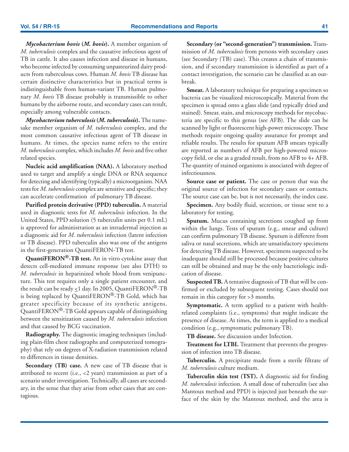*Mycobacterium bovis* **(***M. bovis***).** A member organism of *M. tuberculosis* complex and the causative infectious agent of TB in cattle. It also causes infection and disease in humans, who become infected by consuming unpasteurized dairy products from tuberculous cows. Human *M. bovis* TB disease has certain distinctive characteristics but in practical terms is indistinguishable from human-variant TB. Human pulmonary *M*. *bovis* TB disease probably is transmissible to other humans by the airborne route, and secondary cases can result, especially among vulnerable contacts.

*Mycobacterium tuberculosis* **(***M. tuberculosis***).** The namesake member organism of *M. tuberculosis* complex, and the most common causative infectious agent of TB disease in humans. At times, the species name refers to the entire *M. tuberculosis* complex, which includes *M. bovis* and five other related species.

**Nucleic acid amplification (NAA).** A laboratory method used to target and amplify a single DNA or RNA sequence for detecting and identifying (typically) a microorganism. NAA tests for *M. tuberculosis* complex are sensitive and specific; they can accelerate confirmation of pulmonary TB disease.

**Purified protein derivative (PPD) tuberculin.** A material used in diagnostic tests for *M. tuberculosis* infection. In the United States, PPD solution (5 tuberculin units per 0.1 mL) is approved for administration as an intradermal injection as a diagnostic aid for *M. tuberculosis* infection (latent infection or TB disease). PPD tuberculin also was one of the antigens in the first-generation QuantiFERON-TB test.

**QuantiFERON®-TB test.** An in vitro cytokine assay that detects cell-mediated immune response (see also DTH) to *M. tuberculosis* in heparinized whole blood from venipuncture. This test requires only a single patient encounter, and the result can be ready  $\leq 1$  day. In 2005, QuantiFERON®-TB is being replaced by QuantiFERON®-TB Gold, which has greater specificity because of its synthetic antigens. QuantiFERON®-TB Gold appears capable of distinguishing between the sensitization caused by *M. tuberculosis* infection and that caused by BCG vaccination.

**Radiography.** The diagnostic imaging techniques (including plain-film chest radiographs and computerized tomography) that rely on degrees of X-radiation transmission related to differences in tissue densities.

**Secondary (TB) case.** A new case of TB disease that is attributed to recent (i.e., <2 years) transmission as part of a scenario under investigation. Technically, all cases are secondary, in the sense that they arise from other cases that are contagious.

**Secondary (or "second-generation") transmission.** Transmission of *M. tuberculosis* from persons with secondary cases (see Secondary (TB) case). This creates a chain of transmission, and if secondary transmission is identified as part of a contact investigation, the scenario can be classified as an outbreak.

**Smear.** A laboratory technique for preparing a specimen so bacteria can be visualized microscopically. Material from the specimen is spread onto a glass slide (and typically dried and stained). Smear, stain, and microscopy methods for mycobacteria are specific to this genus (see AFB). The slide can be scanned by light or fluorescent high-power microscopy. These methods require ongoing quality assurance for prompt and reliable results. The results for sputum AFB smears typically are reported as numbers of AFB per high-powered microscopy field, or else as a graded result, from no AFB to 4+ AFB. The quantity of stained organisms is associated with degree of infectiousness.

**Source case or patient.** The case or person that was the original source of infection for secondary cases or contacts. The source case can be, but is not necessarily, the index case.

**Specimen.** Any bodily fluid, secretion, or tissue sent to a laboratory for testing.

**Sputum.** Mucus containing secretions coughed up from within the lungs. Tests of sputum (e.g., smear and culture) can confirm pulmonary TB disease. Sputum is different from saliva or nasal secretions, which are unsatisfactory specimens for detecting TB disease. However, specimens suspected to be inadequate should still be processed because positive cultures can still be obtained and may be the only bacteriologic indication of disease.

**Suspected TB.** A tentative diagnosis of TB that will be confirmed or excluded by subsequent testing. Cases should not remain in this category for >3 months.

**Symptomatic.** A term applied to a patient with healthrelated complaints (i.e., symptoms) that might indicate the presence of disease. At times, the term is applied to a medical condition (e.g., symptomatic pulmonary TB).

**TB disease.** See discussion under Infection.

**Treatment for LTBI.** Treatment that prevents the progression of infection into TB disease.

**Tuberculin.** A precipitate made from a sterile filtrate of *M. tuberculosis* culture medium.

**Tuberculin skin test (TST).** A diagnostic aid for finding *M. tuberculosis* infection. A small dose of tuberculin (see also Mantoux method and PPD) is injected just beneath the surface of the skin by the Mantoux method, and the area is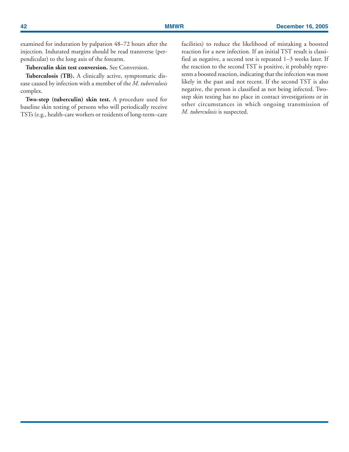examined for induration by palpation 48–72 hours after the injection. Indurated margins should be read transverse (perpendicular) to the long axis of the forearm.

**Tuberculin skin test conversion.** See Conversion.

**Tuberculosis (TB).** A clinically active, symptomatic disease caused by infection with a member of the *M. tuberculosis* complex.

**Two-step (tuberculin) skin test.** A procedure used for baseline skin testing of persons who will periodically receive TSTs (e.g., health-care workers or residents of long-term–care facilities) to reduce the likelihood of mistaking a boosted reaction for a new infection. If an initial TST result is classified as negative, a second test is repeated 1–3 weeks later. If the reaction to the second TST is positive, it probably represents a boosted reaction, indicating that the infection was most likely in the past and not recent. If the second TST is also negative, the person is classified as not being infected. Twostep skin testing has no place in contact investigations or in other circumstances in which ongoing transmission of *M. tuberculosis* is suspected.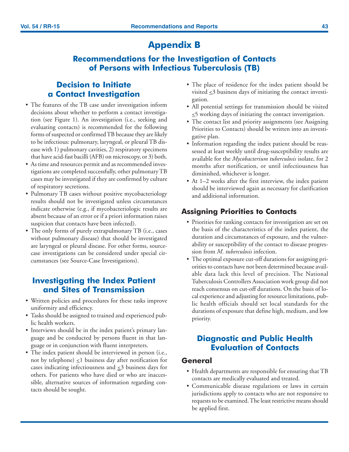# **Appendix B**

# <span id="page-44-0"></span>**Recommendations for the Investigation of Contacts of Persons with Infectious Tuberculosis (TB)**

# **Decision to Initiate a Contact Investigation**

- The features of the TB case under investigation inform decisions about whether to perform a contact investigation (see Figure 1). An investigation (i.e., seeking and evaluating contacts) is recommended for the following forms of suspected or confirmed TB because they are likely to be infectious: pulmonary, laryngeal, or pleural TB disease with 1) pulmonary cavities, 2) respiratory specimens that have acid-fast bacilli (AFB) on microscopy, or 3) both.
- As time and resources permit and as recommended investigations are completed successfully, other pulmonary TB cases may be investigated if they are confirmed by culture of respiratory secretions.
- Pulmonary TB cases without positive mycobacteriology results should not be investigated unless circumstances indicate otherwise (e.g., if mycobacteriologic results are absent because of an error or if a priori information raises suspicion that contacts have been infected).
- The only forms of purely extrapulmonary TB (i.e., cases without pulmonary disease) that should be investigated are laryngeal or pleural disease. For other forms, sourcecase investigations can be considered under special circumstances (see Source-Case Investigations).

# **Investigating the Index Patient and Sites of Transmission**

- Written policies and procedures for these tasks improve uniformity and efficiency.
- Tasks should be assigned to trained and experienced public health workers.
- Interviews should be in the index patient's primary language and be conducted by persons fluent in that language or in conjunction with fluent interpreters.
- The index patient should be interviewed in person (i.e., not by telephone)  $\leq$ 1 business day after notification for cases indicating infectiousness and  $\leq$ 3 business days for others. For patients who have died or who are inaccessible, alternative sources of information regarding contacts should be sought.
- The place of residence for the index patient should be visited  $\leq$  business days of initiating the contact investigation.
- All potential settings for transmission should be visited  $\leq$ 5 working days of initiating the contact investigation.
- The contact list and priority assignments (see Assigning Priorities to Contacts) should be written into an investigative plan.
- Information regarding the index patient should be reassessed at least weekly until drug-susceptibility results are available for the *Mycobacterium tuberculosis* isolate, for 2 months after notification, or until infectiousness has diminished, whichever is longer.
- At 1–2 weeks after the first interview, the index patient should be interviewed again as necessary for clarification and additional information.

# **Assigning Priorities to Contacts**

- Priorities for ranking contacts for investigation are set on the basis of the characteristics of the index patient, the duration and circumstances of exposure, and the vulnerability or susceptibility of the contact to disease progression from *M. tuberculosis* infection.
- The optimal exposure cut-off durations for assigning priorities to contacts have not been determined because available data lack this level of precision. The National Tuberculosis Controllers Association work group did not reach consensus on cut-off durations. On the basis of local experience and adjusting for resource limitations, public health officials should set local standards for the durations of exposure that define high, medium, and low priority.

# **Diagnostic and Public Health Evaluation of Contacts**

# **General**

- Health departments are responsible for ensuring that TB contacts are medically evaluated and treated.
- Communicable disease regulations or laws in certain jurisdictions apply to contacts who are not responsive to requests to be examined. The least restrictive means should be applied first.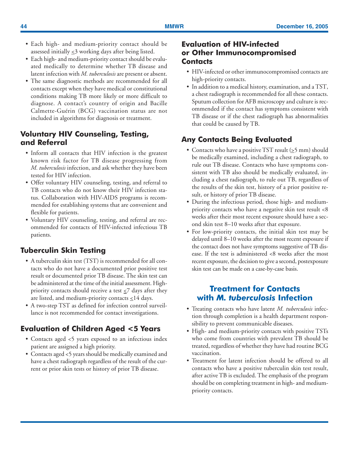- Each high- and medium-priority contact should be assessed initially  $\leq$ 3 working days after being listed.
- Each high- and medium-priority contact should be evaluated medically to determine whether TB disease and latent infection with *M. tuberculosis* are present or absent.
- The same diagnostic methods are recommended for all contacts except when they have medical or constitutional conditions making TB more likely or more difficult to diagnose. A contact's country of origin and Bacille Calmette-Guérin (BCG) vaccination status are not included in algorithms for diagnosis or treatment.

# **Voluntary HIV Counseling, Testing, and Referral**

- Inform all contacts that HIV infection is the greatest known risk factor for TB disease progressing from *M. tuberculosis* infection, and ask whether they have been tested for HIV infection.
- Offer voluntary HIV counseling, testing, and referral to TB contacts who do not know their HIV infection status. Collaboration with HIV-AIDS programs is recommended for establishing systems that are convenient and flexible for patients.
- Voluntary HIV counseling, testing, and referral are recommended for contacts of HIV-infected infectious TB patients.

# **Tuberculin Skin Testing**

- A tuberculin skin test (TST) is recommended for all contacts who do not have a documented prior positive test result or documented prior TB disease. The skin test can be administered at the time of the initial assessment. Highpriority contacts should receive a test  $\leq$  days after they are listed, and medium-priority contacts  $\leq$  14 days.
- A two-step TST as defined for infection control surveillance is not recommended for contact investigations.

# **Evaluation of Children Aged <5 Years**

- Contacts aged <5 years exposed to an infectious index patient are assigned a high priority.
- Contacts aged <5 years should be medically examined and have a chest radiograph regardless of the result of the current or prior skin tests or history of prior TB disease.

# **Evaluation of HIV-infected or Other Immunocompromised Contacts**

- HIV-infected or other immunocompromised contacts are high-priority contacts.
- In addition to a medical history, examination, and a TST, a chest radiograph is recommended for all these contacts. Sputum collection for AFB microscopy and culture is recommended if the contact has symptoms consistent with TB disease or if the chest radiograph has abnormalities that could be caused by TB.

# **Any Contacts Being Evaluated**

- Contacts who have a positive TST result ( $\geq$ 5 mm) should be medically examined, including a chest radiograph, to rule out TB disease. Contacts who have symptoms consistent with TB also should be medically evaluated, including a chest radiograph, to rule out TB, regardless of the results of the skin test, history of a prior positive result, or history of prior TB disease.
- During the infectious period, those high- and mediumpriority contacts who have a negative skin test result <8 weeks after their most recent exposure should have a second skin test 8–10 weeks after that exposure.
- For low-priority contacts, the initial skin test may be delayed until 8–10 weeks after the most recent exposure if the contact does not have symptoms suggestive of TB disease. If the test is administered <8 weeks after the most recent exposure, the decision to give a second, postexposure skin test can be made on a case-by-case basis.

# **Treatment for Contacts with** *M. tuberculosis* **Infection**

- Treating contacts who have latent *M. tuberculosis* infection through completion is a health department responsibility to prevent communicable diseases.
- High- and medium-priority contacts with positive TSTs who come from countries with prevalent TB should be treated, regardless of whether they have had routine BCG vaccination.
- Treatment for latent infection should be offered to all contacts who have a positive tuberculin skin test result, after active TB is excluded. The emphasis of the program should be on completing treatment in high- and mediumpriority contacts.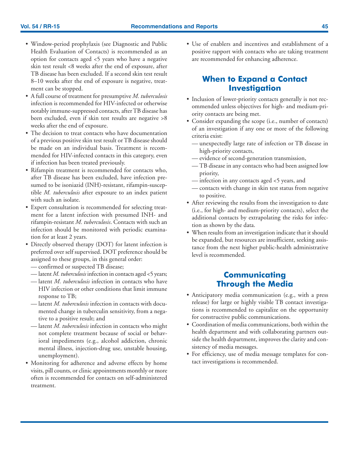- Window-period prophylaxis (see Diagnostic and Public Health Evaluation of Contacts) is recommended as an option for contacts aged <5 years who have a negative skin test result <8 weeks after the end of exposure, after TB disease has been excluded. If a second skin test result 8–10 weeks after the end of exposure is negative, treatment can be stopped.
- A full course of treatment for presumptive *M. tuberculosis* infection is recommended for HIV-infected or otherwise notably immune-suppressed contacts, after TB disease has been excluded, even if skin test results are negative >8 weeks after the end of exposure.
- The decision to treat contacts who have documentation of a previous positive skin test result or TB disease should be made on an individual basis. Treatment is recommended for HIV-infected contacts in this category, even if infection has been treated previously.
- Rifampin treatment is recommended for contacts who, after TB disease has been excluded, have infection presumed to be isoniazid (INH)-resistant, rifampin-susceptible *M. tuberculosis* after exposure to an index patient with such an isolate.
- Expert consultation is recommended for selecting treatment for a latent infection with presumed INH- and rifampin-resistant *M. tuberculosis*. Contacts with such an infection should be monitored with periodic examination for at least 2 years.
- Directly observed therapy (DOT) for latent infection is preferred over self supervised. DOT preference should be assigned to these groups, in this general order:
	- confirmed or suspected TB disease;
	- latent *M. tuberculosis* infection in contacts aged <5 years;
	- latent *M. tuberculosis* infection in contacts who have HIV infection or other conditions that limit immune response to TB;
	- latent *M. tuberculosis* infection in contacts with documented change in tuberculin sensitivity, from a negative to a positive result; and
	- latent *M. tuberculosis* infection in contacts who might not complete treatment because of social or behavioral impediments (e.g., alcohol addiction, chronic mental illness, injection-drug use, unstable housing, unemployment).
- Monitoring for adherence and adverse effects by home visits, pill counts, or clinic appointments monthly or more often is recommended for contacts on self-administered treatment.

• Use of enablers and incentives and establishment of a positive rapport with contacts who are taking treatment are recommended for enhancing adherence.

# **When to Expand a Contact Investigation**

- Inclusion of lower-priority contacts generally is not recommended unless objectives for high- and medium-priority contacts are being met.
- Consider expanding the scope (i.e., number of contacts) of an investigation if any one or more of the following criteria exist:
	- unexpectedly large rate of infection or TB disease in high-priority contacts,
	- evidence of second-generation transmission,
	- TB disease in any contacts who had been assigned low priority,
	- infection in any contacts aged <5 years, and
	- contacts with change in skin test status from negative to positive.
- After reviewing the results from the investigation to date (i.e., for high- and medium-priority contacts), select the additional contacts by extrapolating the risks for infection as shown by the data.
- When results from an investigation indicate that it should be expanded, but resources are insufficient, seeking assistance from the next higher public-health administrative level is recommended.

# **Communicating Through the Media**

- Anticipatory media communication (e.g., with a press release) for large or highly visible TB contact investigations is recommended to capitalize on the opportunity for constructive public communications.
- Coordination of media communications, both within the health department and with collaborating partners outside the health department, improves the clarity and consistency of media messages.
- For efficiency, use of media message templates for contact investigations is recommended.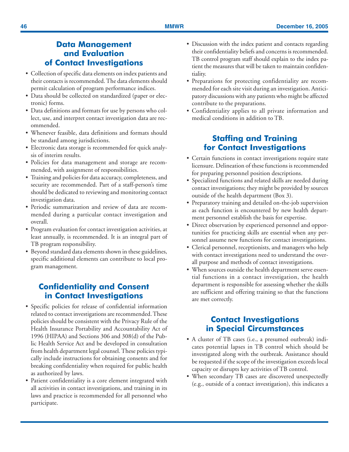# **Data Management and Evaluation of Contact Investigations**

- Collection of specific data elements on index patients and their contacts is recommended. The data elements should permit calculation of program performance indices.
- Data should be collected on standardized (paper or electronic) forms.
- Data definitions and formats for use by persons who collect, use, and interpret contact investigation data are recommended.
- Whenever feasible, data definitions and formats should be standard among jurisdictions.
- Electronic data storage is recommended for quick analysis of interim results.
- Policies for data management and storage are recommended, with assignment of responsibilities.
- Training and policies for data accuracy, completeness, and security are recommended. Part of a staff-person's time should be dedicated to reviewing and monitoring contact investigation data.
- Periodic summarization and review of data are recommended during a particular contact investigation and overall.
- Program evaluation for contact investigation activities, at least annually, is recommended. It is an integral part of TB program responsibility.
- Beyond standard data elements shown in these guidelines, specific additional elements can contribute to local program management.

# **Confidentiality and Consent in Contact Investigations**

- Specific policies for release of confidential information related to contact investigations are recommended. These policies should be consistent with the Privacy Rule of the Health Insurance Portability and Accountability Act of 1996 (HIPAA) and Sections 306 and 308(d) of the Public Health Service Act and be developed in consultation from health department legal counsel. These policies typically include instructions for obtaining consents and for breaking confidentiality when required for public health as authorized by laws.
- Patient confidentiality is a core element integrated with all activities in contact investigations, and training in its laws and practice is recommended for all personnel who participate.
- Discussion with the index patient and contacts regarding their confidentiality beliefs and concerns is recommended. TB control program staff should explain to the index patient the measures that will be taken to maintain confidentiality.
- Preparations for protecting confidentiality are recommended for each site visit during an investigation. Anticipatory discussions with any patients who might be affected contribute to the preparations.
- Confidentiality applies to all private information and medical conditions in addition to TB.

# **Staffing and Training for Contact Investigations**

- Certain functions in contact investigations require state licensure. Delineation of these functions is recommended for preparing personnel position descriptions.
- Specialized functions and related skills are needed during contact investigations; they might be provided by sources outside of the health department (Box 3).
- Preparatory training and detailed on-the-job supervision as each function is encountered by new health department personnel establish the basis for expertise.
- Direct observation by experienced personnel and opportunities for practicing skills are essential when any personnel assume new functions for contact investigations.
- Clerical personnel, receptionists, and managers who help with contact investigations need to understand the overall purpose and methods of contact investigations.
- When sources outside the health department serve essential functions in a contact investigation, the health department is responsible for assessing whether the skills are sufficient and offering training so that the functions are met correctly.

# **Contact Investigations in Special Circumstances**

- A cluster of TB cases (i.e., a presumed outbreak) indicates potential lapses in TB control which should be investigated along with the outbreak. Assistance should be requested if the scope of the investigation exceeds local capacity or disrupts key activities of TB control.
- When secondary TB cases are discovered unexpectedly (e.g., outside of a contact investigation), this indicates a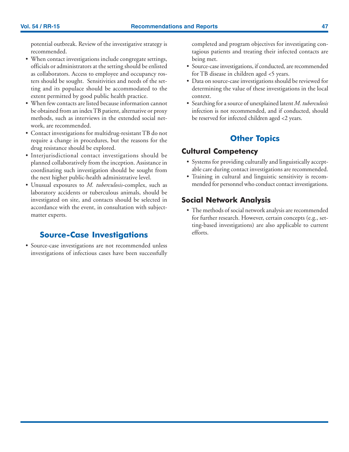potential outbreak. Review of the investigative strategy is recommended.

- When contact investigations include congregate settings, officials or administrators at the setting should be enlisted as collaborators. Access to employee and occupancy rosters should be sought. Sensitivities and needs of the setting and its populace should be accommodated to the extent permitted by good public health practice.
- When few contacts are listed because information cannot be obtained from an index TB patient, alternative or proxy methods, such as interviews in the extended social network, are recommended.
- Contact investigations for multidrug-resistant TB do not require a change in procedures, but the reasons for the drug resistance should be explored.
- Interjurisdictional contact investigations should be planned collaboratively from the inception. Assistance in coordinating such investigation should be sought from the next higher public-health administrative level.
- Unusual exposures to *M. tuberculosis*-complex, such as laboratory accidents or tuberculous animals, should be investigated on site, and contacts should be selected in accordance with the event, in consultation with subjectmatter experts.

# **Source-Case Investigations**

• Source-case investigations are not recommended unless investigations of infectious cases have been successfully completed and program objectives for investigating contagious patients and treating their infected contacts are being met.

- Source-case investigations, if conducted, are recommended for TB disease in children aged <5 years.
- Data on source-case investigations should be reviewed for determining the value of these investigations in the local context.
- Searching for a source of unexplained latent *M. tuberculosis* infection is not recommended, and if conducted, should be reserved for infected children aged <2 years.

# **Other Topics**

# **Cultural Competency**

- Systems for providing culturally and linguistically acceptable care during contact investigations are recommended.
- Training in cultural and linguistic sensitivity is recommended for personnel who conduct contact investigations.

# **Social Network Analysis**

• The methods of social network analysis are recommended for further research. However, certain concepts (e.g., setting-based investigations) are also applicable to current efforts.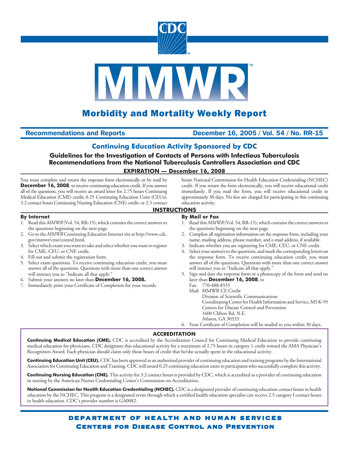<span id="page-49-0"></span>

# Morbidity and Mortality Weekly Report

**Recommendations and Reports December 16, 2005 / Vol. 54 / No. RR-15**

# **Continuing Education Activity Sponsored by CDC**

**Guidelines for the Investigation of Contacts of Persons with Infectious Tuberculosis Recommendations from the National Tuberculosis Controllers Association and CDC EXPIRATION — December 16, 2008**

You must complete and return the response form electronically or by mail by **December 16, 2008**, to receive continuing education credit. If you answer all of the questions, you will receive an award letter for 2.75 hours Continuing Medical Education (CME) credit; 0.25 Continuing Education Units (CEUs); 3.2 contact hours Continuing Nursing Education (CNE) credit; or 2.5 contact hours National Commission for Health Education Credentialing (NCHEC) credit. If you return the form electronically, you will receive educational credit immediately. If you mail the form, you will receive educational credit in approximately 30 days. No fees are charged for participating in this continuing education activity.

### **INSTRUCTIONS**

#### **By Internet**

- 1. Read this *MMWR* (Vol. 54, RR-15), which contains the correct answers to the questions beginning on the next page.
- 2. Go to the *MMWR* Continuing Education Internet site a[t http://www.cdc.](http://www.cdc.gov/mmwr/cme/conted.html) [gov/mmwr/cme/conted.html.](http://www.cdc.gov/mmwr/cme/conted.html)
- 3. Select which exam you want to take and select whether you want to register for CME, CEU, or CNE credit.
- 4. Fill out and submit the registration form.
- 5. Select exam questions. To receive continuing education credit, you must answer all of the questions. Questions with more than one correct answer will instruct you to "Indicate all that apply."
- 6. Submit your answers no later than **December 16, 2008.**
- 7. Immediately print your Certificate of Completion for your records.

**By Mail or Fax**

- 1. Read this *MMWR* (Vol. 54, RR-15), which contains the correct answers to the questions beginning on the next page.
- 2. Complete all registration information on the response form, including your name, mailing address, phone number, and e-mail address, if available.
- 3. Indicate whether you are registering for CME, CEU, or CNE credit.
- 4. Select your answers to the questions, and mark the corresponding letters on the response form. To receive continuing education credit, you must answer all of the questions. Questions with more than one correct answer will instruct you to "Indicate all that apply."
- 5. Sign and date the response form or a photocopy of the form and send no later than **December 16, 2008**, to
	- Fax: 770-488-8555
	- Mail: MMWR CE Credit
		- Division of Scientific Communications
		- Coordinating Center for Health Information and Service, MS K-95 Centers for Disease Control and Prevention
		- 1600 Clifton Rd, N.E.
	- Atlanta, GA 30333
- 6. Your Certificate of Completion will be mailed to you within 30 days.

#### **ACCREDITATION**

**Continuing Medical Education (CME).** CDC is accredited by the Accreditation Council for Continuing Medical Education to provide continuing medical education for physicians. CDC designates this educational activity for a maximum of 2.75 hours in category 1 credit toward the AMA Physician's Recognition Award. Each physician should claim only those hours of credit that he/she actually spent in the educational activity.

**Continuing Education Unit (CEU).** CDC has been approved as an authorized provider of continuing education and training programs by the International Association for Continuing Education and Training. CDC will award 0.25 continuing education units to participants who successfully complete this activity.

**Continuing Nursing Education (CNE).** This activity for 3.2 contact hours is provided by CDC, which is accredited as a provider of continuing education in nursing by the American Nurses Credentialing Center's Commission on Accreditation.

**National Commission for Health Education Credentialing (NCHEC).** CDC is a designated provider of continuing education contact hours in health education by the NCHEC. This program is a designated event through which a certified health education specialist can receive 2.5 category I contact hours in health education. CDC's provider number is GA0082.

> department of health and human services Centers for Disease Control and Prevention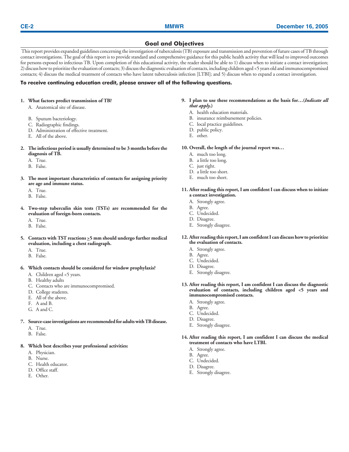#### **Goal and Objectives**

 This report provides expanded guidelines concerning the investigation of tuberculosis (TB) exposure and transmission and prevention of future cases of TB through contact investigations. The goal of this report is to provide standard and comprehensive guidance for this public health activity that will lead to improved outcomes for persons exposed to infectious TB. Upon completion of this educational activity, the reader should be able to 1) discuss when to initiate a contact investigation; 2) discuss how to prioritize the evaluation of contacts; 3) discuss the diagnostic evaluation of contacts, including children aged <5 years old and immunocompromised contacts; 4) discuss the medical treatment of contacts who have latent tuberculosis infection [LTBI]; and 5) discuss when to expand a contact investigation.

#### **To receive continuing education credit, please answer all of the following questions.**

#### **1. What factors predict transmission of TB?**

- A. Anatomical site of disease.
- B. Sputum bacteriology.
- C. Radiographic findings.
- D. Administration of effective treatment.
- E. All of the above.
- **2. The infectious period is usually determined to be 3 months before the diagnosis of TB.**
	- A. True.
	- B. False.
- **3. The most important characteristics of contacts for assigning priority are age and immune status.**
	- A. True.
	- B. False.
- **4. Two-step tuberculin skin tests (TSTs) are recommended for the evaluation of foreign-born contacts.**
	- A. True.
	- B. False.
- **5. Contacts with TST reactions >5 mm should undergo further medical evaluation, including a chest radiograph.**
	- A. True.
	- B. False.
- **6. Which contacts should be considered for window prophylaxis?**
	- A. Children aged <5 years.
	- B. Healthy adults
	- C. Contacts who are immunocompromised.
	- D. College students.
	- E. All of the above.
	- F. A and B.
	- G. A and C.
- **7. Source-case investigations are recommended for adults with TB disease.**
	- A. True.
	- B. False.
- **8. Which best describes your professional activities:**
	- A. Physician.
	- B. Nurse.
	- C. Health educator. D. Office staff.
	- E. Other.

#### **9. I plan to use these recommendations as the basis for…(***Indicate all that apply***.)**

- A. health education materials.
- B. insurance reimbursement policies.
- C. local practice guidelines.
- D. public policy.
- E. other.

#### **10. Overall, the length of the journal report was…**

- A. much too long.
- B. a little too long.
- C. just right.
- D. a little too short.
- E. much too short.
- **11. After reading this report, I am confident I can discuss when to initiate a contact investigation.**
	- A. Strongly agree.
	- B. Agree.
	- C. Undecided.
	- D. Disagree.
	- E. Strongly disagree.
- **12. After reading this report, I am confident I can discuss how to prioritize the evaluation of contacts.**
	- A. Strongly agree.
	- B. Agree.
	- C. Undecided.
	- D. Disagree.
	- E. Strongly disagree.
- **13. After reading this report, I am confident I can discuss the diagnostic evaluation of contacts, including children aged <5 years and immunocompromised contacts.**
	- A. Strongly agree.
	- B. Agree.
	- C. Undecided.
	- D. Disagree.
	- E. Strongly disagree.
- **14. After reading this report, I am confident I can discuss the medical treatment of contacts who have LTBI.**
	- A. Strongly agree.
	- B. Agree.
	- C. Undecided.
	- D. Disagree.
	- E. Strongly disagree.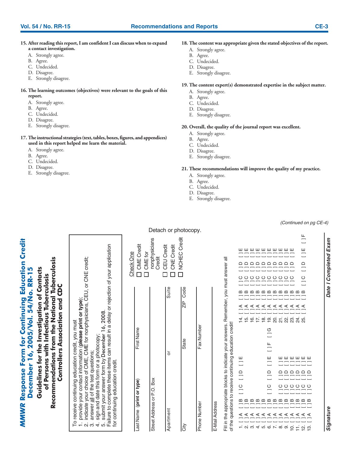#### **15. After reading this report, I am confident I can discuss when to expand a contact investigation.**

- A. Strongly agree.
- B. Agree.
- C. Undecided.
- D. Disagree.
- E. Strongly disagree.

#### **16. The learning outcomes (objectives) were relevant to the goals of this report.**

- A. Strongly agree.
- B. Agree.
- C. Undecided.
- D. Disagree.
- E. Strongly disagree.

#### **17. The instructional strategies (text, tables, boxes, figures, and appendices) used in this report helped me learn the material.**

- A. Strongly agree.
- B. Agree.
- C. Undecided.
- D. Disagree.
- E. Strongly disagree.

### **18. The content was appropriate given the stated objectives of the report.**

- A. Strongly agree.
- B. Agree.
	- C. Undecided.
- D. Disagree.
- E. Strongly disagree.

#### **19. The content expert(s) demonstrated expertise in the subject matter.**

- A. Strongly agree.
- B. Agree.
- C. Undecided.
- D. Disagree.
- E. Strongly disagree.

#### **20. Overall, the quality of the journal report was excellent.**

- A. Strongly agree.
- B. Agree.
- C. Undecided.
- D. Disagree.
- E. Strongly disagree.

#### **21. These recommendations will improve the quality of my practice.**

- A. Strongly agree.
- B. Agree.
- C. Undecided.
- D. Disagree.
- E. Strongly disagree.

1. provide your contragat information (please print or type);<br>
2. indicate your conties of CME, CME for nonphysicians, CEU, or CNE credit;<br>
3. answer all of the test questions;<br>
4. sign and date this form or a photocopy;<br> **MMWR Response Form for Continuing Education Credit** *MMWR* **Response Form for Continuing Education Credit** CME Credit Failure to complete these items can result in a delay or rejection of your application Check One Recommendations from the National Tuberculosis **Recommendations from the National Tuberculosis** 2. indicate your choice of CME, CME for nonphysicians, CEU, or CNE credit; December 16, 2005/Vol. 54/No. RR-15 Guidelines for the Investigation of Contacts **Guidelines for the Investigation of Contacts December 16, 2005/Vol. 54/No. RR-15** of Persons with Infectious Tuberculosis  **of Persons with Infectious Tuberculosis Controllers Association and CDC Controllers Association and CDC** 1. provide your contact information (**please print or type**); 5. submit your answer form by December 16, 2008. education credit, you must To receive continuing education credit, you must Last Name (**print or type**) First Name 4. sign and date this form or a photocopy; 3. answer all of the test questions; for continuing education credit. receive continuing  $\overline{C}$ 

Detach or photocopy

|                                    | Detach or priotocopy.      |                             |                                |              |                                                                                        |                                                         |                                                                                                                                                                                                                                                                                                                                |  |
|------------------------------------|----------------------------|-----------------------------|--------------------------------|--------------|----------------------------------------------------------------------------------------|---------------------------------------------------------|--------------------------------------------------------------------------------------------------------------------------------------------------------------------------------------------------------------------------------------------------------------------------------------------------------------------------------|--|
| CME Credit<br>Check One<br>CME for | nonphysicians<br>Credit    | CNE Credit<br>CEU Credit    | NCHEC Credit                   |              |                                                                                        |                                                         | $\frac{\mu}{\sqrt{2}}$<br>$\equiv$<br>шшшшшшшшшш<br>$\overline{\phantom{0}}$<br>$\overline{a}$<br>ם ם ם ם ם ם ם ם ם<br>O<br>0 0 0 0 0 0 0 0 0 0                                                                                                                                                                                |  |
| First Name                         |                            | Suite<br>$\overline{\circ}$ | Code<br>$\frac{P}{Q}$<br>State | Fax Number   | Fill in the appropriate blocks to indicate your answers. Remember, you must answer all |                                                         | .<br><b>a a a a a a a a a a a a</b><br>$\begin{array}{c} \dot{\varphi} \\ \dot{\varphi} \\ \dot{\varphi} \end{array} \begin{array}{c} \dot{\varphi} \\ \dot{\varphi} \\ \dot{\varphi} \end{array}$<br>8<br>$\overline{\mathbf{a}}$<br>୍ଷ<br><u>଼ି</u><br>4.<br><u>18</u><br>ಔ.<br>র্ম<br>85<br>$\frac{G}{L}$<br>$\overline{1}$ |  |
| Last Name (print or type)          | Street Address or P.O. Box | Apartment                   | là                             | Phone Number | E-Mail Address                                                                         | of the questions to receive continuing education credit | Ш<br>$\frac{1}{2}$<br>шшшшшш<br>$\frac{1}{1}$<br>$\supset$<br><b>△△△△△</b><br>ىب<br>$\frac{1}{2}$<br>O<br>o o o o o o<br>≃<br>ひとひひとひとひとひとひ<br>$\div$                                                                                                                                                                           |  |

#### (Continued on pg CE-4)

Date I Completed Exam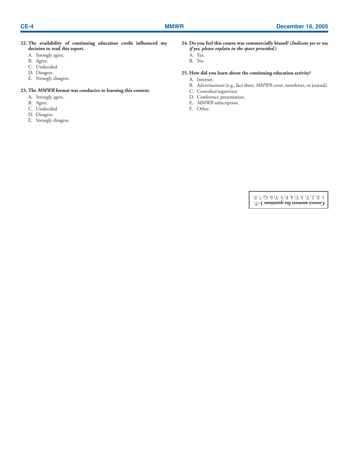- A. Strongly agree.
- B. Agree.
- C. Undecided.
- D. Disagree.
- E. Strongly disagree.
- **23. The** *MMWR* **format was conducive to learning this content.**
	- A. Strongly agree.
	- B. Agree.
	- C. Undecided.
	- D. Disagree.
	- E. Strongly disagree.
- **24. Do you feel this course was commercially biased? (***Indicate yes or no; if yes, please explain in the space provided.***)**
	- A. Yes.
	- B. No.
- **25. How did you learn about the continuing education activity?**
	- A. Internet.
	- B. Advertisement (e.g., fact sheet, *MMWR* cover, newsletter, or journal).
	- C. Coworker/supervisor.
	- D. Conference presentation.
	- E. *MMWR* subscription. F. Other.

**Correct answers for questions 1–7.**  $1.$  E, 2. T, 3. T, 4. F, 3. T, 3. T,  $1.$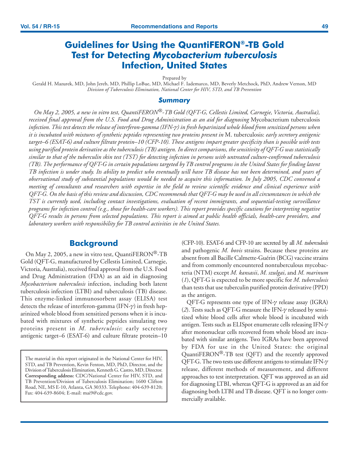# **Guidelines for Using the QuantiFERON®-TB Gold Test for Detecting** *Mycobacterium tuberculosis* **Infection, United States**

Prepared by

Gerald H. Mazurek, MD, John Jereb, MD, Phillip LoBue, MD, Michael F. Iademarco, MD, Beverly Metchock, PhD, Andrew Vernon, MD *Division of Tuberculosis Elimination, National Center for HIV, STD, and TB Prevention*

#### *Summary*

*On May 2, 2005, a new in vitro test, QuantiFERON®-TB Gold (QFT-G, Cellestis Limited, Carnegie, Victoria, Australia), received final approval from the U.S. Food and Drug Administration as an aid for diagnosing* Mycobacterium tuberculosis *infection. This test detects the release of interferon-gamma (IFN-*γ*) in fresh heparinized whole blood from sensitized persons when it is incubated with mixtures of synthetic peptides representing two proteins present in* M. tuberculosis: *early secretory antigenic target–6 (ESAT-6) and culture filtrate protein–10 (CFP-10). These antigens impart greater specificity than is possible with tests using purified protein derivative as the tuberculosis (TB) antigen. In direct comparisons, the sensitivity of QFT-G was statistically similar to that of the tuberculin skin test (TST) for detecting infection in persons with untreated culture-confirmed tuberculosis (TB). The performance of QFT-G in certain populations targeted by TB control programs in the United States for finding latent TB infection is under study. Its ability to predict who eventually will have TB disease has not been determined, and years of observational study of substantial populations would be needed to acquire this information. In July 2005, CDC convened a meeting of consultants and researchers with expertise in the field to review scientific evidence and clinical experience with QFT-G. On the basis of this review and discussion, CDC recommends that QFT-G may be used in all circumstances in which the TST is currently used, including contact investigations, evaluation of recent immigrants, and sequential-testing surveillance programs for infection control (e.g., those for health-care workers). This report provides specific cautions for interpreting negative QFT-G results in persons from selected populations. This report is aimed at public health officials, health-care providers, and laboratory workers with responsibility for TB control activities in the United States.*

### **Background**

On May 2, 2005, a new in vitro test, QuantiFERON<sup>®</sup>-TB Gold (QFT-G, manufactured by Cellestis Limited, Carnegie, Victoria, Australia), received final approval from the U.S. Food and Drug Administration (FDA) as an aid in diagnosing *Mycobacterium tuberculosis* infection, including both latent tuberculosis infection (LTBI) and tuberculosis (TB) disease. This enzyme-linked immunosorbent assay (ELISA) test detects the release of interferon-gamma (IFN-γ) in fresh heparinized whole blood from sensitized persons when it is incubated with mixtures of synthetic peptides simulating two proteins present in *M. tuberculosis*: early secretory antigenic target–6 (ESAT-6) and culture filtrate protein–10 (CFP-10). ESAT-6 and CFP-10 are secreted by all *M. tuberculosis* and pathogenic *M. bovis* strains. Because these proteins are absent from all Bacille Calmette-Guérin (BCG) vaccine strains and from commonly encountered nontuberculous mycobacteria (NTM) except *M. kansasii*, *M. szulgai*, and *M. marinum* (*1*), QFT-G is expected to be more specific for *M. tuberculosis* than tests that use tuberculin purified protein derivative (PPD) as the antigen.

QFT-G represents one type of IFN-γ release assay (IGRA) (*2*). Tests such as QFT-G measure the IFN-γ released by sensitized white blood cells after whole blood is incubated with antigen. Tests such as ELISpot enumerate cells releasing IFN-γ after mononuclear cells recovered from whole blood are incubated with similar antigens. Two IGRAs have been approved by FDA for use in the United States: the original QuantiFERON®-TB test (QFT) and the recently approved QFT-G. The two tests use different antigens to stimulate IFN-γ release, different methods of measurement, and different approaches to test interpretation. QFT was approved as an aid for diagnosing LTBI, whereas QFT-G is approved as an aid for diagnosing both LTBI and TB disease. QFT is no longer commercially available.

The material in this report originated in the National Center for HIV, STD, and TB Prevention, Kevin Fenton, MD, PhD, Director, and the Division of Tuberculosis Elimination, Kenneth G. Castro, MD, Director. **Corresponding address:** CDC/National Center for HIV, STD, and TB Prevention/Division of Tuberculosis Elimination; 1600 Clifton Road, NE, MS E-10, Atlanta, GA 30333. Telephone: 404-639-8120; Fax: 404-639-8604; E-mail: mai9@cdc.gov.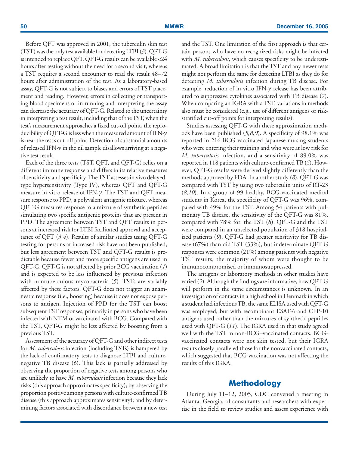<span id="page-55-0"></span>Before QFT was approved in 2001, the tuberculin skin test (TST) was the only test available for detecting LTBI (*3*). QFT-G is intended to replace QFT. QFT-G results can be available <24 hours after testing without the need for a second visit, whereas a TST requires a second encounter to read the result 48–72 hours after administration of the test. As a laboratory-based assay, QFT-G is not subject to biases and errors of TST placement and reading. However, errors in collecting or transporting blood specimens or in running and interpreting the assay can decrease the accuracy of QFT-G. Related to the uncertainty in interpreting a test result, including that of the TST, when the test's measurement approaches a fixed cut-off point, the reproducibility of QFT-G is less when the measured amount of IFN-γ is near the test's cut-off point. Detection of substantial amounts of released IFN- $\gamma$  in the nil sample disallows arriving at a negative test result.

Each of the three tests (TST, QFT, and QFT-G) relies on a different immune response and differs in its relative measures of sensitivity and specificity. The TST assesses in vivo delayedtype hypersensitivity (Type IV), whereas QFT and QFT-G measure in vitro release of IFN-γ. The TST and QFT measure response to PPD, a polyvalent antigenic mixture, whereas QFT-G measures response to a mixture of synthetic peptides simulating two specific antigenic proteins that are present in PPD. The agreement between TST and QFT results in persons at increased risk for LTBI facilitated approval and acceptance of QFT (*3,4*). Results of similar studies using QFT-G testing for persons at increased risk have not been published, but less agreement between TST and QFT-G results is predictable because fewer and more specific antigens are used in QFT-G. QFT-G is not affected by prior BCG vaccination (*1*) and is expected to be less influenced by previous infection with nontuberculous mycobacteria (*5*). TSTs are variably affected by these factors. QFT-G does not trigger an anamnestic response (i.e., boosting) because it does not expose persons to antigen. Injection of PPD for the TST can boost subsequent TST responses, primarily in persons who have been infected with NTM or vaccinated with BCG. Compared with the TST, QFT-G might be less affected by boosting from a previous TST.

Assessment of the accuracy of QFT-G and other indirect tests for *M. tuberculosis* infection (including TSTs) is hampered by the lack of confirmatory tests to diagnose LTBI and culturenegative TB disease (*6*). This lack is partially addressed by observing the proportion of negative tests among persons who are unlikely to have *M. tuberculosis* infection because they lack risks (this approach approximates specificity); by observing the proportion positive among persons with culture-confirmed TB disease (this approach approximates sensitivity); and by determining factors associated with discordance between a new test and the TST. One limitation of the first approach is that certain persons who have no recognized risks might be infected with *M. tuberculosis*, which causes specificity to be underestimated. A broad limitation is that the TST and any newer tests might not perform the same for detecting LTBI as they do for detecting *M. tuberculosis* infection during TB disease. For example, reduction of in vitro IFN-γ release has been attributed to suppressive cytokines associated with TB disease (*7*). When comparing an IGRA with a TST, variations in methods also must be considered (e.g., use of different antigens or riskstratified cut-off points for interpreting results).

Studies assessing QFT-G with these approximation methods have been published (*5,8,9*). A specificity of 98.1% was reported in 216 BCG-vaccinated Japanese nursing students who were entering their training and who were at low risk for *M. tuberculosis* infection, and a sensitivity of 89.0% was reported in 118 patients with culture-confirmed TB (*5*). However, QFT-G results were derived slightly differently than the methods approved by FDA. In another study (*8*), QFT-G was compared with TST by using two tuberculin units of RT-23 (*8,10*). In a group of 99 healthy, BCG-vaccinated medical students in Korea, the specificity of QFT-G was 96%, compared with 49% for the TST. Among 54 patients with pulmonary TB disease, the sensitivity of the QFT-G was 81%, compared with 78% for the TST (*8*). QFT-G and the TST were compared in an unselected population of 318 hospitalized patients (*9*). QFT-G had greater sensitivity for TB disease (67%) than did TST (33%), but indeterminate QFT-G responses were common (21%) among patients with negative TST results, the majority of whom were thought to be immunocompromised or immunosuppressed.

The antigens or laboratory methods in other studies have varied (*2*). Although the findings are informative, how QFT-G will perform in the same circumstances is unknown. In an investigation of contacts in a high school in Denmark in which a student had infectious TB, the same ELISA used with QFT-G was employed, but with recombinant ESAT-6 and CFP-10 antigens used rather than the mixtures of synthetic peptides used with QFT-G (*11*). The IGRA used in that study agreed well with the TST in non-BCG–vaccinated contacts. BCGvaccinated contacts were not skin tested, but their IGRA results closely paralleled those for the nonvaccinated contacts, which suggested that BCG vaccination was not affecting the results of this IGRA.

### **Methodology**

During July 11–12, 2005, CDC convened a meeting in Atlanta, Georgia, of consultants and researchers with expertise in the field to review studies and assess experience with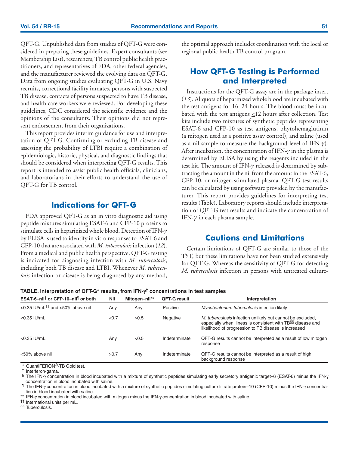<span id="page-56-0"></span>QFT-G. Unpublished data from studies of QFT-G were considered in preparing these guidelines. Expert consultants (see Membership List), researchers, TB control public health practitioners, and representatives of FDA, other federal agencies, and the manufacturer reviewed the evolving data on QFT-G. Data from ongoing studies evaluating QFT-G in U.S. Navy recruits, correctional facility inmates, persons with suspected TB disease, contacts of persons suspected to have TB disease, and health care workers were reviewed. For developing these guidelines, CDC considered the scientific evidence and the opinions of the consultants. Their opinions did not represent endorsement from their organizations.

This report provides interim guidance for use and interpretation of QFT-G. Confirming or excluding TB disease and assessing the probability of LTBI require a combination of epidemiologic, historic, physical, and diagnostic findings that should be considered when interpreting QFT-G results. This report is intended to assist public health officials, clinicians, and laboratorians in their efforts to understand the use of QFT-G for TB control.

### **Indications for QFT-G**

FDA approved QFT-G as an in vitro diagnostic aid using peptide mixtures simulating ESAT-6 and CFP-10 proteins to stimulate cells in heparinized whole blood. Detection of IFN-γ by ELISA is used to identify in vitro responses to ESAT-6 and CFP-10 that are associated with *M. tuberculosis* infection (*12*). From a medical and public health perspective, QFT-G testing is indicated for diagnosing infection with *M. tuberculosis*, including both TB disease and LTBI. Whenever *M. tuberculosis* infection or disease is being diagnosed by any method,

the optimal approach includes coordination with the local or regional public health TB control program.

# **How QFT-G Testing is Performed and Interpreted**

Instructions for the QFT-G assay are in the package insert (*13*). Aliquots of heparinized whole blood are incubated with the test antigens for 16–24 hours. The blood must be incubated with the test antigens  $\leq$ 12 hours after collection. Test kits include two mixtures of synthetic peptides representing ESAT-6 and CFP-10 as test antigens, phytohemaglutinin (a mitogen used as a positive assay control), and saline (used as a nil sample to measure the background level of IFN-γ). After incubation, the concentration of IFN- $\gamma$  in the plasma is determined by ELISA by using the reagents included in the test kit. The amount of IFN-γ released is determined by subtracting the amount in the nil from the amount in the ESAT-6, CFP-10, or mitogen-stimulated plasma. QFT-G test results can be calculated by using software provided by the manufacturer. This report provides guidelines for interpreting test results (Table). Laboratory reports should include interpretation of QFT-G test results and indicate the concentration of IFN-γ in each plasma sample.

### **Cautions and Limitations**

Certain limitations of QFT-G are similar to those of the TST, but these limitations have not been studied extensively for QFT-G. Whereas the sensitivity of QFT-G for detecting *M. tuberculosis* infection in persons with untreated culture-

| ESAT-6-nil <sup>§</sup> or CFP-10-nil <sup>¶</sup> or both | Nil   | Mitogen-nil** | <b>QFT-G result</b> | Interpretation                                                                                                                                                                                |
|------------------------------------------------------------|-------|---------------|---------------------|-----------------------------------------------------------------------------------------------------------------------------------------------------------------------------------------------|
| $>0.35$ IU/mL <sup>††</sup> and $>50\%$ above nil          | Any   | Any           | Positive            | Mycobacterium tuberculosis infection likely                                                                                                                                                   |
| $<$ 0.35 IU/mL                                             | < 0.7 | >0.5          | Negative            | M. tuberculosis infection unlikely but cannot be excluded,<br>especially when illness is consistent with TB <sup>§§</sup> disease and<br>likelihood of progression to TB disease is increased |
| $<$ 0.35 IU/mL                                             | Any   | < 0.5         | Indeterminate       | QFT-G results cannot be interpreted as a result of low mitogen<br>response                                                                                                                    |
| <50% above nil                                             | >0.7  | Any           | Indeterminate       | QFT-G results cannot be interpreted as a result of high<br>background response                                                                                                                |

**TABLE. Interpretation of QFT-G\* results, from IFN-**γ**† concentrations in test samples**

\* QuantiFERON<sup>®</sup>-TB Gold test.<br><sup>†</sup> Interferon-gama.

 $§$  The IFN-γ concentration in blood incubated with a mixture of synthetic peptides simulating early secretory antigenic target–6 (ESAT-6) minus the IFN-γ concentration in blood incubated with saline.

¶ The IFN-γ concentration in blood incubated with a mixture of synthetic peptides simulating culture filtrate protein–10 (CFP-10) minus the IFN-γ concentration in blood incubated with saline.

\*\* IFN-γ concentration in blood incubated with mitogen minus the IFN-γ concentration in blood incubated with saline.

†† International units per mL. §§ Tuberculosis.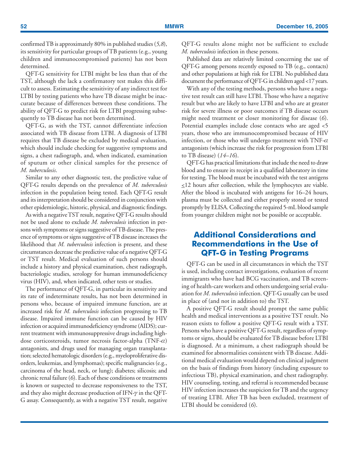<span id="page-57-0"></span>confirmed TB is approximately 80% in published studies (*5,8*), its sensitivity for particular groups of TB patients (e.g., young children and immunocompromised patients) has not been determined.

QFT-G sensitivity for LTBI might be less than that of the TST, although the lack a confirmatory test makes this difficult to assess. Estimating the sensitivity of any indirect test for LTBI by testing patients who have TB disease might be inaccurate because of differences between these conditions. The ability of QFT-G to predict risk for LTBI progressing subsequently to TB disease has not been determined.

QFT-G, as with the TST, cannot differentiate infection associated with TB disease from LTBI. A diagnosis of LTBI requires that TB disease be excluded by medical evaluation, which should include checking for suggestive symptoms and signs, a chest radiograph, and, when indicated, examination of sputum or other clinical samples for the presence of *M. tuberculosis*.

Similar to any other diagnostic test, the predictive value of QFT-G results depends on the prevalence of *M. tuberculosis* infection in the population being tested. Each QFT-G result and its interpretation should be considered in conjunction with other epidemiologic, historic, physical, and diagnostic findings.

As with a negative TST result, negative QFT-G results should not be used alone to exclude *M. tuberculosis* infection in persons with symptoms or signs suggestive of TB disease. The presence of symptoms or signs suggestive of TB disease increases the likelihood that *M. tuberculosis* infection is present, and these circumstances decrease the predictive value of a negative QFT-G or TST result. Medical evaluation of such persons should include a history and physical examination, chest radiograph, bacteriologic studies, serology for human immunodeficiency virus (HIV), and, when indicated, other tests or studies.

The performance of QFT-G, in particular its sensitivity and its rate of indeterminate results, has not been determined in persons who, because of impaired immune function, are at increased risk for *M. tuberculosis* infection progressing to TB disease. Impaired immune function can be caused by HIV infection or acquired immunodeficiency syndrome (AIDS); current treatment with immunosuppressive drugs including highdose corticosteroids, tumor necrosis factor-alpha (TNF- $\alpha$ ) antagonists, and drugs used for managing organ transplantation; selected hematologic disorders (e.g., myeloproliferative disorders, leukemias, and lymphomas); specific malignancies (e.g., carcinoma of the head, neck, or lung); diabetes; silicosis; and chronic renal failure (*6*). Each of these conditions or treatments is known or suspected to decrease responsiveness to the TST, and they also might decrease production of IFN- $\gamma$  in the QFT-G assay. Consequently, as with a negative TST result, negative QFT-G results alone might not be sufficient to exclude *M. tuberculosis* infection in these persons.

Published data are relatively limited concerning the use of QFT-G among persons recently exposed to TB (e.g., contacts) and other populations at high risk for LTBI. No published data document the performance of QFT-G in children aged <17 years.

With any of the testing methods, persons who have a negative test result can still have LTBI. Those who have a negative result but who are likely to have LTBI and who are at greater risk for severe illness or poor outcomes if TB disease occurs might need treatment or closer monitoring for disease (*6*). Potential examples include close contacts who are aged <5 years, those who are immunocompromised because of HIV infection, or those who will undergo treatment with TNF- $\alpha$ antagonists (which increase the risk for progression from LTBI to TB disease) (*14–16*).

QFT-G has practical limitations that include the need to draw blood and to ensure its receipt in a qualified laboratory in time for testing. The blood must be incubated with the test antigens  $\leq$ 12 hours after collection, while the lymphocytes are viable. After the blood is incubated with antigens for 16–24 hours, plasma must be collected and either properly stored or tested promptly by ELISA. Collecting the required 5-mL blood sample from younger children might not be possible or acceptable.

# **Additional Considerations and Recommendations in the Use of QFT-G in Testing Programs**

QFT-G can be used in all circumstances in which the TST is used, including contact investigations, evaluation of recent immigrants who have had BCG vaccination, and TB screening of health-care workers and others undergoing serial evaluation for *M. tuberculosis* infection. QFT-G usually can be used in place of (and not in addition to) the TST.

A positive QFT-G result should prompt the same public health and medical interventions as a positive TST result. No reason exists to follow a positive QFT-G result with a TST. Persons who have a positive QFT-G result, regardless of symptoms or signs, should be evaluated for TB disease before LTBI is diagnosed. At a minimum, a chest radiograph should be examined for abnormalities consistent with TB disease. Additional medical evaluation would depend on clinical judgment on the basis of findings from history (including exposure to infectious TB), physical examination, and chest radiography. HIV counseling, testing, and referral is recommended because HIV infection increases the suspicion for TB and the urgency of treating LTBI. After TB has been excluded, treatment of LTBI should be considered (*6*).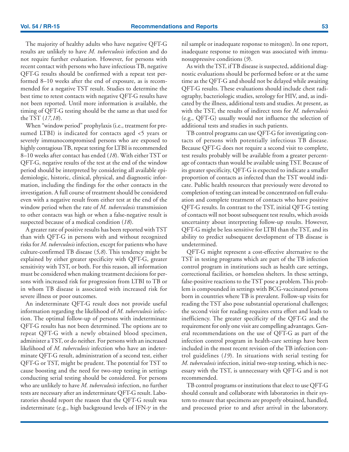The majority of healthy adults who have negative QFT-G results are unlikely to have *M. tuberculosis* infection and do not require further evaluation. However, for persons with recent contact with persons who have infectious TB, negative QFT-G results should be confirmed with a repeat test performed 8–10 weeks after the end of exposure, as is recommended for a negative TST result. Studies to determine the best time to retest contacts with negative QFT-G results have not been reported. Until more information is available, the timing of QFT-G testing should be the same as that used for the TST (*17,18*).

When "window period" prophylaxis (i.e., treatment for presumed LTBI) is indicated for contacts aged <5 years or severely immunocompromised persons who are exposed to highly contagious TB, repeat testing for LTBI is recommended 8–10 weeks after contact has ended (*18*). With either TST or QFT-G, negative results of the test at the end of the window period should be interpreted by considering all available epidemiologic, historic, clinical, physical, and diagnostic information, including the findings for the other contacts in the investigation. A full course of treatment should be considered even with a negative result from either test at the end of the window period when the rate of *M. tuberculosis* transmission to other contacts was high or when a false-negative result is suspected because of a medical condition (*18*).

A greater rate of positive results has been reported with TST than with QFT-G in persons with and without recognized risks for *M. tuberculosis* infection, except for patients who have culture-confirmed TB disease (*5,8*). This tendency might be explained by either greater specificity with QFT-G, greater sensitivity with TST, or both. For this reason, all information must be considered when making treatment decisions for persons with increased risk for progression from LTBI to TB or in whom TB disease is associated with increased risk for severe illness or poor outcomes.

An indeterminate QFT-G result does not provide useful information regarding the likelihood of *M. tuberculosis* infection. The optimal follow-up of persons with indeterminate QFT-G results has not been determined. The options are to repeat QFT-G with a newly obtained blood specimen, administer a TST, or do neither. For persons with an increased likelihood of *M. tuberculosis* infection who have an indeterminate QFT-G result, administration of a second test, either QFT-G or TST, might be prudent. The potential for TST to cause boosting and the need for two-step testing in settings conducting serial testing should be considered. For persons who are unlikely to have *M. tuberculosis* infection, no further tests are necessary after an indeterminate QFT-G result. Laboratories should report the reason that the QFT-G result was indeterminate (e.g., high background levels of IFN- $\gamma$  in the nil sample or inadequate response to mitogen). In one report, inadequate response to mitogen was associated with immunosuppressive conditions (*9*).

As with the TST, if TB disease is suspected, additional diagnostic evaluations should be performed before or at the same time as the QFT-G and should not be delayed while awaiting QFT-G results. These evaluations should include chest radiography, bacteriologic studies, serology for HIV, and, as indicated by the illness, additional tests and studies. At present, as with the TST, the results of indirect tests for *M. tuberculosis* (e.g., QFT-G) usually would not influence the selection of additional tests and studies in such patients.

TB control programs can use QFT-G for investigating contacts of persons with potentially infectious TB disease. Because QFT-G does not require a second visit to complete, test results probably will be available from a greater percentage of contacts than would be available using TST. Because of its greater specificity, QFT-G is expected to indicate a smaller proportion of contacts as infected than the TST would indicate. Public health resources that previously were devoted to completion of testing can instead be concentrated on full evaluation and complete treatment of contacts who have positive QFT-G results. In contrast to the TST, initial QFT-G testing of contacts will not boost subsequent test results, which avoids uncertainty about interpreting follow-up results. However, QFT-G might be less sensitive for LTBI than the TST, and its ability to predict subsequent development of TB disease is undetermined.

QFT-G might represent a cost-effective alternative to the TST in testing programs which are part of the TB infection control program in institutions such as health care settings, correctional facilities, or homeless shelters. In these settings, false-positive reactions to the TST pose a problem. This problem is compounded in settings with BCG-vaccinated persons born in countries where TB is prevalent. Follow-up visits for reading the TST also pose substantial operational challenges; the second visit for reading requires extra effort and leads to inefficiency. The greater specificity of the QFT-G and the requirement for only one visit are compelling advantages. General recommendations on the use of QFT-G as part of the infection control program in health-care settings have been included in the most recent revision of the TB infection control guidelines (*19*). In situations with serial testing for *M. tuberculosis* infection, initial two-step testing, which is necessary with the TST, is unnecessary with QFT-G and is not recommended.

TB control programs or institutions that elect to use QFT-G should consult and collaborate with laboratories in their system to ensure that specimens are properly obtained, handled, and processed prior to and after arrival in the laboratory.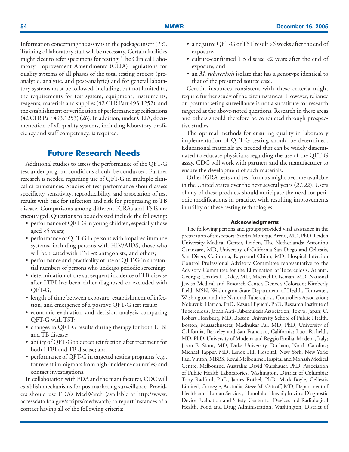<span id="page-59-0"></span>Information concerning the assay is in the package insert (*13*). Training of laboratory staff will be necessary. Certain facilities might elect to refer specimens for testing. The Clinical Laboratory Improvement Amendments (CLIA) regulations for quality systems of all phases of the total testing process (preanalytic, analytic, and post-analytic) and for general laboratory systems must be followed, including, but not limited to, the requirements for test system, equipment, instruments, reagents, materials and supplies (42 CFR Part 493.1252), and the establishment or verification of performance specifications (42 CFR Part 493.1253) (*20*). In addition, under CLIA, documentation of all quality systems, including laboratory proficiency and staff competency, is required.

# **Future Research Needs**

Additional studies to assess the performance of the QFT-G test under program conditions should be conducted. Further research is needed regarding use of QFT-G in multiple clinical circumstances. Studies of test performance should assess specificity, sensitivity, reproducibility, and association of test results with risk for infection and risk for progressing to TB disease. Comparisons among different IGRAs and TSTs are encouraged. Questions to be addressed include the following:

- performance of QFT-G in young children, especially those aged <5 years;
- performance of QFT-G in persons with impaired immune systems, including persons with HIV/AIDS, those who will be treated with TNF- $\alpha$  antagonists, and others;
- performance and practicality of use of QFT-G in substantial numbers of persons who undergo periodic screening;
- determination of the subsequent incidence of TB disease after LTBI has been either diagnosed or excluded with QFT-G;
- length of time between exposure, establishment of infection, and emergence of a positive QFT-G test result;
- economic evaluation and decision analysis comparing QFT-G with TST;
- changes in QFT-G results during therapy for both LTBI and TB disease;
- ability of QFT-G to detect reinfection after treatment for both LTBI and TB disease; and
- performance of QFT-G in targeted testing programs (e.g., for recent immigrants from high-incidence countries) and contact investigations.

In collaboration with FDA and the manufacturer, CDC will establish mechanisms for postmarketing surveillance. Providers should use FDA's MedWatch (available at http://www. accessdata.fda.gov/scripts/medwatch) to report instances of a contact having all of the following criteria:

- a negative QFT-G or TST result >6 weeks after the end of exposure,
- culture-confirmed TB disease <2 years after the end of exposure, and
- an *M. tuberculosis* isolate that has a genotype identical to that of the presumed source case.

Certain instances consistent with these criteria might require further study of the circumstances. However, reliance on postmarketing surveillance is not a substitute for research targeted at the above-noted questions. Research in these areas and others should therefore be conducted through prospective studies.

The optimal methods for ensuring quality in laboratory implementation of QFT-G testing should be determined. Educational materials are needed that can be widely disseminated to educate physicians regarding the use of the QFT-G assay. CDC will work with partners and the manufacturer to ensure the development of such materials.

Other IGRA tests and test formats might become available in the United States over the next several years (*21,22*). Users of any of these products should anticipate the need for periodic modifications in practice, with resulting improvements in utility of these testing technologies.

#### **Acknowledgments**

The following persons and groups provided vital assistance in the preparation of this report: Sandra Monique Arend, MD, PhD, Leiden University Medical Center, Leiden, The Netherlands; Antonino Catanzaro, MD, University of California San Diego and Cellestis, San Diego, California; Raymond Chinn, MD, Hospital Infection Control Professional Advisory Committee representative to the Advisory Committee for the Elimination of Tuberculosis, Atlanta, Georgia; Charles L. Daley, MD, Michael D. Iseman, MD, National Jewish Medical and Research Center, Denver, Colorado; Kimberly Field, MSN, Washington State Department of Health, Tumwater, Washington and the National Tuberculosis Controllers Association; Nobuyuki Harada, PhD, Kazue Higuchi, PhD, Research Institute of Tuberculosis, Japan Anti-Tuberculosis Association, Tokyo, Japan; C. Robert Horsburg, MD, Boston University School of Public Health, Boston, Massachusetts; Madhukar Pai, MD, PhD, University of California, Berkeley and San Francisco, California; Luca Richeldi, MD, PhD, University of Modena and Reggio Emilia, Modena, Italy; Jason E. Stout, MD, Duke University, Durham, North Carolina; Michael Tapper, MD, Lenox Hill Hospital, New York, New York; Paul Vinton, MBBS, Royal Melbourne Hospital and Monash Medical Centre, Melbourne, Australia; David Warshauer, PhD, Association of Public Health Laboratories, Washington, District of Columbia; Tony Radford, PhD, James Rothel, PhD, Mark Boyle, Cellestis Limited, Carnegie, Australia; Steve M. Ostroff, MD, Department of Health and Human Services, Honolulu, Hawaii; In vitro Diagnostic Device Evaluation and Safety, Center for Devices and Radiological Health, Food and Drug Administration, Washington, District of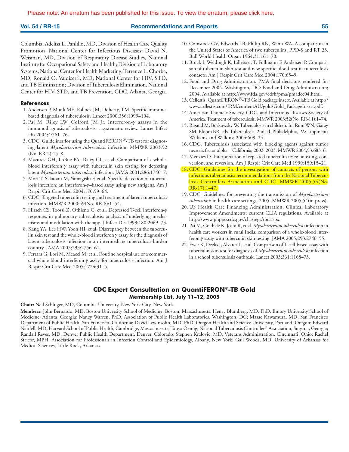Columbia; Adelisa L. Panlilio, MD, Division of Health Care Quality Promotion, National Center for Infectious Diseases; David N. Weisman, MD, Division of Respiratory Disease Studies, National Institute for Occupational Safety and Health; Division of Laboratory Systems, National Center for Health Marketing; Terrence L. Chorba, MD, Ronald O. Valdiserri, MD, National Center for HIV, STD, and TB Elimination; Division of Tuberculosis Elimination, National Center for HIV, STD, and TB Prevention, CDC, Atlanta, Georgia.

#### **References**

- 1. Andersen P, Munk ME, Pollock JM, Doherty, TM. Specific immunebased diagnosis of tuberculosis. Lancet 2000;356:1099–104.
- 2. Pai M, Riley LW, Colford JM Jr. Interferon-γ assays in the immunodiagnosis of tuberculosis: a systematic review. Lancet Infect Dis 2004;4:761–76.
- 3. CDC. Guidelines for using the QuantiFERON®-TB test for diagnosing latent *Mycobacterium tuberculosis* infection. MMWR 2003;52 (No. RR-2):15–8.
- 4. Mazurek GH, LoBue PA, Daley CL, et al. Comparison of a wholeblood interferon  $\gamma$  assay with tuberculin skin testing for detecting latent *Mycobacterium tuberculosis* infection. JAMA 2001;286:1740–7.
- 5. Mori T, Sakatani M, Yamagishi F, et al. Specific detection of tuberculosis infection: an interferon-γ–based assay using new antigens. Am J Respir Crit Care Med 2004;170:59–64.
- 6. CDC. Targeted tuberculin testing and treatment of latent tuberculosis infection. MMWR 2000;49(No. RR-6):1–54.
- 7. Hirsch CS, Toossi Z, Othieno C, et al. Depressed T-cell interferon-γ responses in pulmonary tuberculosis: analysis of underlying mechanisms and modulation with therapy. J Infect Dis 1999;180:2069–73.
- 8. Kang YA, Lee HW, Yoon HI, et al. Discrepancy between the tuberculin skin test and the whole-blood interferon γ assay for the diagnosis of latent tuberculosis infection in an intermediate tuberculosis-burden country. JAMA 2005;293:2756–61.
- 9. Ferrara G, Losi M, Meacci M, et al. Routine hospital use of a commercial whole blood interferon-γ assay for tuberculosis infection. Am J Respir Crit Care Med 2005;172:631–5.
- 10. Comstock GV, Edwards LB, Philip RN, Winn WA. A comparison in the United States of America of two tuberculins, PPD-S and RT 23. Bull World Health Organ 1964;31:161–70.
- 11. Brock I, Weldingh K, Lillebaek T, Follmann F, Andersen P. Comparison of tuberculin skin test and new specific blood test in tuberculosis contacts. Am J Respir Crit Care Med 2004;170:65–9.
- 12. Food and Drug Administration. PMA final decisions rendered for December 2004. Washington, DC: Food and Drug Administration; 2004. Available at [http://www.fda.gov/cdrh/pma/pmadec04.html.](http://www.fda.gov/cdrh/pma/pmadec04.html)
- 13. Cellestis. QuantiFERON®-TB Gold package insert. Available at http:// www.cellestis.com/IRM/contentAU/gold/Gold\_PackageInsert.pdf.
- 14. American Thoracic Society, CDC, and Infectious Diseases Society of America. Treatment of tuberculosis, MMWR 2003;52(No. RR-11):1–74.
- 15. Rigaud M, Borkowsky W. Tuberculosis in children. In: Rom WN, Garay SM, Bloom BR, eds. Tuberculosis. 2nd ed. Philadelphia, PA: Lippincott Williams and Wilkins; 2004:609–24.
- 16. CDC. Tuberculosis associated with blocking agents against tumor necrosis factor-alpha—California, 2002–2003. MMWR 2004;53:683–6.
- 17. Menzies D. Interpretation of repeated tuberculin tests: boosting, conversion, and reversion. Am J Respir Crit Care Med 1999;159:15–21.
- 18. CDC. Guidelines for the investigation of contacts of persons with infectious tuberculosis: recommendations from the National Tuberculosis Controllers Association and CDC. MMWR 2005;54(No. RR-17):1–47.
- 19. CDC. Guidelines for preventing the transmission of *Mycobacterium tuberculosis* in health-care settings, 2005. MMWR 2005;54(in press).
- 20. US Health Care Financing Administration. Clinical Laboratory Improvement Amendments: current CLIA regulations. Available at [http://www.phppo.cdc.gov/clia/regs/toc.aspx.](http://www.phppo.cdc.gov/clia/regs/toc.aspx)
- 21. Pai M, Gokhale K, Joshi R, et al. *Mycobacterium tuberculosis* infection in health care workers in rural India: comparison of a whole-blood interferon γ assay with tuberculin skin testing. JAMA 2005;293:2746–55.
- 22. Ewer K, Deeks J, Alvarez L, et al. Comparison of T-cell-based assay with tuberculin skin test for diagnosis of *Mycobacterium tuberculosis* infection in a school tuberculosis outbreak. Lancet 2003;361:1168–73.

#### **CDC Expert Consultation on QuantiFERON®-TB Gold Membership List, July 11–12, 2005**

**Chair:** Neil Schluger, MD, Columbia University, New York City, New York.

**Members:** John Bernardo, MD, Boston University School of Medicine, Boston, Massachusetts; Henry Blumberg, MD, PhD, Emory University School of Medicine, Atlanta, Georgia; Nancy Warren, PhD, Association of Public Health Laboratories, Washington, DC; Masae Kawamura, MD, San Francisco Department of Public Health, San Francisco, California; David Lewinsohn, MD, PhD, Oregon Health and Science University, Portland, Oregon; Edward Nardell, MD, Harvard School of Public Health, Cambridge, Massachusetts; Tanya Oemig, National Tuberculosis Controllers' Association, Smyrna, Georgia; Randall Reves, MD, Denver Public Health Department, Denver, Colorado; Stephen Kralovic, MD, Veterans Administration, Cincinnati, Ohio; Rachel Stricof, MPH, Association for Professionals in Infection Control and Epidemiology, Albany, New York; Gail Woods, MD, University of Arkansas for Medical Sciences, Little Rock, Arkansas.